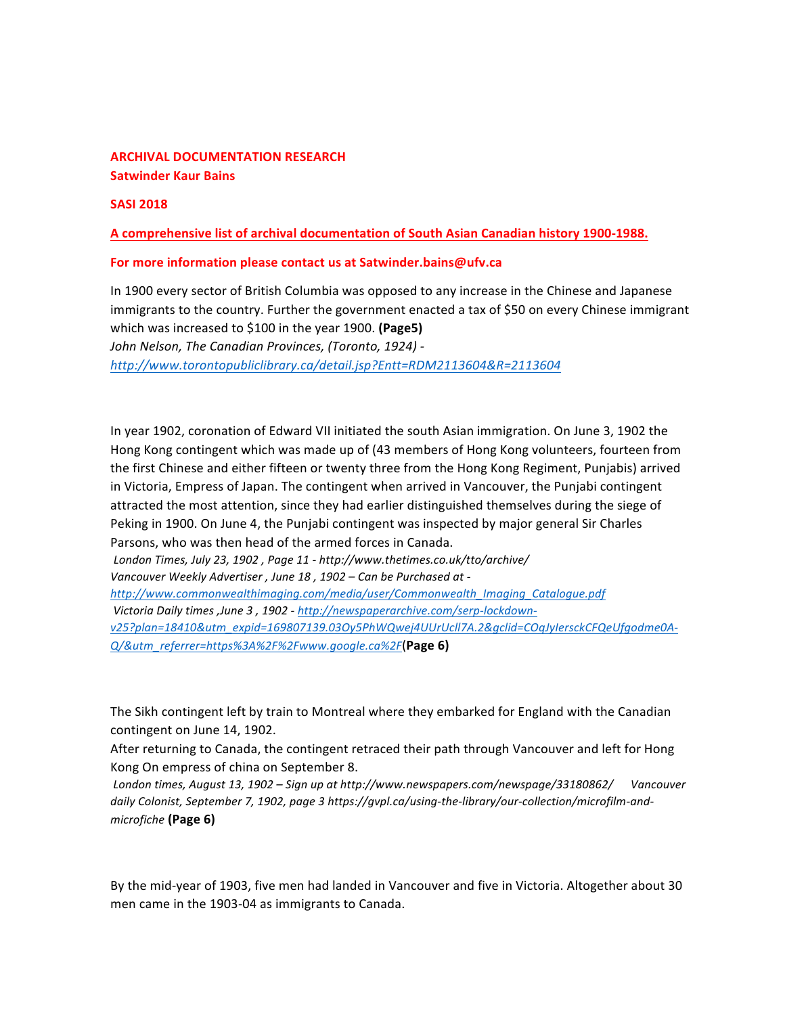### **ARCHIVAL DOCUMENTATION RESEARCH Satwinder Kaur Bains**

**SASI 2018** 

A comprehensive list of archival documentation of South Asian Canadian history 1900-1988.

#### For more information please contact us at Satwinder.bains@ufv.ca

In 1900 every sector of British Columbia was opposed to any increase in the Chinese and Japanese immigrants to the country. Further the government enacted a tax of \$50 on every Chinese immigrant which was increased to \$100 in the year 1900. **(Page5)** John Nelson, The Canadian Provinces, (Toronto, 1924) *http://www.torontopubliclibrary.ca/detail.jsp?Entt=RDM2113604&R=2113604*

In year 1902, coronation of Edward VII initiated the south Asian immigration. On June 3, 1902 the Hong Kong contingent which was made up of (43 members of Hong Kong volunteers, fourteen from the first Chinese and either fifteen or twenty three from the Hong Kong Regiment, Punjabis) arrived in Victoria, Empress of Japan. The contingent when arrived in Vancouver, the Punjabi contingent attracted the most attention, since they had earlier distinguished themselves during the siege of Peking in 1900. On June 4, the Punjabi contingent was inspected by major general Sir Charles Parsons, who was then head of the armed forces in Canada.

*London Times, July 23, 1902 , Page 11 - http://www.thetimes.co.uk/tto/archive/* 

*Vancouver Weekly Advertiser , June 18 , 1902 – Can be Purchased at -*

*http://www.commonwealthimaging.com/media/user/Commonwealth\_Imaging\_Catalogue.pdf Victoria Daily times ,June 3 , 1902 - http://newspaperarchive.com/serp-lockdown-*

*v25?plan=18410&utm\_expid=169807139.03Oy5PhWQwej4UUrUcll7A.2&gclid=COqJyIersckCFQeUfgodme0A-Q/&utm\_referrer=https%3A%2F%2Fwww.google.ca%2F*(**Page 6)** 

The Sikh contingent left by train to Montreal where they embarked for England with the Canadian contingent on June 14, 1902.

After returning to Canada, the contingent retraced their path through Vancouver and left for Hong Kong On empress of china on September 8.

London times, August 13, 1902 – Sign up at http://www.newspapers.com/newspage/33180862/ Vancouver daily Colonist, September 7, 1902, page 3 https://gvpl.ca/using-the-library/our-collection/microfilm-and*microfiche* **(Page 6)**

By the mid-year of 1903, five men had landed in Vancouver and five in Victoria. Altogether about 30 men came in the 1903-04 as immigrants to Canada.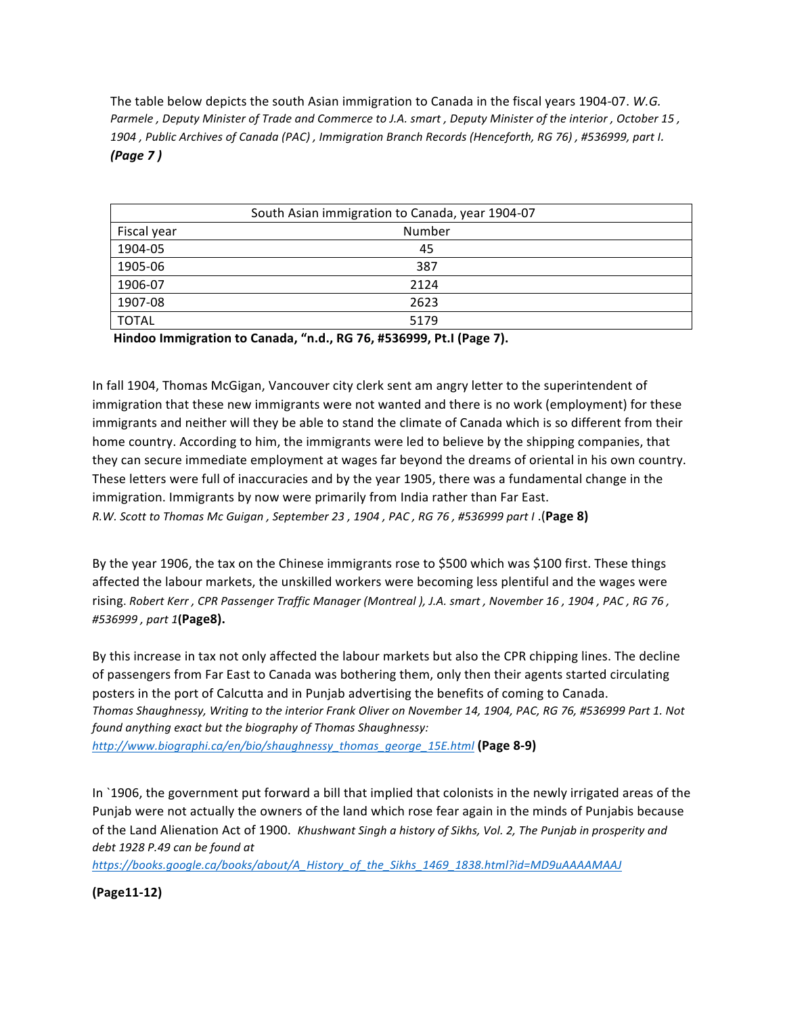The table below depicts the south Asian immigration to Canada in the fiscal years 1904-07. *W.G. Parmele* , Deputy Minister of Trade and Commerce to J.A. smart, Deputy Minister of the interior, October 15, 1904 , Public Archives of Canada (PAC) , Immigration Branch Records (Henceforth, RG 76) , #536999, part I. *(Page 7 )*

| South Asian immigration to Canada, year 1904-07 |        |  |
|-------------------------------------------------|--------|--|
| Fiscal year                                     | Number |  |
| 1904-05                                         | 45     |  |
| 1905-06                                         | 387    |  |
| 1906-07                                         | 2124   |  |
| 1907-08                                         | 2623   |  |
| <b>TOTAL</b>                                    | 5179   |  |

**Hindoo Immigration to Canada, "n.d., RG 76, #536999, Pt.I (Page 7).**

In fall 1904, Thomas McGigan, Vancouver city clerk sent am angry letter to the superintendent of immigration that these new immigrants were not wanted and there is no work (employment) for these immigrants and neither will they be able to stand the climate of Canada which is so different from their home country. According to him, the immigrants were led to believe by the shipping companies, that they can secure immediate employment at wages far beyond the dreams of oriental in his own country. These letters were full of inaccuracies and by the year 1905, there was a fundamental change in the immigration. Immigrants by now were primarily from India rather than Far East. *R.W. Scott to Thomas Mc Guigan , September 23 , 1904 , PAC , RG 76 , #536999 part I* .(**Page 8)**

By the year 1906, the tax on the Chinese immigrants rose to \$500 which was \$100 first. These things affected the labour markets, the unskilled workers were becoming less plentiful and the wages were rising. Robert Kerr, CPR Passenger Traffic Manager (Montreal ), J.A. smart, November 16, 1904, PAC, RG 76, *#536999 , part 1***(Page8).**

By this increase in tax not only affected the labour markets but also the CPR chipping lines. The decline of passengers from Far East to Canada was bothering them, only then their agents started circulating posters in the port of Calcutta and in Punjab advertising the benefits of coming to Canada. Thomas Shaughnessy, Writing to the interior Frank Oliver on November 14, 1904, PAC, RG 76, #536999 Part 1. Not found anything exact but the biography of Thomas Shaughnessy:

*http://www.biographi.ca/en/bio/shaughnessy\_thomas\_george\_15E.html* **(Page 8-9)**

In `1906, the government put forward a bill that implied that colonists in the newly irrigated areas of the Punjab were not actually the owners of the land which rose fear again in the minds of Punjabis because of the Land Alienation Act of 1900. *Khushwant Singh a history of Sikhs, Vol. 2, The Punjab in prosperity and* debt 1928 P.49 can be found at

*https://books.google.ca/books/about/A\_History\_of\_the\_Sikhs\_1469\_1838.html?id=MD9uAAAAMAAJ*

**(Page11-12)**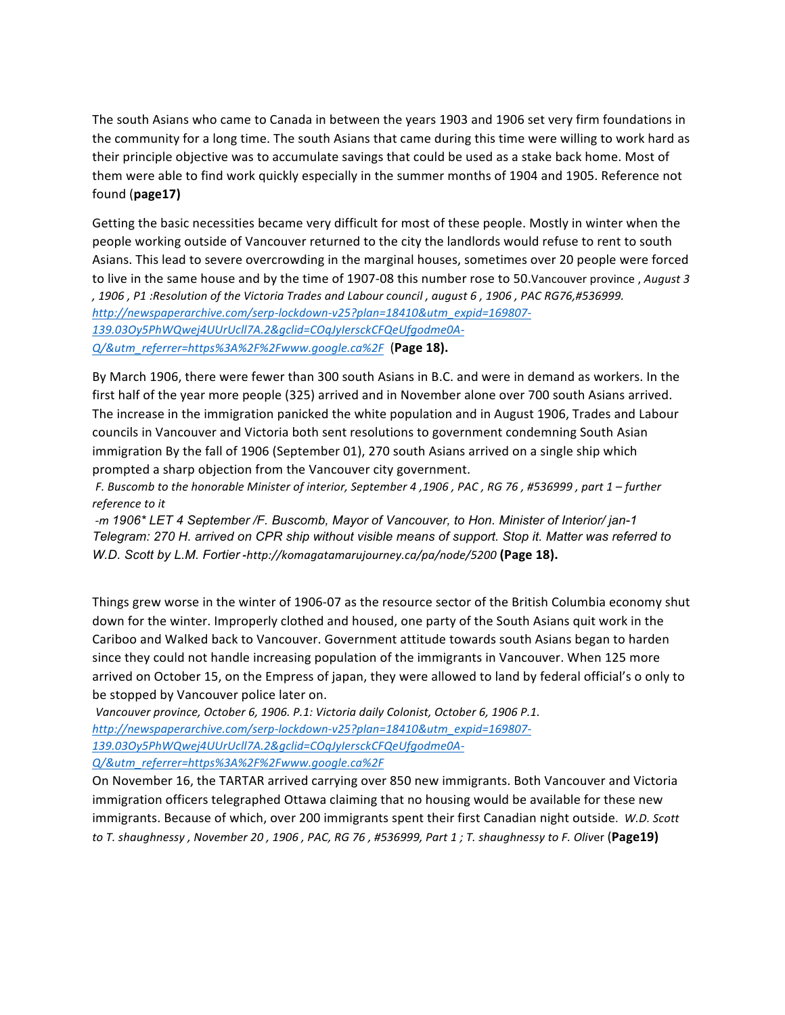The south Asians who came to Canada in between the years 1903 and 1906 set very firm foundations in the community for a long time. The south Asians that came during this time were willing to work hard as their principle objective was to accumulate savings that could be used as a stake back home. Most of them were able to find work quickly especially in the summer months of 1904 and 1905. Reference not found (**page17)**

Getting the basic necessities became very difficult for most of these people. Mostly in winter when the people working outside of Vancouver returned to the city the landlords would refuse to rent to south Asians. This lead to severe overcrowding in the marginal houses, sometimes over 20 people were forced to live in the same house and by the time of 1907-08 this number rose to 50.Vancouver province, *August 3 , 1906 , P1 :Resolution of the Victoria Trades and Labour council , august 6 , 1906 , PAC RG76,#536999. http://newspaperarchive.com/serp-lockdown-v25?plan=18410&utm\_expid=169807- 139.03Oy5PhWQwej4UUrUcll7A.2&gclid=COqJyIersckCFQeUfgodme0A-Q/&utm\_referrer=https%3A%2F%2Fwww.google.ca%2F* (**Page 18).**

By March 1906, there were fewer than 300 south Asians in B.C. and were in demand as workers. In the first half of the year more people (325) arrived and in November alone over 700 south Asians arrived. The increase in the immigration panicked the white population and in August 1906, Trades and Labour councils in Vancouver and Victoria both sent resolutions to government condemning South Asian immigration By the fall of 1906 (September 01), 270 south Asians arrived on a single ship which prompted a sharp objection from the Vancouver city government.

*F. Buscomb to the honorable Minister of interior, September 4 ,1906 , PAC , RG 76 , #536999 , part 1 – further reference to it* 

*-m 1906\* LET 4 September /F. Buscomb, Mayor of Vancouver, to Hon. Minister of Interior/ jan-1 Telegram: 270 H. arrived on CPR ship without visible means of support. Stop it. Matter was referred to W.D. Scott by L.M. Fortier -http://komagatamarujourney.ca/pa/node/5200* (Page 18).

Things grew worse in the winter of 1906-07 as the resource sector of the British Columbia economy shut down for the winter. Improperly clothed and housed, one party of the South Asians quit work in the Cariboo and Walked back to Vancouver. Government attitude towards south Asians began to harden since they could not handle increasing population of the immigrants in Vancouver. When 125 more arrived on October 15, on the Empress of japan, they were allowed to land by federal official's o only to be stopped by Vancouver police later on.

Vancouver province, October 6, 1906. P.1: Victoria daily Colonist, October 6, 1906 P.1. *http://newspaperarchive.com/serp-lockdown-v25?plan=18410&utm\_expid=169807- 139.03Oy5PhWQwej4UUrUcll7A.2&gclid=COqJyIersckCFQeUfgodme0A-Q/&utm\_referrer=https%3A%2F%2Fwww.google.ca%2F*

On November 16, the TARTAR arrived carrying over 850 new immigrants. Both Vancouver and Victoria immigration officers telegraphed Ottawa claiming that no housing would be available for these new immigrants. Because of which, over 200 immigrants spent their first Canadian night outside. W.D. Scott *to* T. shaughnessy, November 20, 1906, PAC, RG 76, #536999, Part 1; T. shaughnessy to F. Oliver (Page19)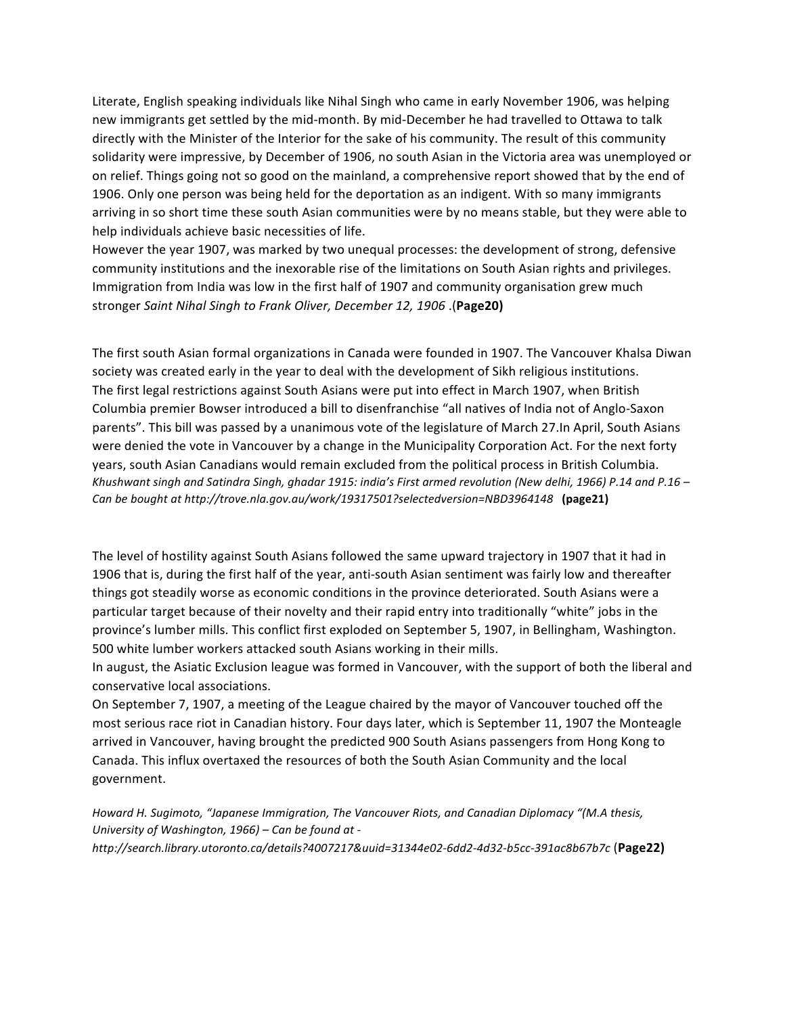Literate, English speaking individuals like Nihal Singh who came in early November 1906, was helping new immigrants get settled by the mid-month. By mid-December he had travelled to Ottawa to talk directly with the Minister of the Interior for the sake of his community. The result of this community solidarity were impressive, by December of 1906, no south Asian in the Victoria area was unemployed or on relief. Things going not so good on the mainland, a comprehensive report showed that by the end of 1906. Only one person was being held for the deportation as an indigent. With so many immigrants arriving in so short time these south Asian communities were by no means stable, but they were able to help individuals achieve basic necessities of life.

However the year 1907, was marked by two unequal processes: the development of strong, defensive community institutions and the inexorable rise of the limitations on South Asian rights and privileges. Immigration from India was low in the first half of 1907 and community organisation grew much stronger *Saint Nihal Singh to Frank Oliver, December 12, 1906* .(**Page20)**

The first south Asian formal organizations in Canada were founded in 1907. The Vancouver Khalsa Diwan society was created early in the year to deal with the development of Sikh religious institutions. The first legal restrictions against South Asians were put into effect in March 1907, when British Columbia premier Bowser introduced a bill to disenfranchise "all natives of India not of Anglo-Saxon parents". This bill was passed by a unanimous vote of the legislature of March 27. In April, South Asians were denied the vote in Vancouver by a change in the Municipality Corporation Act. For the next forty years, south Asian Canadians would remain excluded from the political process in British Columbia. *Khushwant singh and Satindra Singh, ghadar 1915: india's First armed revolution (New delhi, 1966)* P.14 and P.16 – *Can be bought at http://trove.nla.gov.au/work/19317501?selectedversion=NBD3964148* **(page21)**

The level of hostility against South Asians followed the same upward trajectory in 1907 that it had in 1906 that is, during the first half of the year, anti-south Asian sentiment was fairly low and thereafter things got steadily worse as economic conditions in the province deteriorated. South Asians were a particular target because of their novelty and their rapid entry into traditionally "white" jobs in the province's lumber mills. This conflict first exploded on September 5, 1907, in Bellingham, Washington. 500 white lumber workers attacked south Asians working in their mills.

In august, the Asiatic Exclusion league was formed in Vancouver, with the support of both the liberal and conservative local associations.

On September 7, 1907, a meeting of the League chaired by the mayor of Vancouver touched off the most serious race riot in Canadian history. Four days later, which is September 11, 1907 the Monteagle arrived in Vancouver, having brought the predicted 900 South Asians passengers from Hong Kong to Canada. This influx overtaxed the resources of both the South Asian Community and the local government.

*Howard H. Sugimoto, "Japanese Immigration, The Vancouver Riots, and Canadian Diplomacy "(M.A thesis, University of Washington, 1966) – Can be found at http://search.library.utoronto.ca/details?4007217&uuid=31344e02-6dd2-4d32-b5cc-391ac8b67b7c* (**Page22)**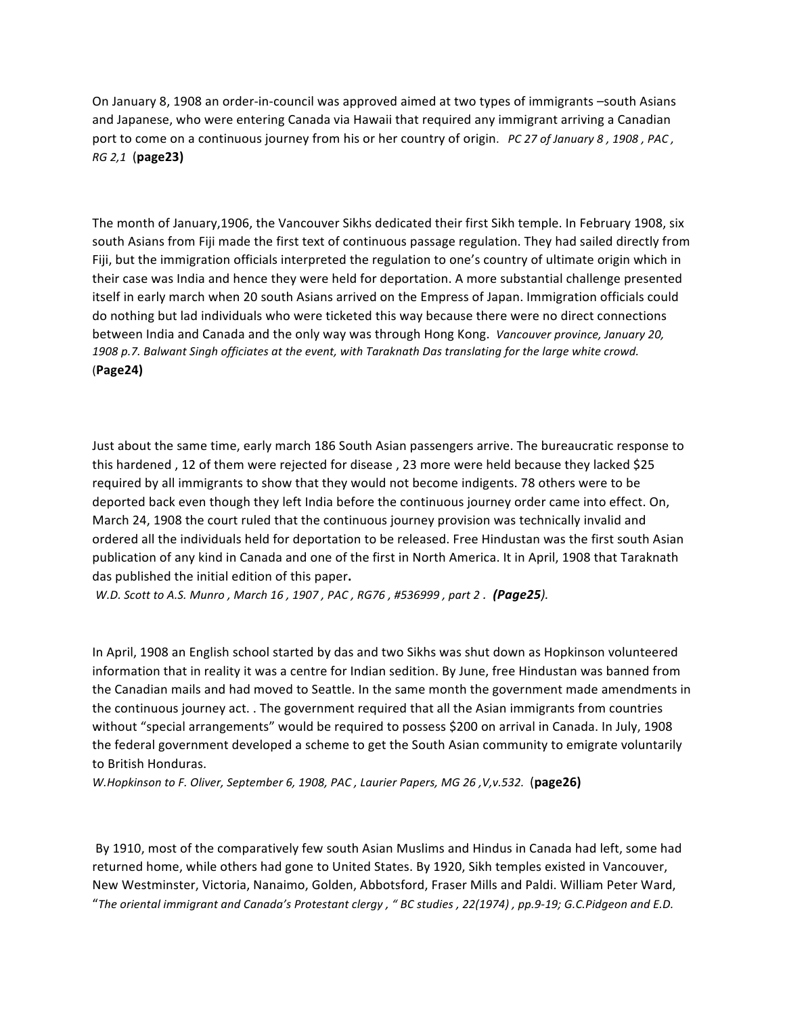On January 8, 1908 an order-in-council was approved aimed at two types of immigrants -south Asians and Japanese, who were entering Canada via Hawaii that required any immigrant arriving a Canadian port to come on a continuous journey from his or her country of origin. *PC 27 of January 8, 1908, PAC, RG 2,1* (**page23)**

The month of January,1906, the Vancouver Sikhs dedicated their first Sikh temple. In February 1908, six south Asians from Fiji made the first text of continuous passage regulation. They had sailed directly from Fiji, but the immigration officials interpreted the regulation to one's country of ultimate origin which in their case was India and hence they were held for deportation. A more substantial challenge presented itself in early march when 20 south Asians arrived on the Empress of Japan. Immigration officials could do nothing but lad individuals who were ticketed this way because there were no direct connections between India and Canada and the only way was through Hong Kong. *Vancouver province, January 20,* 1908 p.7. Balwant Singh officiates at the event, with Taraknath Das translating for the large white crowd. (**Page24)**

Just about the same time, early march 186 South Asian passengers arrive. The bureaucratic response to this hardened, 12 of them were rejected for disease, 23 more were held because they lacked \$25 required by all immigrants to show that they would not become indigents. 78 others were to be deported back even though they left India before the continuous journey order came into effect. On, March 24, 1908 the court ruled that the continuous journey provision was technically invalid and ordered all the individuals held for deportation to be released. Free Hindustan was the first south Asian publication of any kind in Canada and one of the first in North America. It in April, 1908 that Taraknath das published the initial edition of this paper.

*W.D.* Scott to A.S. Munro, March 16, 1907, PAC, RG76, #536999, part 2. **(Page25**).

In April, 1908 an English school started by das and two Sikhs was shut down as Hopkinson volunteered information that in reality it was a centre for Indian sedition. By June, free Hindustan was banned from the Canadian mails and had moved to Seattle. In the same month the government made amendments in the continuous journey act. . The government required that all the Asian immigrants from countries without "special arrangements" would be required to possess \$200 on arrival in Canada. In July, 1908 the federal government developed a scheme to get the South Asian community to emigrate voluntarily to British Honduras.

*W.Hopkinson to F. Oliver, September 6, 1908, PAC, Laurier Papers, MG 26, V,v.532.* (page26)

By 1910, most of the comparatively few south Asian Muslims and Hindus in Canada had left, some had returned home, while others had gone to United States. By 1920, Sikh temples existed in Vancouver, New Westminster, Victoria, Nanaimo, Golden, Abbotsford, Fraser Mills and Paldi. William Peter Ward, "The oriental immigrant and Canada's Protestant clergy, " BC studies, 22(1974), pp.9-19; G.C.Pidgeon and E.D.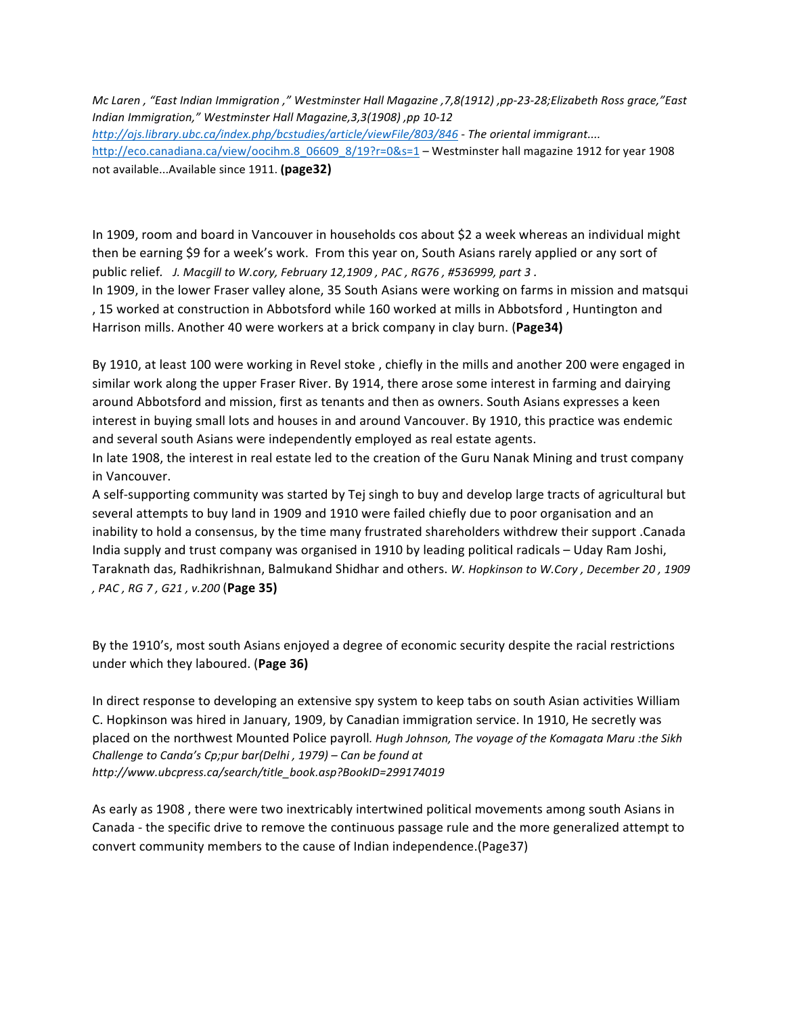*Mc Laren , "East Indian Immigration ," Westminster Hall Magazine ,7,8(1912) ,pp-23-28;Elizabeth Ross grace,"East Indian Immigration," Westminster Hall Magazine,3,3(1908) ,pp 10-12 http://ojs.library.ubc.ca/index.php/bcstudies/article/viewFile/803/846 - The oriental immigrant....* http://eco.canadiana.ca/view/oocihm.8\_06609\_8/19?r=0&s=1 – Westminster hall magazine 1912 for year 1908 not available...Available since 1911. (page32)

In 1909, room and board in Vancouver in households cos about \$2 a week whereas an individual might then be earning \$9 for a week's work. From this year on, South Asians rarely applied or any sort of public relief. *J. Macgill to W.cory, February 12,1909*, *PAC*, *RG76*, #536999, part 3.

In 1909, in the lower Fraser valley alone, 35 South Asians were working on farms in mission and matsqui , 15 worked at construction in Abbotsford while 160 worked at mills in Abbotsford, Huntington and Harrison mills. Another 40 were workers at a brick company in clay burn. (**Page34**)

By 1910, at least 100 were working in Revel stoke, chiefly in the mills and another 200 were engaged in similar work along the upper Fraser River. By 1914, there arose some interest in farming and dairying around Abbotsford and mission, first as tenants and then as owners. South Asians expresses a keen interest in buying small lots and houses in and around Vancouver. By 1910, this practice was endemic and several south Asians were independently employed as real estate agents.

In late 1908, the interest in real estate led to the creation of the Guru Nanak Mining and trust company in Vancouver.

A self-supporting community was started by Tej singh to buy and develop large tracts of agricultural but several attempts to buy land in 1909 and 1910 were failed chiefly due to poor organisation and an inability to hold a consensus, by the time many frustrated shareholders withdrew their support .Canada India supply and trust company was organised in 1910 by leading political radicals – Uday Ram Joshi, Taraknath das, Radhikrishnan, Balmukand Shidhar and others. *W. Hopkinson to W.Cory*, December 20, 1909 *, PAC , RG 7 , G21 , v.200* (**Page 35)**

By the 1910's, most south Asians enjoyed a degree of economic security despite the racial restrictions under which they laboured. (**Page 36)**

In direct response to developing an extensive spy system to keep tabs on south Asian activities William C. Hopkinson was hired in January, 1909, by Canadian immigration service. In 1910, He secretly was placed on the northwest Mounted Police payroll. Hugh Johnson, The voyage of the Komagata Maru :the Sikh *Challenge to Canda's Cp;pur bar(Delhi, 1979)* – *Can be found at http://www.ubcpress.ca/search/title\_book.asp?BookID=299174019*

As early as 1908, there were two inextricably intertwined political movements among south Asians in Canada - the specific drive to remove the continuous passage rule and the more generalized attempt to convert community members to the cause of Indian independence.(Page37)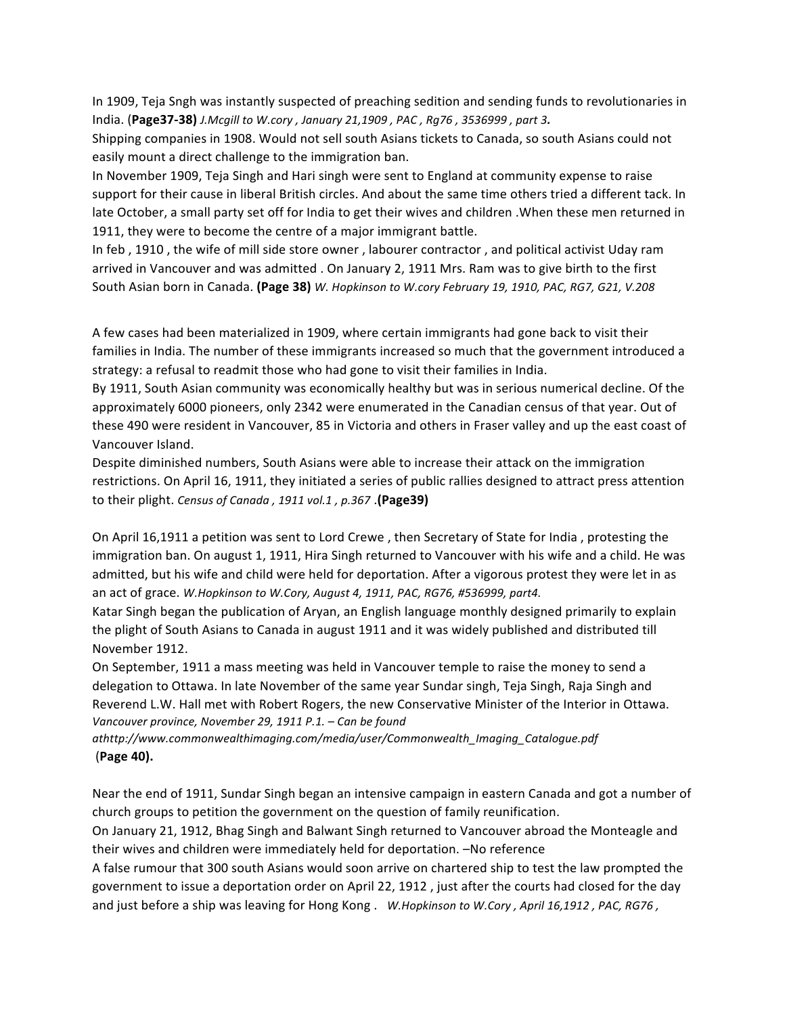In 1909, Teja Sngh was instantly suspected of preaching sedition and sending funds to revolutionaries in India. (Page37-38) *J.Mcgill to W.cory*, January 21,1909, PAC, Rg76, 3536999, part 3.

Shipping companies in 1908. Would not sell south Asians tickets to Canada, so south Asians could not easily mount a direct challenge to the immigration ban.

In November 1909, Teja Singh and Hari singh were sent to England at community expense to raise support for their cause in liberal British circles. And about the same time others tried a different tack. In late October, a small party set off for India to get their wives and children . When these men returned in 1911, they were to become the centre of a major immigrant battle.

In feb, 1910, the wife of mill side store owner, labourer contractor, and political activist Uday ram arrived in Vancouver and was admitted . On January 2, 1911 Mrs. Ram was to give birth to the first South Asian born in Canada. **(Page 38)** *W. Hopkinson to W.cory February 19, 1910, PAC, RG7, G21, V.208*

A few cases had been materialized in 1909, where certain immigrants had gone back to visit their families in India. The number of these immigrants increased so much that the government introduced a strategy: a refusal to readmit those who had gone to visit their families in India.

By 1911, South Asian community was economically healthy but was in serious numerical decline. Of the approximately 6000 pioneers, only 2342 were enumerated in the Canadian census of that year. Out of these 490 were resident in Vancouver, 85 in Victoria and others in Fraser valley and up the east coast of Vancouver Island.

Despite diminished numbers, South Asians were able to increase their attack on the immigration restrictions. On April 16, 1911, they initiated a series of public rallies designed to attract press attention to their plight. Census of Canada, 1911 vol.1, p.367. **(Page39)** 

On April 16,1911 a petition was sent to Lord Crewe, then Secretary of State for India, protesting the immigration ban. On august 1, 1911, Hira Singh returned to Vancouver with his wife and a child. He was admitted, but his wife and child were held for deportation. After a vigorous protest they were let in as an act of grace. W.Hopkinson to W.Cory, August 4, 1911, PAC, RG76, #536999, part4.

Katar Singh began the publication of Aryan, an English language monthly designed primarily to explain the plight of South Asians to Canada in august 1911 and it was widely published and distributed till November 1912.

On September, 1911 a mass meeting was held in Vancouver temple to raise the money to send a delegation to Ottawa. In late November of the same year Sundar singh, Teja Singh, Raja Singh and Reverend L.W. Hall met with Robert Rogers, the new Conservative Minister of the Interior in Ottawa. Vancouver province, November 29, 1911 P.1. - Can be found

*athttp://www.commonwealthimaging.com/media/user/Commonwealth\_Imaging\_Catalogue.pdf* (**Page 40).**

Near the end of 1911, Sundar Singh began an intensive campaign in eastern Canada and got a number of church groups to petition the government on the question of family reunification.

On January 21, 1912, Bhag Singh and Balwant Singh returned to Vancouver abroad the Monteagle and their wives and children were immediately held for deportation. -No reference

A false rumour that 300 south Asians would soon arrive on chartered ship to test the law prompted the government to issue a deportation order on April 22, 1912, just after the courts had closed for the day and just before a ship was leaving for Hong Kong. W.Hopkinson to W.Cory, April 16,1912, PAC, RG76,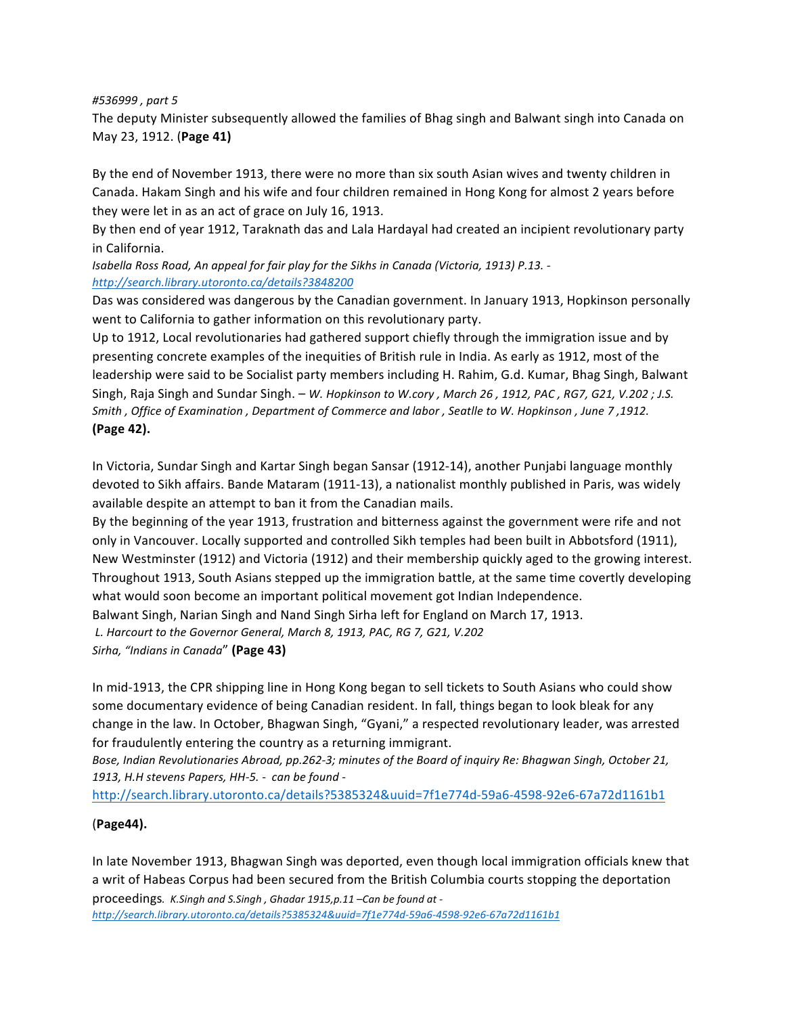*#536999 , part 5* 

The deputy Minister subsequently allowed the families of Bhag singh and Balwant singh into Canada on May 23, 1912. (**Page 41)**

By the end of November 1913, there were no more than six south Asian wives and twenty children in Canada. Hakam Singh and his wife and four children remained in Hong Kong for almost 2 years before they were let in as an act of grace on July 16, 1913.

By then end of year 1912, Taraknath das and Lala Hardayal had created an incipient revolutionary party in California.

Isabella Ross Road, An appeal for fair play for the Sikhs in Canada (Victoria, 1913) P.13. *http://search.library.utoronto.ca/details?3848200*

Das was considered was dangerous by the Canadian government. In January 1913, Hopkinson personally went to California to gather information on this revolutionary party.

Up to 1912, Local revolutionaries had gathered support chiefly through the immigration issue and by presenting concrete examples of the inequities of British rule in India. As early as 1912, most of the leadership were said to be Socialist party members including H. Rahim, G.d. Kumar, Bhag Singh, Balwant Singh, Raja Singh and Sundar Singh. – W. Hopkinson to W.cory, March 26, 1912, PAC, RG7, G21, V.202; J.S. *Smith*, *Office of Examination*, *Department of Commerce and labor*, *Seatlle to W. Hopkinson*, June 7,1912. **(Page 42).** 

In Victoria, Sundar Singh and Kartar Singh began Sansar (1912-14), another Punjabi language monthly devoted to Sikh affairs. Bande Mataram (1911-13), a nationalist monthly published in Paris, was widely available despite an attempt to ban it from the Canadian mails.

By the beginning of the year 1913, frustration and bitterness against the government were rife and not only in Vancouver. Locally supported and controlled Sikh temples had been built in Abbotsford (1911), New Westminster (1912) and Victoria (1912) and their membership quickly aged to the growing interest. Throughout 1913, South Asians stepped up the immigration battle, at the same time covertly developing what would soon become an important political movement got Indian Independence. Balwant Singh, Narian Singh and Nand Singh Sirha left for England on March 17, 1913.

L. Harcourt to the Governor General, March 8, 1913, PAC, RG 7, G21, V.202

*Sirha, "Indians in Canada*" **(Page 43)**

In mid-1913, the CPR shipping line in Hong Kong began to sell tickets to South Asians who could show some documentary evidence of being Canadian resident. In fall, things began to look bleak for any change in the law. In October, Bhagwan Singh, "Gyani," a respected revolutionary leader, was arrested for fraudulently entering the country as a returning immigrant.

Bose, Indian Revolutionaries Abroad, pp.262-3; minutes of the Board of inquiry Re: Bhagwan Singh, October 21, 1913, H.H stevens Papers, HH-5. - can be found -

http://search.library.utoronto.ca/details?5385324&uuid=7f1e774d-59a6-4598-92e6-67a72d1161b1

## (**Page44).**

In late November 1913, Bhagwan Singh was deported, even though local immigration officials knew that a writ of Habeas Corpus had been secured from the British Columbia courts stopping the deportation proceedings. *K.Singh and S.Singh, Ghadar 1915,p.11* -Can be found at -

*http://search.library.utoronto.ca/details?5385324&uuid=7f1e774d-59a6-4598-92e6-67a72d1161b1*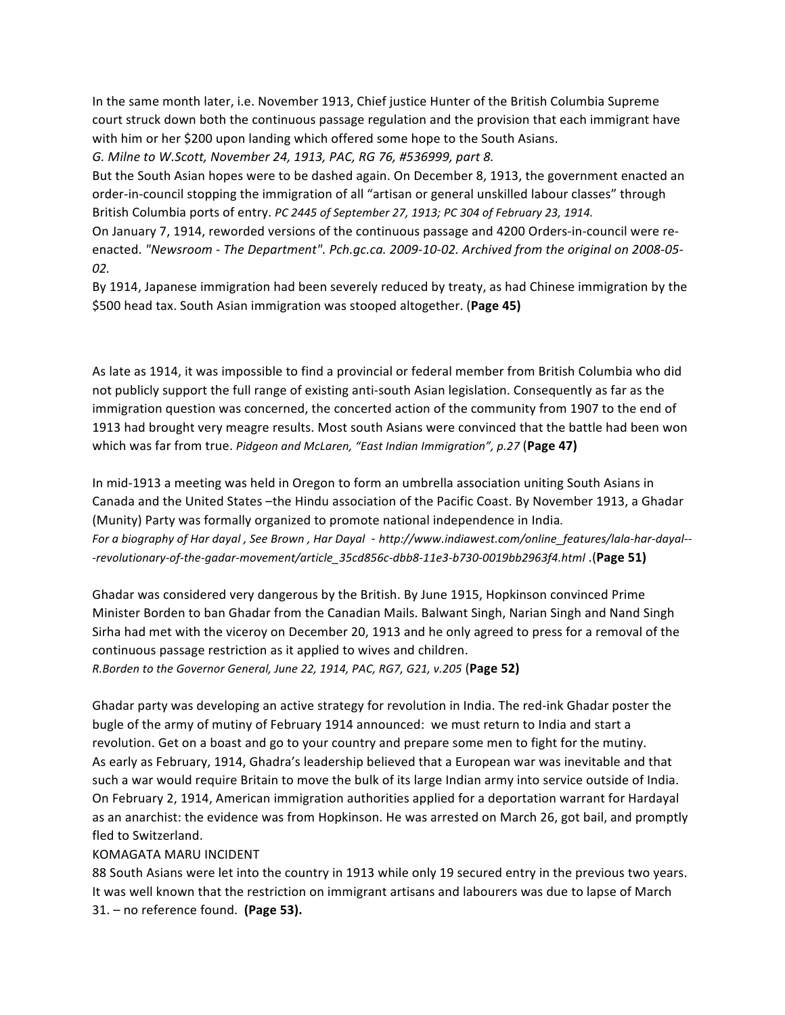In the same month later, i.e. November 1913, Chief justice Hunter of the British Columbia Supreme court struck down both the continuous passage regulation and the provision that each immigrant have with him or her \$200 upon landing which offered some hope to the South Asians. *G. Milne to W.Scott, November 24, 1913, PAC, RG 76, #536999, part 8.*

But the South Asian hopes were to be dashed again. On December 8, 1913, the government enacted an order-in-council stopping the immigration of all "artisan or general unskilled labour classes" through British Columbia ports of entry. *PC 2445 of September 27, 1913; PC 304 of February 23, 1914.* 

On January 7, 1914, reworded versions of the continuous passage and 4200 Orders-in-council were reenacted. "Newsroom - The Department". Pch.gc.ca. 2009-10-02. Archived from the original on 2008-05-*02.*

By 1914, Japanese immigration had been severely reduced by treaty, as had Chinese immigration by the \$500 head tax. South Asian immigration was stooped altogether. (Page 45)

As late as 1914, it was impossible to find a provincial or federal member from British Columbia who did not publicly support the full range of existing anti-south Asian legislation. Consequently as far as the immigration question was concerned, the concerted action of the community from 1907 to the end of 1913 had brought very meagre results. Most south Asians were convinced that the battle had been won which was far from true. *Pidgeon and McLaren, "East Indian Immigration", p.27* (Page 47)

In mid-1913 a meeting was held in Oregon to form an umbrella association uniting South Asians in Canada and the United States -the Hindu association of the Pacific Coast. By November 1913, a Ghadar (Munity) Party was formally organized to promote national independence in India. *For a biography of Har dayal , See Brown , Har Dayal* - *http://www.indiawest.com/online\_features/lala-har-dayal-- -revolutionary-of-the-gadar-movement/article\_35cd856c-dbb8-11e3-b730-0019bb2963f4.html* .(**Page 51)**

Ghadar was considered very dangerous by the British. By June 1915, Hopkinson convinced Prime Minister Borden to ban Ghadar from the Canadian Mails. Balwant Singh, Narian Singh and Nand Singh Sirha had met with the viceroy on December 20, 1913 and he only agreed to press for a removal of the continuous passage restriction as it applied to wives and children. *R.Borden to the Governor General, June 22, 1914, PAC, RG7, G21, v.205* (Page 52)

Ghadar party was developing an active strategy for revolution in India. The red-ink Ghadar poster the bugle of the army of mutiny of February 1914 announced: we must return to India and start a revolution. Get on a boast and go to your country and prepare some men to fight for the mutiny. As early as February, 1914, Ghadra's leadership believed that a European war was inevitable and that such a war would require Britain to move the bulk of its large Indian army into service outside of India. On February 2, 1914, American immigration authorities applied for a deportation warrant for Hardayal as an anarchist: the evidence was from Hopkinson. He was arrested on March 26, got bail, and promptly fled to Switzerland.

### KOMAGATA MARU INCIDENT

88 South Asians were let into the country in 1913 while only 19 secured entry in the previous two years. It was well known that the restriction on immigrant artisans and labourers was due to lapse of March 31. – no reference found. (Page 53).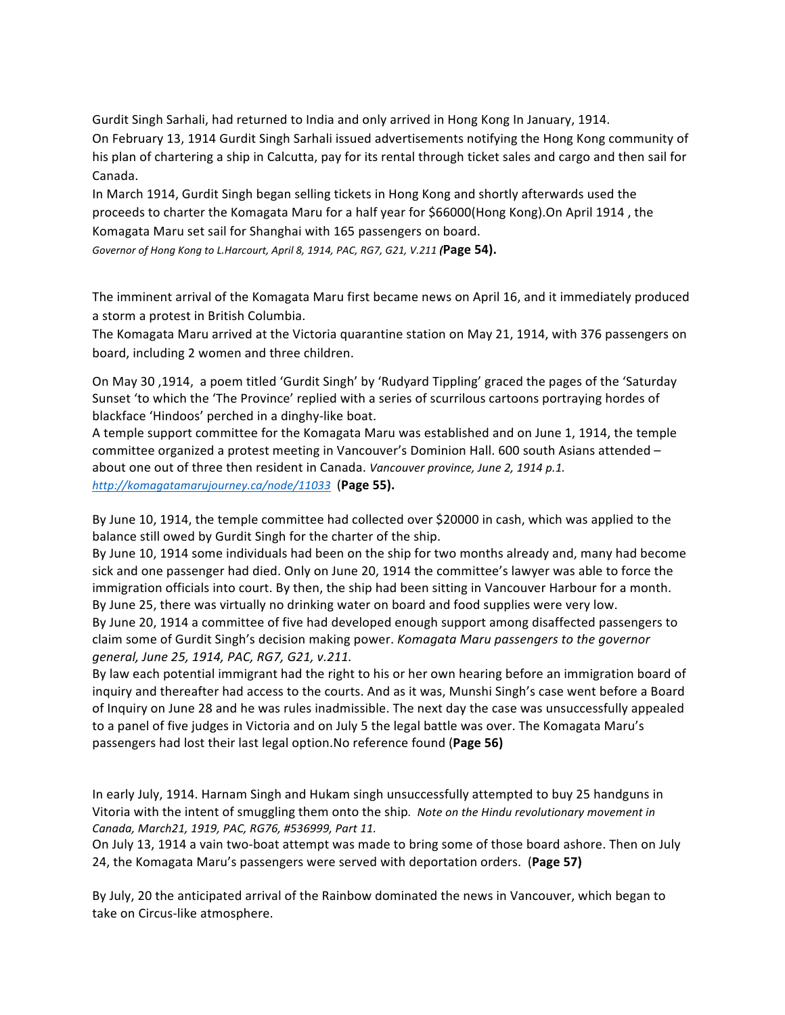Gurdit Singh Sarhali, had returned to India and only arrived in Hong Kong In January, 1914.

On February 13, 1914 Gurdit Singh Sarhali issued advertisements notifying the Hong Kong community of his plan of chartering a ship in Calcutta, pay for its rental through ticket sales and cargo and then sail for Canada. 

In March 1914, Gurdit Singh began selling tickets in Hong Kong and shortly afterwards used the proceeds to charter the Komagata Maru for a half year for \$66000(Hong Kong).On April 1914, the Komagata Maru set sail for Shanghai with 165 passengers on board.

*Governor of Hong Kong to L.Harcourt, April 8, 1914, PAC, RG7, G21, V.211 (***Page 54).**

The imminent arrival of the Komagata Maru first became news on April 16, and it immediately produced a storm a protest in British Columbia.

The Komagata Maru arrived at the Victoria quarantine station on May 21, 1914, with 376 passengers on board, including 2 women and three children.

On May 30, 1914, a poem titled 'Gurdit Singh' by 'Rudyard Tippling' graced the pages of the 'Saturday Sunset 'to which the 'The Province' replied with a series of scurrilous cartoons portraying hordes of blackface 'Hindoos' perched in a dinghy-like boat.

A temple support committee for the Komagata Maru was established and on June 1, 1914, the temple committee organized a protest meeting in Vancouver's Dominion Hall. 600 south Asians attended about one out of three then resident in Canada. *Vancouver province, June 2, 1914 p.1. http://komagatamarujourney.ca/node/11033* (**Page 55).**

By June 10, 1914, the temple committee had collected over \$20000 in cash, which was applied to the balance still owed by Gurdit Singh for the charter of the ship.

By June 10, 1914 some individuals had been on the ship for two months already and, many had become sick and one passenger had died. Only on June 20, 1914 the committee's lawyer was able to force the immigration officials into court. By then, the ship had been sitting in Vancouver Harbour for a month. By June 25, there was virtually no drinking water on board and food supplies were very low.

By June 20, 1914 a committee of five had developed enough support among disaffected passengers to claim some of Gurdit Singh's decision making power. *Komagata Maru passengers to the governor general, June 25, 1914, PAC, RG7, G21, v.211.* 

By law each potential immigrant had the right to his or her own hearing before an immigration board of inquiry and thereafter had access to the courts. And as it was, Munshi Singh's case went before a Board of Inquiry on June 28 and he was rules inadmissible. The next day the case was unsuccessfully appealed to a panel of five judges in Victoria and on July 5 the legal battle was over. The Komagata Maru's passengers had lost their last legal option.No reference found (Page 56)

In early July, 1914. Harnam Singh and Hukam singh unsuccessfully attempted to buy 25 handguns in Vitoria with the intent of smuggling them onto the ship. Note on the Hindu revolutionary movement in *Canada, March21, 1919, PAC, RG76, #536999, Part 11.*

On July 13, 1914 a vain two-boat attempt was made to bring some of those board ashore. Then on July 24, the Komagata Maru's passengers were served with deportation orders. (Page 57)

By July, 20 the anticipated arrival of the Rainbow dominated the news in Vancouver, which began to take on Circus-like atmosphere.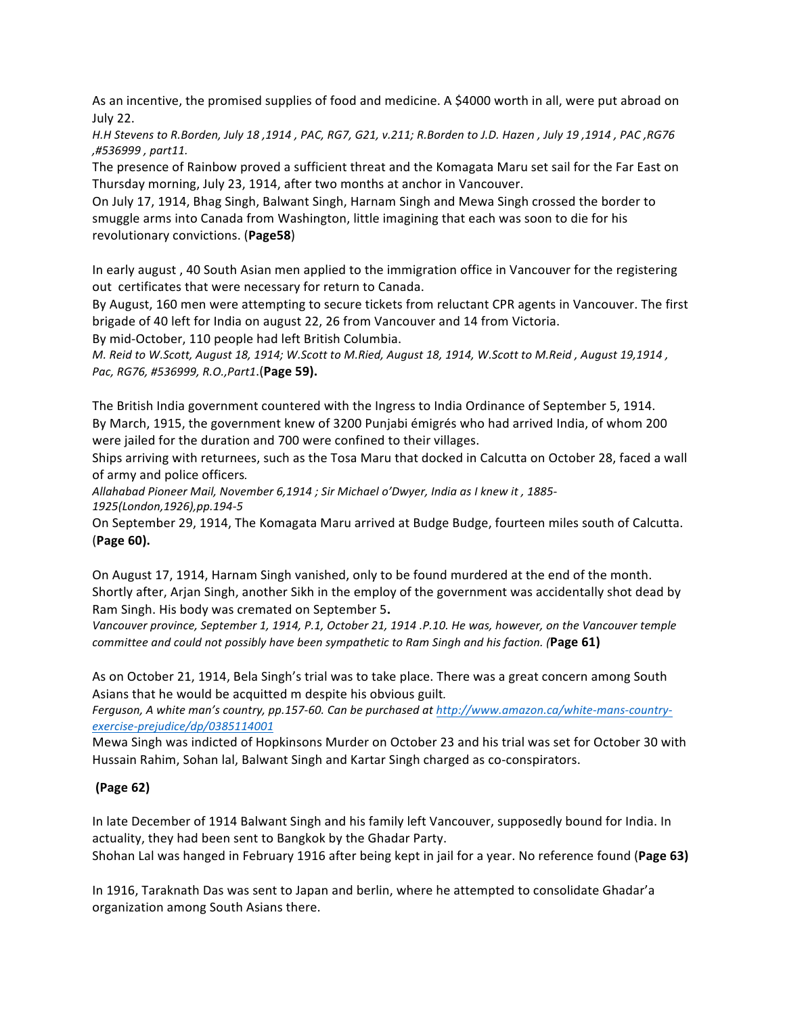As an incentive, the promised supplies of food and medicine. A \$4000 worth in all, were put abroad on July 22.

*H.H Stevens to R.Borden, July 18 ,1914 , PAC, RG7, G21, v.211; R.Borden to J.D. Hazen , July 19 ,1914 , PAC ,RG76 ,#536999 , part11.*

The presence of Rainbow proved a sufficient threat and the Komagata Maru set sail for the Far East on Thursday morning, July 23, 1914, after two months at anchor in Vancouver.

On July 17, 1914, Bhag Singh, Balwant Singh, Harnam Singh and Mewa Singh crossed the border to smuggle arms into Canada from Washington, little imagining that each was soon to die for his revolutionary convictions. (**Page58**)

In early august, 40 South Asian men applied to the immigration office in Vancouver for the registering out certificates that were necessary for return to Canada.

By August, 160 men were attempting to secure tickets from reluctant CPR agents in Vancouver. The first brigade of 40 left for India on august 22, 26 from Vancouver and 14 from Victoria.

By mid-October, 110 people had left British Columbia.

*M. Reid to W.Scott, August 18, 1914; W.Scott to M.Ried, August 18, 1914, W.Scott to M.Reid , August 19,1914 , Pac, RG76, #536999, R.O.,Part1*.(**Page 59).**

The British India government countered with the Ingress to India Ordinance of September 5, 1914. By March, 1915, the government knew of 3200 Punjabi émigrés who had arrived India, of whom 200 were jailed for the duration and 700 were confined to their villages.

Ships arriving with returnees, such as the Tosa Maru that docked in Calcutta on October 28, faced a wall of army and police officers.

Allahabad Pioneer Mail, November 6,1914 ; Sir Michael o'Dwyer, India as I knew it, 1885-*1925(London,1926),pp.194-5*

On September 29, 1914, The Komagata Maru arrived at Budge Budge, fourteen miles south of Calcutta. (**Page 60).**

On August 17, 1914, Harnam Singh vanished, only to be found murdered at the end of the month. Shortly after, Arjan Singh, another Sikh in the employ of the government was accidentally shot dead by Ram Singh. His body was cremated on September 5.

*Vancouver province, September 1, 1914, P.1, October 21, 1914 .P.10. He was, however, on the Vancouver temple committee and could not possibly have been sympathetic to Ram Singh and his faction.* (Page 61)

As on October 21, 1914, Bela Singh's trial was to take place. There was a great concern among South Asians that he would be acquitted m despite his obvious guilt.

Ferguson, A white man's country, pp.157-60. Can be purchased at http://www.amazon.ca/white-mans-country*exercise-prejudice/dp/0385114001*

Mewa Singh was indicted of Hopkinsons Murder on October 23 and his trial was set for October 30 with Hussain Rahim, Sohan lal, Balwant Singh and Kartar Singh charged as co-conspirators.

### **(Page 62)**

In late December of 1914 Balwant Singh and his family left Vancouver, supposedly bound for India. In actuality, they had been sent to Bangkok by the Ghadar Party.

Shohan Lal was hanged in February 1916 after being kept in jail for a year. No reference found (Page 63)

In 1916, Taraknath Das was sent to Japan and berlin, where he attempted to consolidate Ghadar'a organization among South Asians there.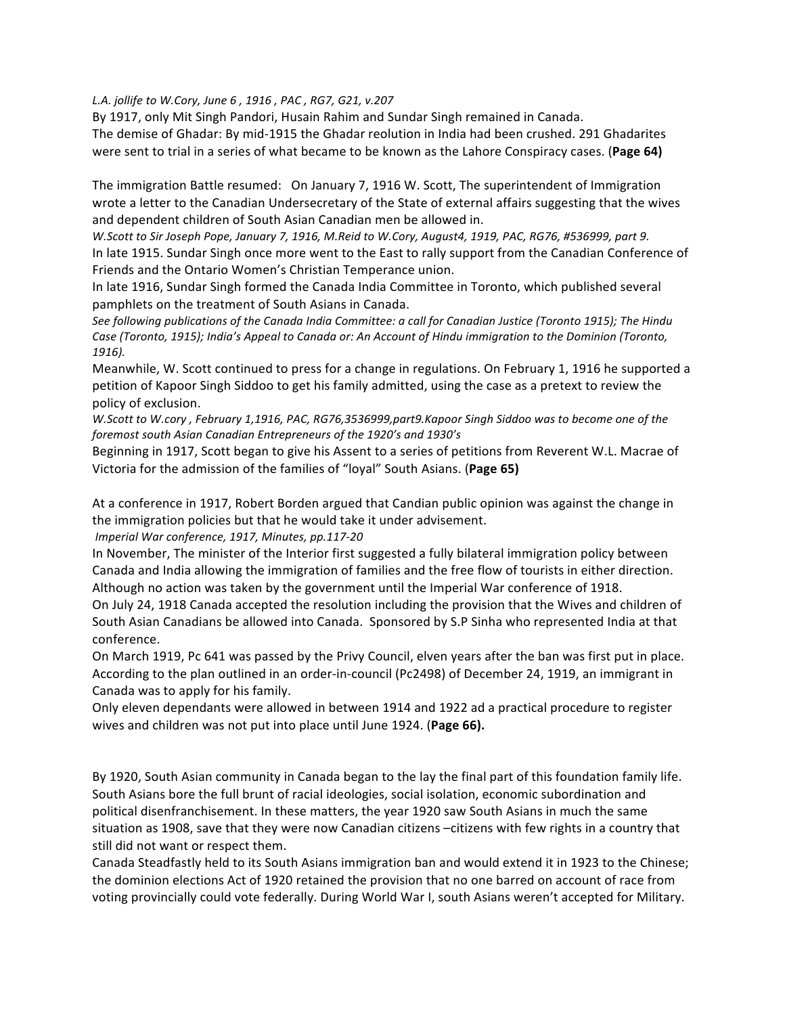*L.A. jollife to W.Cory, June 6 , 1916 , PAC , RG7, G21, v.207*

By 1917, only Mit Singh Pandori, Husain Rahim and Sundar Singh remained in Canada. The demise of Ghadar: By mid-1915 the Ghadar reolution in India had been crushed. 291 Ghadarites were sent to trial in a series of what became to be known as the Lahore Conspiracy cases. (Page 64)

The immigration Battle resumed: On January 7, 1916 W. Scott, The superintendent of Immigration wrote a letter to the Canadian Undersecretary of the State of external affairs suggesting that the wives and dependent children of South Asian Canadian men be allowed in.

*W.Scott to Sir Joseph Pope, January 7, 1916, M.Reid to W.Cory, August4, 1919, PAC, RG76, #536999, part 9.* In late 1915. Sundar Singh once more went to the East to rally support from the Canadian Conference of Friends and the Ontario Women's Christian Temperance union.

In late 1916, Sundar Singh formed the Canada India Committee in Toronto, which published several pamphlets on the treatment of South Asians in Canada.

See following publications of the Canada India Committee: a call for Canadian Justice (Toronto 1915); The Hindu Case (Toronto, 1915); India's Appeal to Canada or: An Account of Hindu immigration to the Dominion (Toronto, *1916).*

Meanwhile, W. Scott continued to press for a change in regulations. On February 1, 1916 he supported a petition of Kapoor Singh Siddoo to get his family admitted, using the case as a pretext to review the policy of exclusion.

*W.Scott to W.cory*, February 1,1916, PAC, RG76,3536999,part9.Kapoor Singh Siddoo was to become one of the foremost south Asian Canadian Entrepreneurs of the 1920's and 1930's

Beginning in 1917, Scott began to give his Assent to a series of petitions from Reverent W.L. Macrae of Victoria for the admission of the families of "loyal" South Asians. (Page 65)

At a conference in 1917, Robert Borden argued that Candian public opinion was against the change in the immigration policies but that he would take it under advisement.

*Imperial War conference, 1917, Minutes, pp.117-20*

In November, The minister of the Interior first suggested a fully bilateral immigration policy between Canada and India allowing the immigration of families and the free flow of tourists in either direction. Although no action was taken by the government until the Imperial War conference of 1918.

On July 24, 1918 Canada accepted the resolution including the provision that the Wives and children of South Asian Canadians be allowed into Canada. Sponsored by S.P Sinha who represented India at that conference.

On March 1919, Pc 641 was passed by the Privy Council, elven years after the ban was first put in place. According to the plan outlined in an order-in-council (Pc2498) of December 24, 1919, an immigrant in Canada was to apply for his family.

Only eleven dependants were allowed in between 1914 and 1922 ad a practical procedure to register wives and children was not put into place until June 1924. (Page 66).

By 1920, South Asian community in Canada began to the lay the final part of this foundation family life. South Asians bore the full brunt of racial ideologies, social isolation, economic subordination and political disenfranchisement. In these matters, the year 1920 saw South Asians in much the same situation as 1908, save that they were now Canadian citizens  $-$ citizens with few rights in a country that still did not want or respect them.

Canada Steadfastly held to its South Asians immigration ban and would extend it in 1923 to the Chinese; the dominion elections Act of 1920 retained the provision that no one barred on account of race from voting provincially could vote federally. During World War I, south Asians weren't accepted for Military.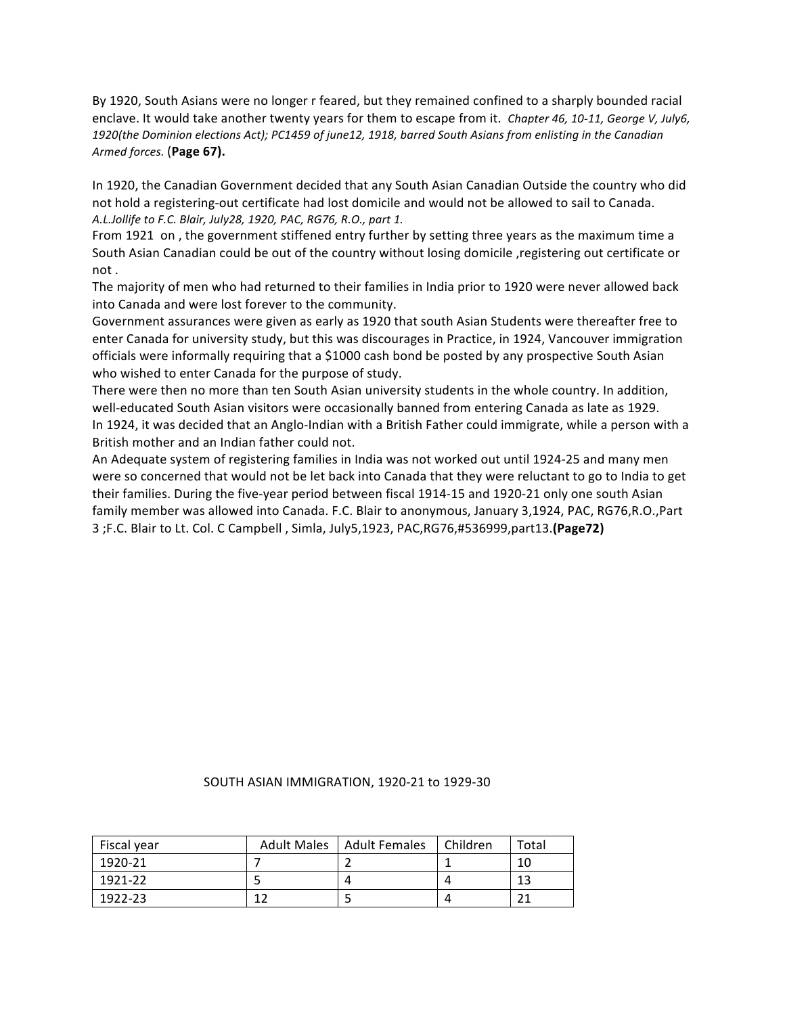By 1920, South Asians were no longer r feared, but they remained confined to a sharply bounded racial enclave. It would take another twenty years for them to escape from it. *Chapter 46, 10-11, George V, July6,* 1920(the Dominion elections Act); PC1459 of june12, 1918, barred South Asians from enlisting in the Canadian *Armed forces.* (**Page 67).**

In 1920, the Canadian Government decided that any South Asian Canadian Outside the country who did not hold a registering-out certificate had lost domicile and would not be allowed to sail to Canada. *A.L.Jollife to F.C. Blair, July28, 1920, PAC, RG76, R.O., part 1.*

From 1921 on, the government stiffened entry further by setting three years as the maximum time a South Asian Canadian could be out of the country without losing domicile , registering out certificate or not.

The majority of men who had returned to their families in India prior to 1920 were never allowed back into Canada and were lost forever to the community.

Government assurances were given as early as 1920 that south Asian Students were thereafter free to enter Canada for university study, but this was discourages in Practice, in 1924, Vancouver immigration officials were informally requiring that a \$1000 cash bond be posted by any prospective South Asian who wished to enter Canada for the purpose of study.

There were then no more than ten South Asian university students in the whole country. In addition, well-educated South Asian visitors were occasionally banned from entering Canada as late as 1929. In 1924, it was decided that an Anglo-Indian with a British Father could immigrate, while a person with a British mother and an Indian father could not.

An Adequate system of registering families in India was not worked out until 1924-25 and many men were so concerned that would not be let back into Canada that they were reluctant to go to India to get their families. During the five-year period between fiscal 1914-15 and 1920-21 only one south Asian family member was allowed into Canada. F.C. Blair to anonymous, January 3,1924, PAC, RG76,R.O.,Part 3 ;F.C. Blair to Lt. Col. C Campbell , Simla, July5,1923, PAC,RG76,#536999,part13.**(Page72)**

#### SOUTH ASIAN IMMIGRATION, 1920-21 to 1929-30

| Fiscal year | Adult Males   Adult Females | l Children | Total |
|-------------|-----------------------------|------------|-------|
| 1920-21     |                             |            | 10    |
| 1921-22     |                             |            | 12    |
| 1922-23     |                             |            |       |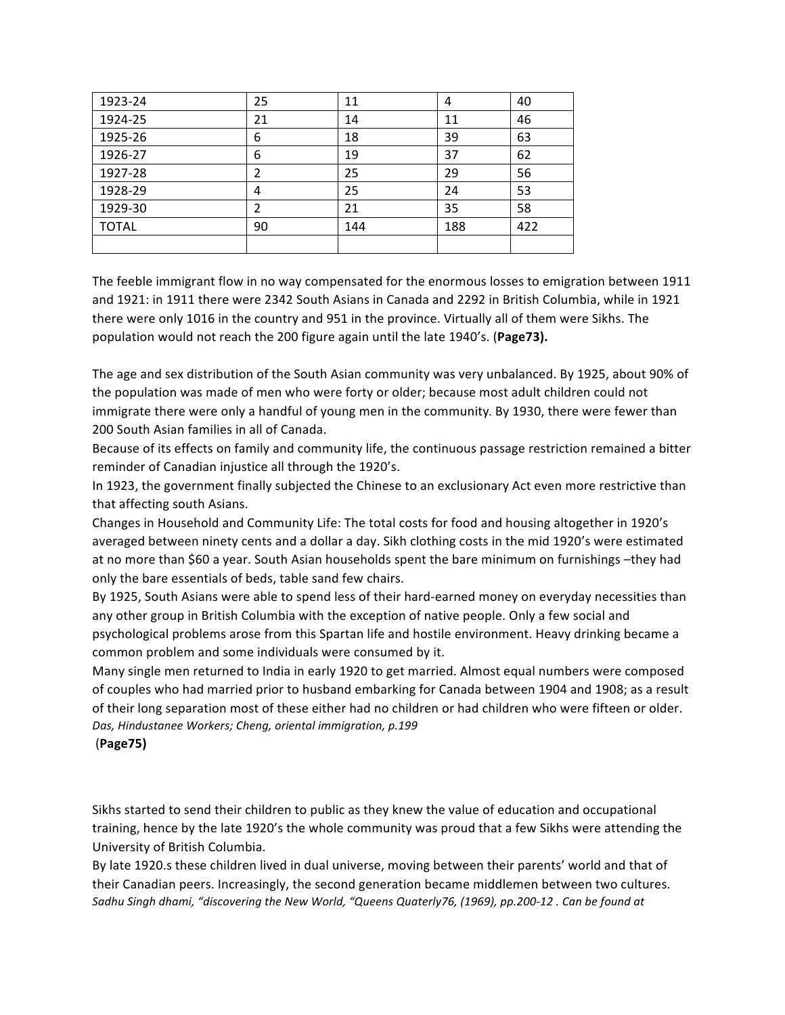| 1923-24      | 25 | 11  | 4   | 40  |
|--------------|----|-----|-----|-----|
| 1924-25      | 21 | 14  | 11  | 46  |
| 1925-26      | 6  | 18  | 39  | 63  |
| 1926-27      | 6  | 19  | 37  | 62  |
| 1927-28      |    | 25  | 29  | 56  |
| 1928-29      | 4  | 25  | 24  | 53  |
| 1929-30      |    | 21  | 35  | 58  |
| <b>TOTAL</b> | 90 | 144 | 188 | 422 |
|              |    |     |     |     |

The feeble immigrant flow in no way compensated for the enormous losses to emigration between 1911 and 1921: in 1911 there were 2342 South Asians in Canada and 2292 in British Columbia, while in 1921 there were only 1016 in the country and 951 in the province. Virtually all of them were Sikhs. The population would not reach the 200 figure again until the late 1940's. (Page73).

The age and sex distribution of the South Asian community was very unbalanced. By 1925, about 90% of the population was made of men who were forty or older; because most adult children could not immigrate there were only a handful of young men in the community. By 1930, there were fewer than 200 South Asian families in all of Canada.

Because of its effects on family and community life, the continuous passage restriction remained a bitter reminder of Canadian injustice all through the 1920's.

In 1923, the government finally subjected the Chinese to an exclusionary Act even more restrictive than that affecting south Asians.

Changes in Household and Community Life: The total costs for food and housing altogether in 1920's averaged between ninety cents and a dollar a day. Sikh clothing costs in the mid 1920's were estimated at no more than \$60 a year. South Asian households spent the bare minimum on furnishings -they had only the bare essentials of beds, table sand few chairs.

By 1925, South Asians were able to spend less of their hard-earned money on everyday necessities than any other group in British Columbia with the exception of native people. Only a few social and psychological problems arose from this Spartan life and hostile environment. Heavy drinking became a common problem and some individuals were consumed by it.

Many single men returned to India in early 1920 to get married. Almost equal numbers were composed of couples who had married prior to husband embarking for Canada between 1904 and 1908; as a result of their long separation most of these either had no children or had children who were fifteen or older. Das, Hindustanee Workers; Cheng, oriental immigration, p.199

### (**Page75)**

Sikhs started to send their children to public as they knew the value of education and occupational training, hence by the late 1920's the whole community was proud that a few Sikhs were attending the University of British Columbia.

By late 1920.s these children lived in dual universe, moving between their parents' world and that of their Canadian peers. Increasingly, the second generation became middlemen between two cultures. Sadhu Singh dhami, "discovering the New World, "Queens Quaterly76, (1969), pp.200-12 . Can be found at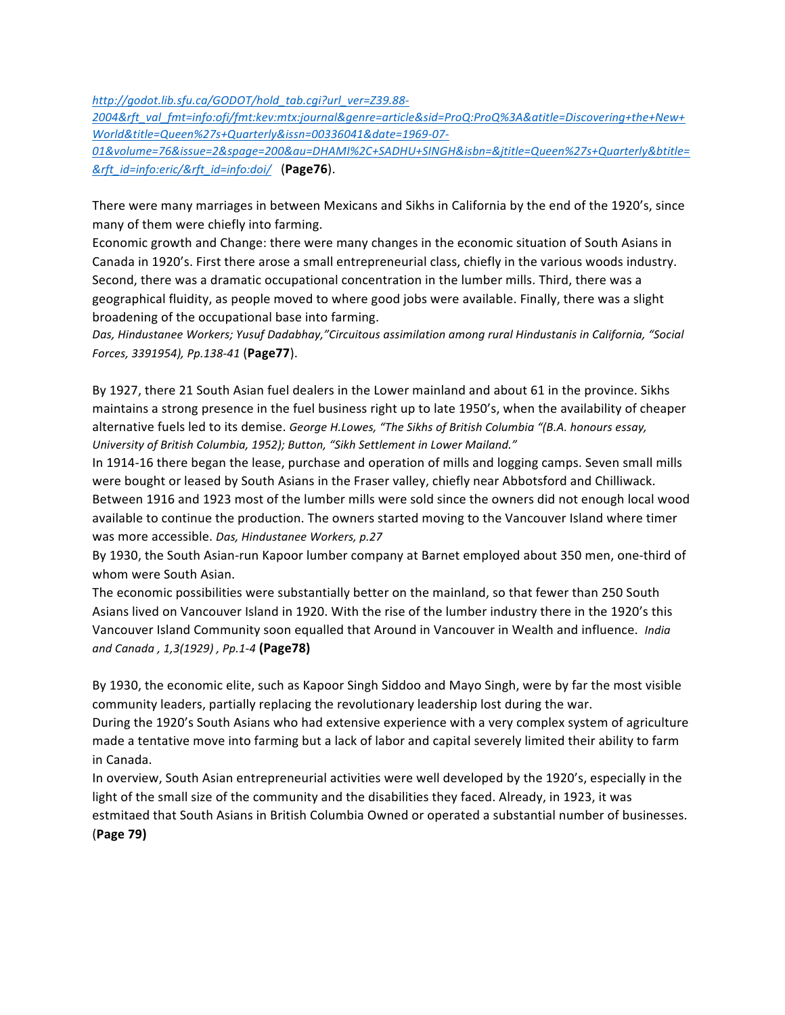*http://godot.lib.sfu.ca/GODOT/hold\_tab.cgi?url\_ver=Z39.88-*

*2004&rft\_val\_fmt=info:ofi/fmt:kev:mtx:journal&genre=article&sid=ProQ:ProQ%3A&atitle=Discovering+the+New+ World&title=Queen%27s+Quarterly&issn=00336041&date=1969-07-*

*01&volume=76&issue=2&spage=200&au=DHAMI%2C+SADHU+SINGH&isbn=&jtitle=Queen%27s+Quarterly&btitle= &rft\_id=info:eric/&rft\_id=info:doi/* (**Page76**).

There were many marriages in between Mexicans and Sikhs in California by the end of the 1920's, since many of them were chiefly into farming.

Economic growth and Change: there were many changes in the economic situation of South Asians in Canada in 1920's. First there arose a small entrepreneurial class, chiefly in the various woods industry. Second, there was a dramatic occupational concentration in the lumber mills. Third, there was a geographical fluidity, as people moved to where good jobs were available. Finally, there was a slight broadening of the occupational base into farming.

Das, Hindustanee Workers; Yusuf Dadabhay,"Circuitous assimilation among rural Hindustanis in California, "Social *Forces, 3391954), Pp.138-41* (**Page77**).

By 1927, there 21 South Asian fuel dealers in the Lower mainland and about 61 in the province. Sikhs maintains a strong presence in the fuel business right up to late 1950's, when the availability of cheaper alternative fuels led to its demise. *George H.Lowes, "The Sikhs of British Columbia "(B.A. honours essay, University of British Columbia, 1952); Button, "Sikh Settlement in Lower Mailand."*

In 1914-16 there began the lease, purchase and operation of mills and logging camps. Seven small mills were bought or leased by South Asians in the Fraser valley, chiefly near Abbotsford and Chilliwack. Between 1916 and 1923 most of the lumber mills were sold since the owners did not enough local wood available to continue the production. The owners started moving to the Vancouver Island where timer was more accessible. *Das, Hindustanee Workers, p.27* 

By 1930, the South Asian-run Kapoor lumber company at Barnet employed about 350 men, one-third of whom were South Asian.

The economic possibilities were substantially better on the mainland, so that fewer than 250 South Asians lived on Vancouver Island in 1920. With the rise of the lumber industry there in the 1920's this Vancouver Island Community soon equalled that Around in Vancouver in Wealth and influence. *India and Canada , 1,3(1929) , Pp.1-4* **(Page78)**

By 1930, the economic elite, such as Kapoor Singh Siddoo and Mayo Singh, were by far the most visible community leaders, partially replacing the revolutionary leadership lost during the war.

During the 1920's South Asians who had extensive experience with a very complex system of agriculture made a tentative move into farming but a lack of labor and capital severely limited their ability to farm in Canada. 

In overview, South Asian entrepreneurial activities were well developed by the 1920's, especially in the light of the small size of the community and the disabilities they faced. Already, in 1923, it was estmitaed that South Asians in British Columbia Owned or operated a substantial number of businesses. (**Page 79)**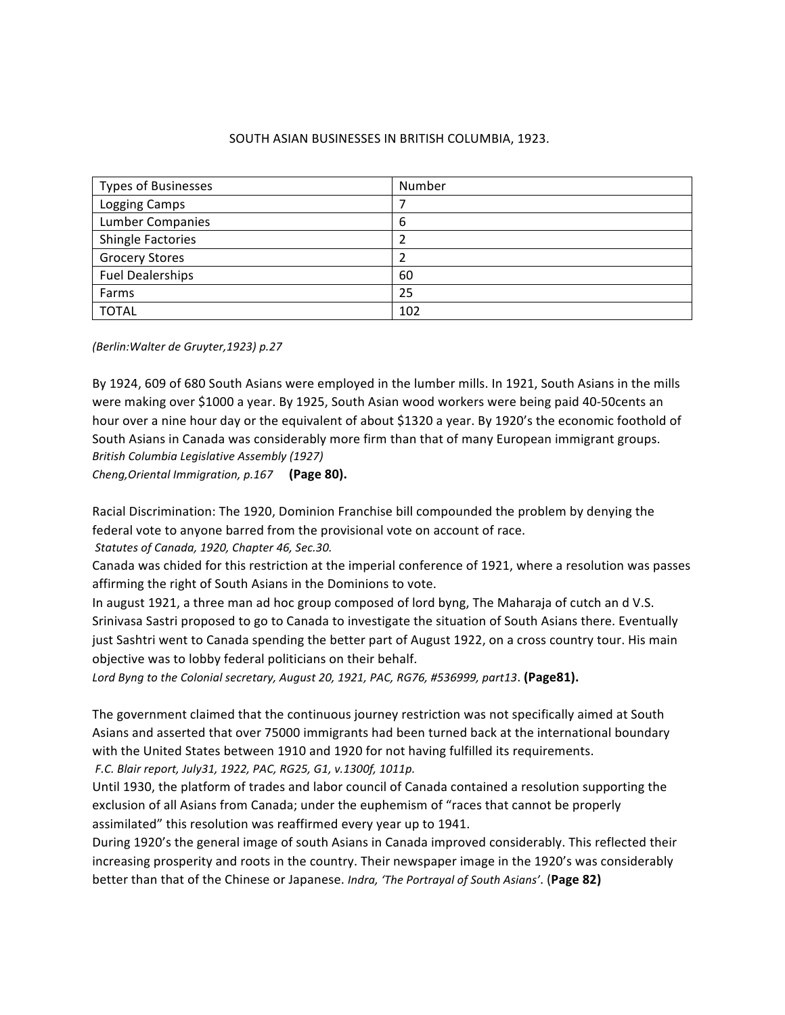#### SOUTH ASIAN BUSINESSES IN BRITISH COLUMBIA, 1923.

| <b>Types of Businesses</b> | Number |
|----------------------------|--------|
| Logging Camps              |        |
| <b>Lumber Companies</b>    | 6      |
| <b>Shingle Factories</b>   |        |
| <b>Grocery Stores</b>      |        |
| <b>Fuel Dealerships</b>    | 60     |
| Farms                      | 25     |
| <b>TOTAL</b>               | 102    |

*(Berlin:Walter de Gruyter,1923) p.27*

By 1924, 609 of 680 South Asians were employed in the lumber mills. In 1921, South Asians in the mills were making over \$1000 a year. By 1925, South Asian wood workers were being paid 40-50cents an hour over a nine hour day or the equivalent of about \$1320 a year. By 1920's the economic foothold of South Asians in Canada was considerably more firm than that of many European immigrant groups. *British Columbia Legislative Assembly (1927)*

*Cheng, Oriental Immigration, p.167* (Page 80).

Racial Discrimination: The 1920, Dominion Franchise bill compounded the problem by denying the federal vote to anyone barred from the provisional vote on account of race.

*Statutes of Canada, 1920, Chapter 46, Sec.30.*

Canada was chided for this restriction at the imperial conference of 1921, where a resolution was passes affirming the right of South Asians in the Dominions to vote.

In august 1921, a three man ad hoc group composed of lord byng, The Maharaja of cutch an d V.S. Srinivasa Sastri proposed to go to Canada to investigate the situation of South Asians there. Eventually just Sashtri went to Canada spending the better part of August 1922, on a cross country tour. His main objective was to lobby federal politicians on their behalf.

Lord Byng to the Colonial secretary, August 20, 1921, PAC, RG76, #536999, part13. **(Page81).** 

The government claimed that the continuous journey restriction was not specifically aimed at South Asians and asserted that over 75000 immigrants had been turned back at the international boundary with the United States between 1910 and 1920 for not having fulfilled its requirements.

*F.C. Blair report, July31, 1922, PAC, RG25, G1, v.1300f, 1011p.*

Until 1930, the platform of trades and labor council of Canada contained a resolution supporting the exclusion of all Asians from Canada; under the euphemism of "races that cannot be properly assimilated" this resolution was reaffirmed every year up to 1941.

During 1920's the general image of south Asians in Canada improved considerably. This reflected their increasing prosperity and roots in the country. Their newspaper image in the 1920's was considerably better than that of the Chinese or Japanese. *Indra, 'The Portrayal of South Asians'*. (Page 82)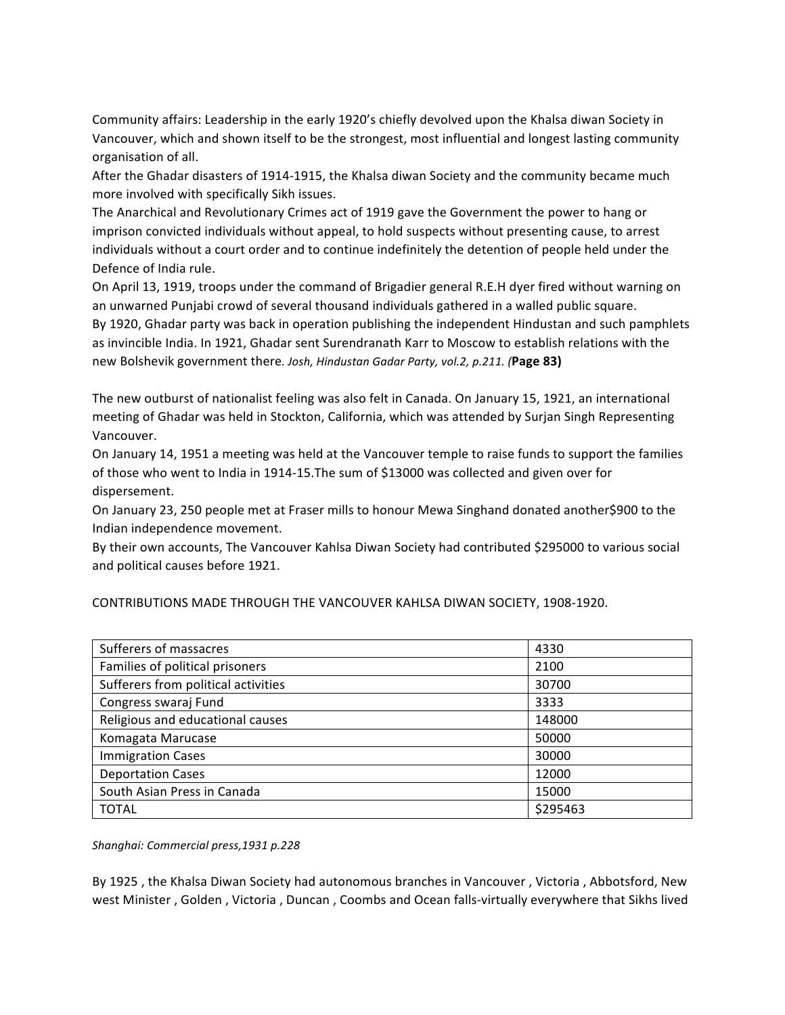Community affairs: Leadership in the early 1920's chiefly devolved upon the Khalsa diwan Society in Vancouver, which and shown itself to be the strongest, most influential and longest lasting community organisation of all. 

After the Ghadar disasters of 1914-1915, the Khalsa diwan Society and the community became much more involved with specifically Sikh issues.

The Anarchical and Revolutionary Crimes act of 1919 gave the Government the power to hang or imprison convicted individuals without appeal, to hold suspects without presenting cause, to arrest individuals without a court order and to continue indefinitely the detention of people held under the Defence of India rule.

On April 13, 1919, troops under the command of Brigadier general R.E.H dyer fired without warning on an unwarned Punjabi crowd of several thousand individuals gathered in a walled public square. By 1920, Ghadar party was back in operation publishing the independent Hindustan and such pamphlets as invincible India. In 1921, Ghadar sent Surendranath Karr to Moscow to establish relations with the new Bolshevik government there. Josh, Hindustan Gadar Party, vol.2, p.211. (Page 83)

The new outburst of nationalist feeling was also felt in Canada. On January 15, 1921, an international meeting of Ghadar was held in Stockton, California, which was attended by Surjan Singh Representing Vancouver. 

On January 14, 1951 a meeting was held at the Vancouver temple to raise funds to support the families of those who went to India in 1914-15. The sum of \$13000 was collected and given over for dispersement.

On January 23, 250 people met at Fraser mills to honour Mewa Singhand donated another\$900 to the Indian independence movement.

By their own accounts, The Vancouver Kahlsa Diwan Society had contributed \$295000 to various social and political causes before 1921.

CONTRIBUTIONS MADE THROUGH THE VANCOUVER KAHLSA DIWAN SOCIETY, 1908-1920.

| Sufferers of massacres              | 4330     |
|-------------------------------------|----------|
| Families of political prisoners     | 2100     |
| Sufferers from political activities | 30700    |
| Congress swaraj Fund                | 3333     |
| Religious and educational causes    | 148000   |
| Komagata Marucase                   | 50000    |
| <b>Immigration Cases</b>            | 30000    |
| <b>Deportation Cases</b>            | 12000    |
| South Asian Press in Canada         | 15000    |
| <b>TOTAL</b>                        | \$295463 |

*Shanghai: Commercial press,1931 p.228*

By 1925, the Khalsa Diwan Society had autonomous branches in Vancouver, Victoria, Abbotsford, New west Minister, Golden, Victoria, Duncan, Coombs and Ocean falls-virtually everywhere that Sikhs lived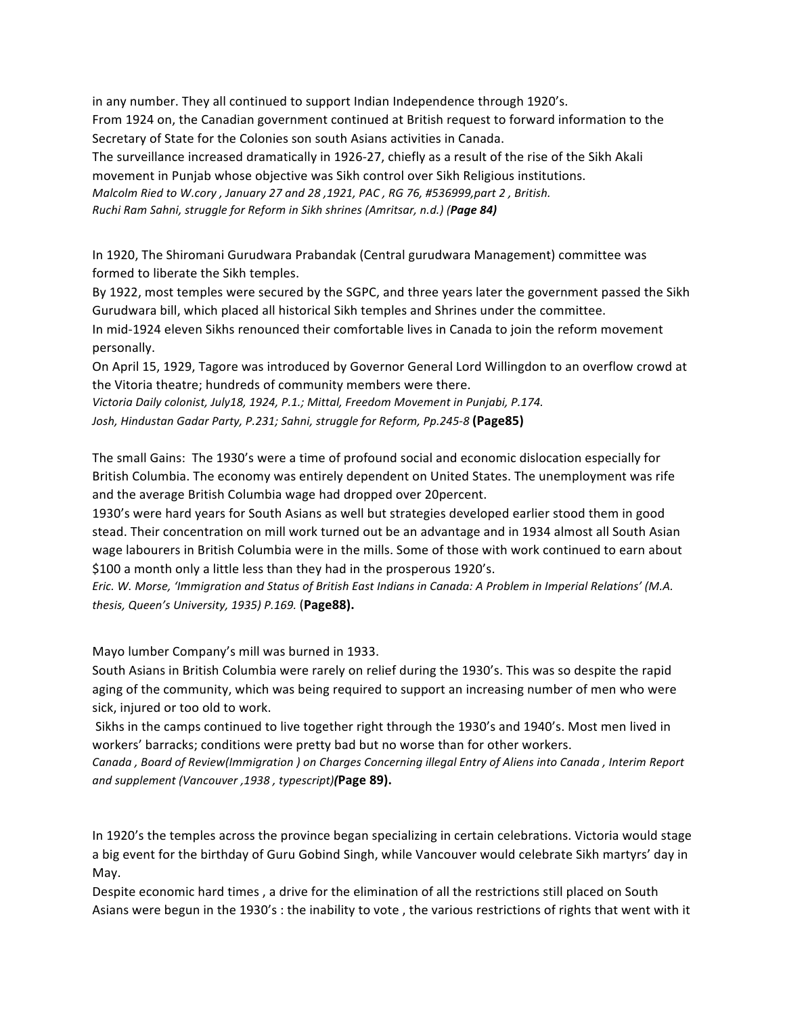in any number. They all continued to support Indian Independence through 1920's. From 1924 on, the Canadian government continued at British request to forward information to the Secretary of State for the Colonies son south Asians activities in Canada. The surveillance increased dramatically in 1926-27, chiefly as a result of the rise of the Sikh Akali

movement in Punjab whose objective was Sikh control over Sikh Religious institutions. *Malcolm Ried to W.cory , January 27 and 28 ,1921, PAC, RG 76, #536999,part 2, British. Ruchi Ram Sahni, struggle for Reform in Sikh shrines (Amritsar, n.d.)* (Page 84)

In 1920, The Shiromani Gurudwara Prabandak (Central gurudwara Management) committee was formed to liberate the Sikh temples.

By 1922, most temples were secured by the SGPC, and three years later the government passed the Sikh Gurudwara bill, which placed all historical Sikh temples and Shrines under the committee.

In mid-1924 eleven Sikhs renounced their comfortable lives in Canada to join the reform movement personally. 

On April 15, 1929, Tagore was introduced by Governor General Lord Willingdon to an overflow crowd at the Vitoria theatre; hundreds of community members were there.

Victoria Daily colonist, July18, 1924, P.1.; Mittal, Freedom Movement in Punjabi, P.174. Josh, Hindustan Gadar Party, P.231; Sahni, struggle for Reform, Pp.245-8 (Page85)

The small Gains: The 1930's were a time of profound social and economic dislocation especially for British Columbia. The economy was entirely dependent on United States. The unemployment was rife and the average British Columbia wage had dropped over 20 percent.

1930's were hard years for South Asians as well but strategies developed earlier stood them in good stead. Their concentration on mill work turned out be an advantage and in 1934 almost all South Asian wage labourers in British Columbia were in the mills. Some of those with work continued to earn about \$100 a month only a little less than they had in the prosperous 1920's.

*Eric.* W. Morse, 'Immigration and Status of British East Indians in Canada: A Problem in Imperial Relations' (M.A. *thesis, Queen's University, 1935) P.169.* (**Page88).**

Mayo lumber Company's mill was burned in 1933.

South Asians in British Columbia were rarely on relief during the 1930's. This was so despite the rapid aging of the community, which was being required to support an increasing number of men who were sick, injured or too old to work.

Sikhs in the camps continued to live together right through the 1930's and 1940's. Most men lived in workers' barracks; conditions were pretty bad but no worse than for other workers.

Canada , Board of Review(Immigration ) on *Charges Concerning illegal Entry of Aliens* into Canada , Interim Report *and supplement (Vancouver ,1938 , typescript)(***Page 89).**

In 1920's the temples across the province began specializing in certain celebrations. Victoria would stage a big event for the birthday of Guru Gobind Singh, while Vancouver would celebrate Sikh martyrs' day in May. 

Despite economic hard times, a drive for the elimination of all the restrictions still placed on South Asians were begun in the 1930's : the inability to vote, the various restrictions of rights that went with it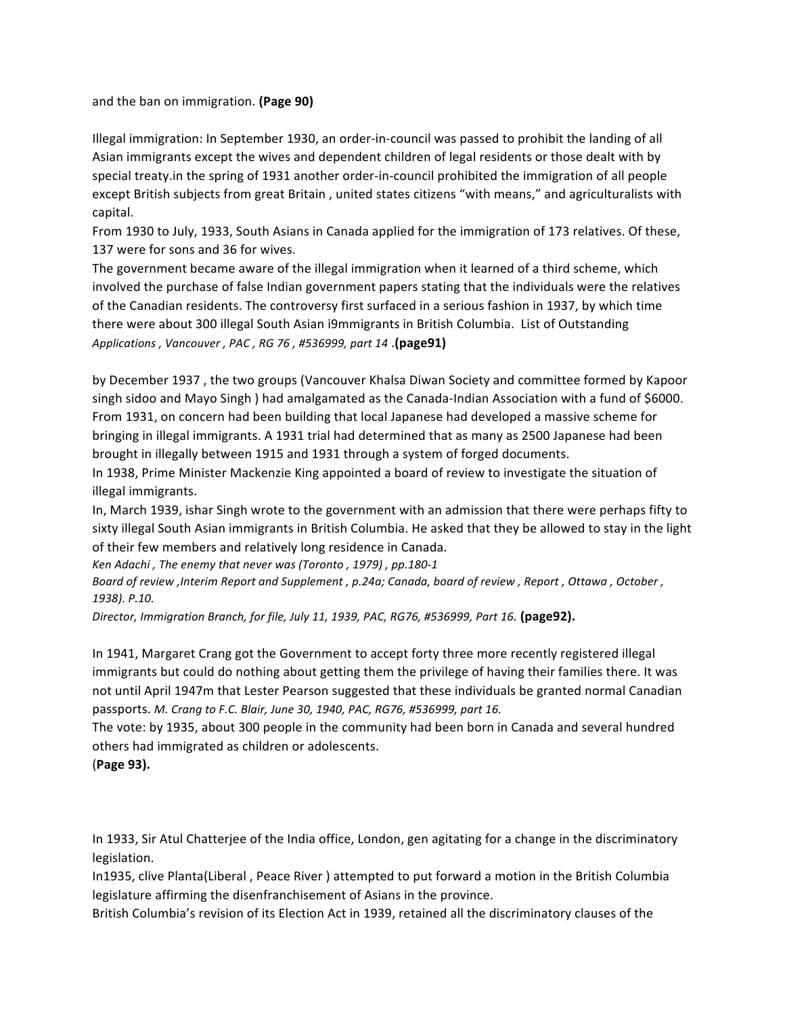and the ban on immigration. **(Page 90)** 

Illegal immigration: In September 1930, an order-in-council was passed to prohibit the landing of all Asian immigrants except the wives and dependent children of legal residents or those dealt with by special treaty.in the spring of 1931 another order-in-council prohibited the immigration of all people except British subjects from great Britain, united states citizens "with means," and agriculturalists with capital.

From 1930 to July, 1933, South Asians in Canada applied for the immigration of 173 relatives. Of these, 137 were for sons and 36 for wives.

The government became aware of the illegal immigration when it learned of a third scheme, which involved the purchase of false Indian government papers stating that the individuals were the relatives of the Canadian residents. The controversy first surfaced in a serious fashion in 1937, by which time there were about 300 illegal South Asian i9mmigrants in British Columbia. List of Outstanding *Applications , Vancouver , PAC , RG 76 , #536999, part 14* .**(page91)**

by December 1937, the two groups (Vancouver Khalsa Diwan Society and committee formed by Kapoor singh sidoo and Mayo Singh ) had amalgamated as the Canada-Indian Association with a fund of \$6000. From 1931, on concern had been building that local Japanese had developed a massive scheme for bringing in illegal immigrants. A 1931 trial had determined that as many as 2500 Japanese had been brought in illegally between 1915 and 1931 through a system of forged documents.

In 1938, Prime Minister Mackenzie King appointed a board of review to investigate the situation of illegal immigrants.

In, March 1939, ishar Singh wrote to the government with an admission that there were perhaps fifty to sixty illegal South Asian immigrants in British Columbia. He asked that they be allowed to stay in the light of their few members and relatively long residence in Canada.

*Ken Adachi*, *The enemy that never was (Toronto, 1979)*, pp.180-1

Board of review , Interim Report and Supplement , p.24a; Canada, board of review, Report, Ottawa, October, *1938). P.10.*

*Director, Immigration Branch, for file, July 11, 1939, PAC, RG76, #536999, Part 16.* **(page92).**

In 1941, Margaret Crang got the Government to accept forty three more recently registered illegal immigrants but could do nothing about getting them the privilege of having their families there. It was not until April 1947m that Lester Pearson suggested that these individuals be granted normal Canadian passports. *M. Crang to F.C. Blair, June 30, 1940, PAC, RG76, #536999, part 16.* 

The vote: by 1935, about 300 people in the community had been born in Canada and several hundred others had immigrated as children or adolescents.

(**Page 93).**

In 1933, Sir Atul Chatterjee of the India office, London, gen agitating for a change in the discriminatory legislation. 

In1935, clive Planta(Liberal, Peace River) attempted to put forward a motion in the British Columbia legislature affirming the disenfranchisement of Asians in the province.

British Columbia's revision of its Election Act in 1939, retained all the discriminatory clauses of the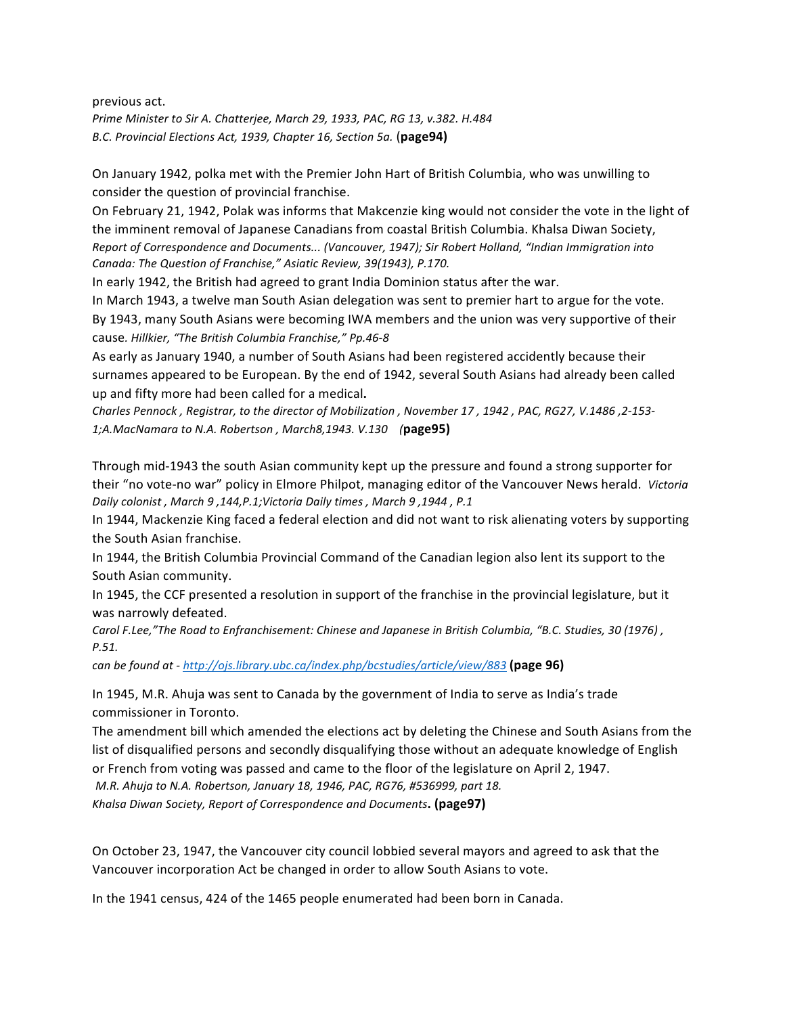previous act. *Prime Minister to Sir A. Chatterjee, March 29, 1933, PAC, RG 13, v.382. H.484 B.C. Provincial Elections Act, 1939, Chapter 16, Section 5a.* (**page94)**

On January 1942, polka met with the Premier John Hart of British Columbia, who was unwilling to consider the question of provincial franchise.

On February 21, 1942, Polak was informs that Makcenzie king would not consider the vote in the light of the imminent removal of Japanese Canadians from coastal British Columbia. Khalsa Diwan Society, *Report of Correspondence and Documents...* (Vancouver, 1947); Sir Robert Holland, "Indian Immigration into *Canada:* The Question of Franchise," Asiatic Review, 39(1943), P.170.

In early 1942, the British had agreed to grant India Dominion status after the war.

In March 1943, a twelve man South Asian delegation was sent to premier hart to argue for the vote. By 1943, many South Asians were becoming IWA members and the union was very supportive of their cause*. Hillkier, "The British Columbia Franchise," Pp.46-8*

As early as January 1940, a number of South Asians had been registered accidently because their surnames appeared to be European. By the end of 1942, several South Asians had already been called up and fifty more had been called for a medical.

*Charles Pennock , Registrar, to the director of Mobilization , November 17 , 1942 , PAC, RG27, V.1486 ,2-153-* 1;A.MacNamara to N.A. Robertson, March8,1943. V.130 (page95)

Through mid-1943 the south Asian community kept up the pressure and found a strong supporter for their "no vote-no war" policy in Elmore Philpot, managing editor of the Vancouver News herald. Victoria *Daily colonist , March 9 ,144,P.1;Victoria Daily times , March 9 ,1944 , P.1*

In 1944, Mackenzie King faced a federal election and did not want to risk alienating voters by supporting the South Asian franchise.

In 1944, the British Columbia Provincial Command of the Canadian legion also lent its support to the South Asian community.

In 1945, the CCF presented a resolution in support of the franchise in the provincial legislature, but it was narrowly defeated.

*Carol F.Lee,"The Road to Enfranchisement: Chinese and Japanese in British Columbia, "B.C. Studies, 30 (1976)*, *P.51.*

*can be found at - http://ojs.library.ubc.ca/index.php/bcstudies/article/view/883 (page 96)* 

In 1945, M.R. Ahuja was sent to Canada by the government of India to serve as India's trade commissioner in Toronto.

The amendment bill which amended the elections act by deleting the Chinese and South Asians from the list of disqualified persons and secondly disqualifying those without an adequate knowledge of English or French from voting was passed and came to the floor of the legislature on April 2, 1947. *M.R. Ahuja to N.A. Robertson, January 18, 1946, PAC, RG76, #536999, part 18. Khalsa Diwan Society, Report of Correspondence and Documents***. (page97)**

On October 23, 1947, the Vancouver city council lobbied several mayors and agreed to ask that the Vancouver incorporation Act be changed in order to allow South Asians to vote.

In the 1941 census, 424 of the 1465 people enumerated had been born in Canada.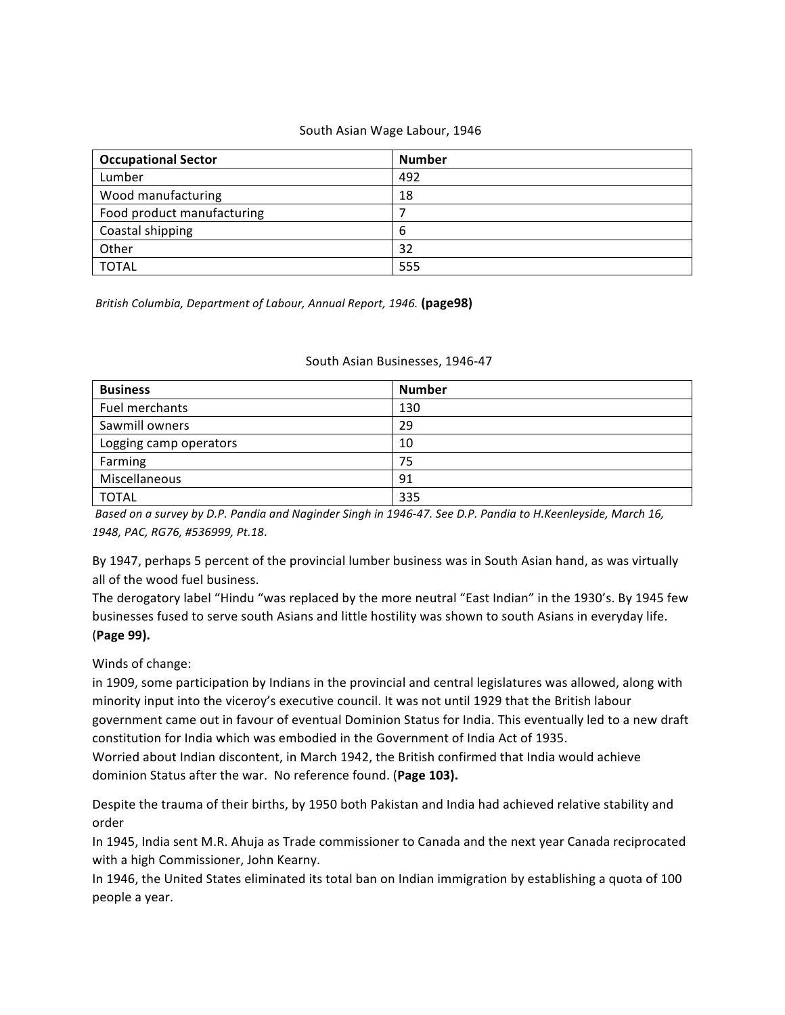#### South Asian Wage Labour, 1946

| <b>Occupational Sector</b> | <b>Number</b> |
|----------------------------|---------------|
| Lumber                     | 492           |
| Wood manufacturing         | 18            |
| Food product manufacturing |               |
| Coastal shipping           | 6             |
| Other                      | 32            |
| <b>TOTAL</b>               | 555           |

*British Columbia, Department of Labour, Annual Report, 1946.* **(page98)**

#### South Asian Businesses, 1946-47

| <b>Business</b>        | <b>Number</b> |
|------------------------|---------------|
| Fuel merchants         | 130           |
| Sawmill owners         | 29            |
| Logging camp operators | 10            |
| Farming                | 75            |
| Miscellaneous          | 91            |
| <b>TOTAL</b>           | 335           |

Based on a survey by D.P. Pandia and Naginder Singh in 1946-47. See D.P. Pandia to H.Keenleyside, March 16, *1948, PAC, RG76, #536999, Pt.18*.

By 1947, perhaps 5 percent of the provincial lumber business was in South Asian hand, as was virtually all of the wood fuel business.

The derogatory label "Hindu "was replaced by the more neutral "East Indian" in the 1930's. By 1945 few businesses fused to serve south Asians and little hostility was shown to south Asians in everyday life. (**Page 99).**

Winds of change:

in 1909, some participation by Indians in the provincial and central legislatures was allowed, along with minority input into the viceroy's executive council. It was not until 1929 that the British labour government came out in favour of eventual Dominion Status for India. This eventually led to a new draft constitution for India which was embodied in the Government of India Act of 1935. Worried about Indian discontent, in March 1942, the British confirmed that India would achieve dominion Status after the war. No reference found. (Page 103).

Despite the trauma of their births, by 1950 both Pakistan and India had achieved relative stability and order

In 1945, India sent M.R. Ahuja as Trade commissioner to Canada and the next year Canada reciprocated with a high Commissioner, John Kearny.

In 1946, the United States eliminated its total ban on Indian immigration by establishing a quota of 100 people a year.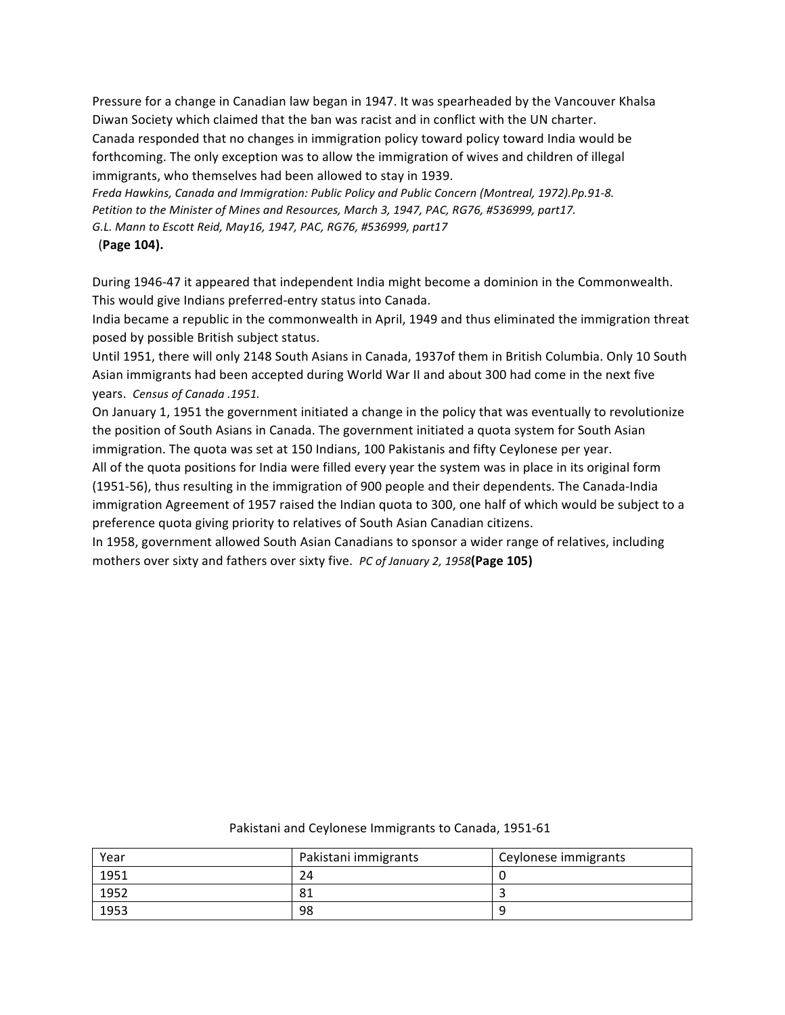Pressure for a change in Canadian law began in 1947. It was spearheaded by the Vancouver Khalsa Diwan Society which claimed that the ban was racist and in conflict with the UN charter. Canada responded that no changes in immigration policy toward policy toward India would be forthcoming. The only exception was to allow the immigration of wives and children of illegal immigrants, who themselves had been allowed to stay in 1939.

*Freda Hawkins, Canada and Immigration: Public Policy and Public Concern (Montreal, 1972).Pp.91-8.* Petition to the Minister of Mines and Resources, March 3, 1947, PAC, RG76, #536999, part17. *G.L. Mann to Escott Reid, May16, 1947, PAC, RG76, #536999, part17*

(**Page 104).**

During 1946-47 it appeared that independent India might become a dominion in the Commonwealth. This would give Indians preferred-entry status into Canada.

India became a republic in the commonwealth in April, 1949 and thus eliminated the immigration threat posed by possible British subject status.

Until 1951, there will only 2148 South Asians in Canada, 1937of them in British Columbia. Only 10 South Asian immigrants had been accepted during World War II and about 300 had come in the next five years. *Census of Canada .1951.*

On January 1, 1951 the government initiated a change in the policy that was eventually to revolutionize the position of South Asians in Canada. The government initiated a quota system for South Asian immigration. The quota was set at 150 Indians, 100 Pakistanis and fifty Ceylonese per year.

All of the quota positions for India were filled every year the system was in place in its original form (1951-56), thus resulting in the immigration of 900 people and their dependents. The Canada-India immigration Agreement of 1957 raised the Indian quota to 300, one half of which would be subject to a preference quota giving priority to relatives of South Asian Canadian citizens.

In 1958, government allowed South Asian Canadians to sponsor a wider range of relatives, including mothers over sixty and fathers over sixty five. *PC of January 2, 1958* (Page 105)

| Year | Pakistani immigrants | Ceylonese immigrants |
|------|----------------------|----------------------|
| 1951 | 24                   |                      |
| 1952 | 81                   |                      |
| 1953 | 98                   |                      |

#### Pakistani and Ceylonese Immigrants to Canada, 1951-61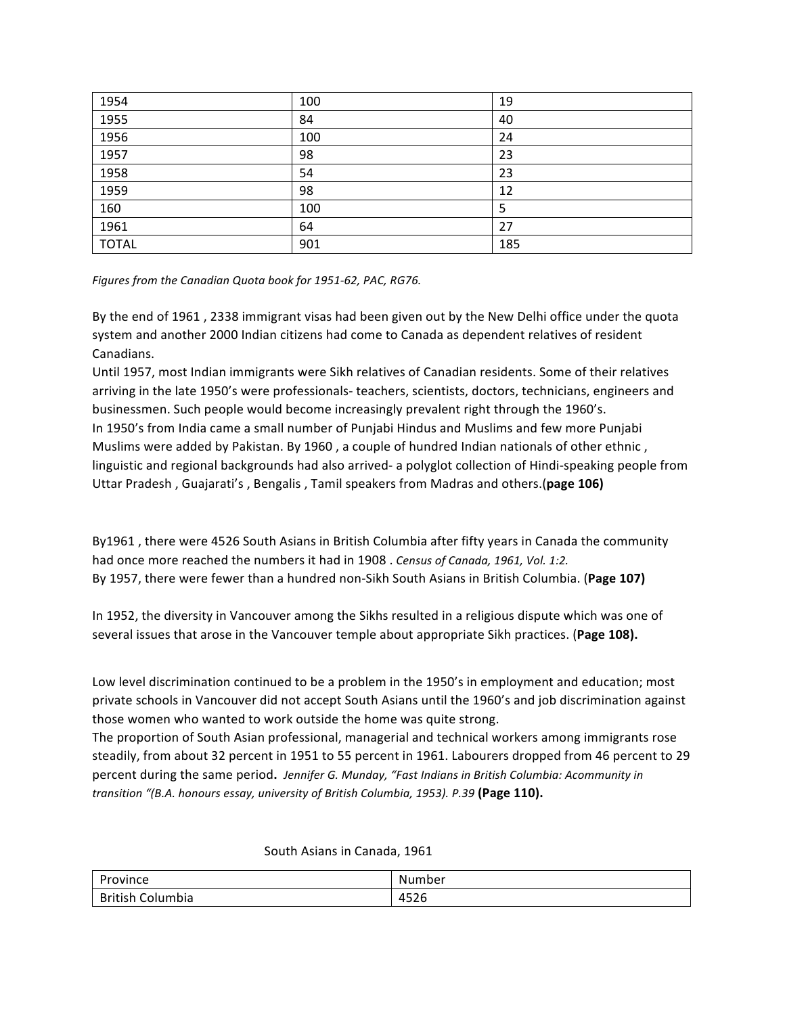| 1954         | 100 | 19  |
|--------------|-----|-----|
| 1955         | 84  | 40  |
| 1956         | 100 | 24  |
| 1957         | 98  | 23  |
| 1958         | 54  | 23  |
| 1959         | 98  | 12  |
| 160          | 100 | 5   |
| 1961         | 64  | 27  |
| <b>TOTAL</b> | 901 | 185 |

*Figures from the Canadian Quota book for 1951-62, PAC, RG76.* 

By the end of 1961, 2338 immigrant visas had been given out by the New Delhi office under the quota system and another 2000 Indian citizens had come to Canada as dependent relatives of resident Canadians.

Until 1957, most Indian immigrants were Sikh relatives of Canadian residents. Some of their relatives arriving in the late 1950's were professionals- teachers, scientists, doctors, technicians, engineers and businessmen. Such people would become increasingly prevalent right through the 1960's. In 1950's from India came a small number of Punjabi Hindus and Muslims and few more Punjabi Muslims were added by Pakistan. By 1960, a couple of hundred Indian nationals of other ethnic, linguistic and regional backgrounds had also arrived- a polyglot collection of Hindi-speaking people from Uttar Pradesh, Guajarati's, Bengalis, Tamil speakers from Madras and others.(page 106)

By1961, there were 4526 South Asians in British Columbia after fifty years in Canada the community had once more reached the numbers it had in 1908 . Census of Canada, 1961, Vol. 1:2. By 1957, there were fewer than a hundred non-Sikh South Asians in British Columbia. (Page 107)

In 1952, the diversity in Vancouver among the Sikhs resulted in a religious dispute which was one of several issues that arose in the Vancouver temple about appropriate Sikh practices. (Page 108).

Low level discrimination continued to be a problem in the 1950's in employment and education; most private schools in Vancouver did not accept South Asians until the 1960's and job discrimination against those women who wanted to work outside the home was quite strong.

The proportion of South Asian professional, managerial and technical workers among immigrants rose steadily, from about 32 percent in 1951 to 55 percent in 1961. Labourers dropped from 46 percent to 29 percent during the same period. Jennifer G. Munday, "Fast Indians in British Columbia: Acommunity in *transition* "(B.A. honours essay, university of British Columbia, 1953). P.39 (Page 110).

### South Asians in Canada, 1961

| Province                 | N۱<br><b>umber</b>                             |
|--------------------------|------------------------------------------------|
| British<br>∽<br>Columbia | 100C<br>$\overline{\phantom{a}}$<br>+ コムロ<br>. |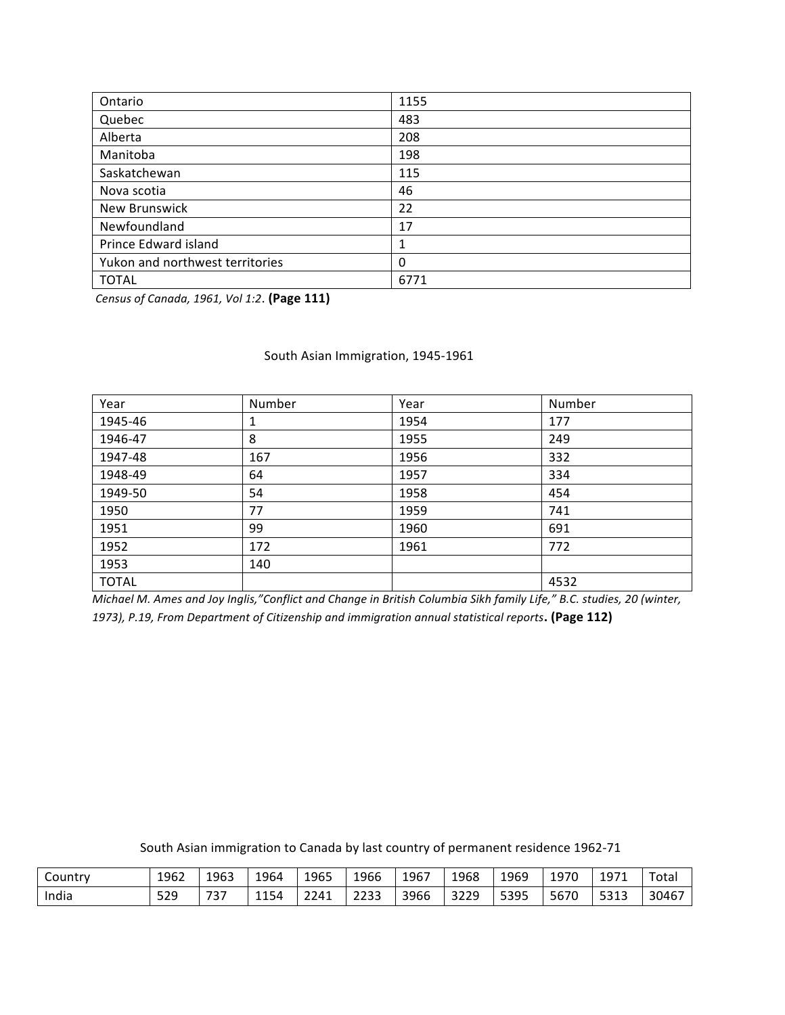| Ontario                         | 1155     |
|---------------------------------|----------|
| Quebec                          | 483      |
| Alberta                         | 208      |
| Manitoba                        | 198      |
| Saskatchewan                    | 115      |
| Nova scotia                     | 46       |
| New Brunswick                   | 22       |
| Newfoundland                    | 17       |
| Prince Edward island            | 1        |
| Yukon and northwest territories | $\Omega$ |
| <b>TOTAL</b>                    | 6771     |

*Census of Canada, 1961, Vol 1:2*. **(Page 111)**

#### South Asian Immigration, 1945-1961

| Year         | Number | Year | Number |
|--------------|--------|------|--------|
| 1945-46      | 1      | 1954 | 177    |
| 1946-47      | 8      | 1955 | 249    |
| 1947-48      | 167    | 1956 | 332    |
| 1948-49      | 64     | 1957 | 334    |
| 1949-50      | 54     | 1958 | 454    |
| 1950         | 77     | 1959 | 741    |
| 1951         | 99     | 1960 | 691    |
| 1952         | 172    | 1961 | 772    |
| 1953         | 140    |      |        |
| <b>TOTAL</b> |        |      | 4532   |

*Michael M. Ames and Joy Inglis,"Conflict and Change in British Columbia Sikh family Life," B.C. studies, 20 (winter,* 1973), P.19, From Department of Citizenship and immigration annual statistical reports. (Page 112)

South Asian immigration to Canada by last country of permanent residence 1962-71

| Country | 1962 | 1963 | 1964 | 1965 | 1966         | 1967 | 1968            | 1969 | 1970 | 1971 | $ -$<br>otal |
|---------|------|------|------|------|--------------|------|-----------------|------|------|------|--------------|
| India   | 529  | 737  | 1154 | 2241 | วววว<br>---- | 3966 | 2220<br>ر ے ے ر | 5395 | 5670 | 5313 | 30467        |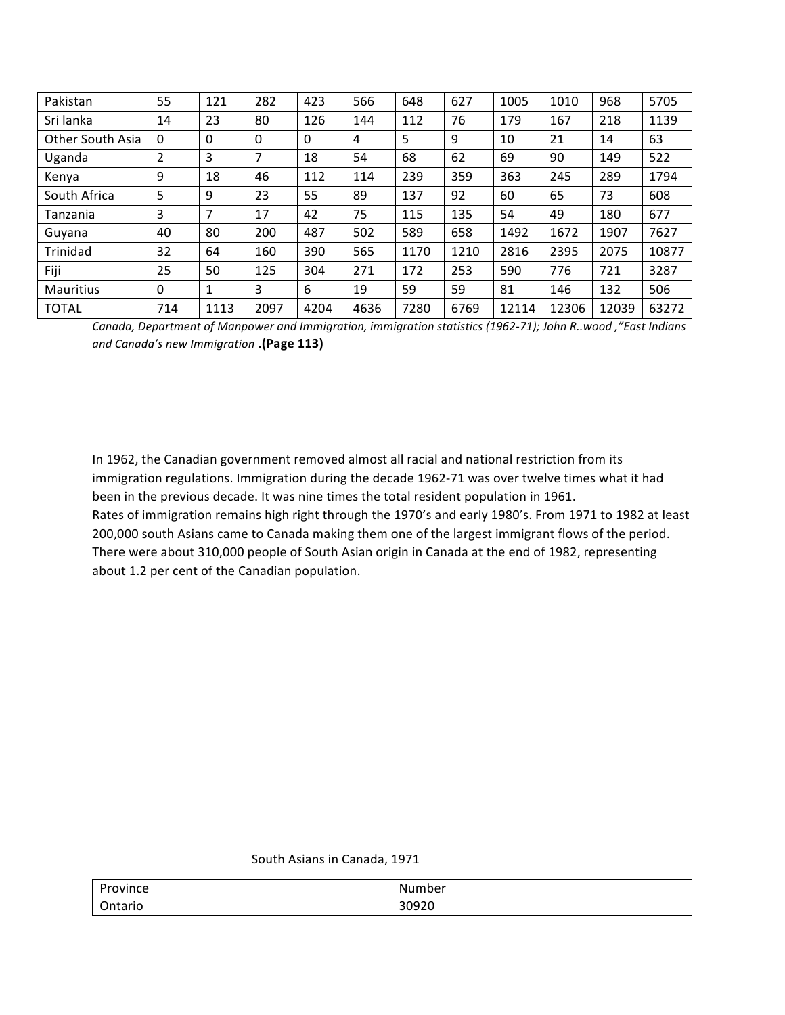| Pakistan         | 55           | 121  | 282         | 423  | 566  | 648  | 627  | 1005  | 1010  | 968   | 5705  |
|------------------|--------------|------|-------------|------|------|------|------|-------|-------|-------|-------|
| Sri lanka        | 14           | 23   | 80          | 126  | 144  | 112  | 76   | 179   | 167   | 218   | 1139  |
| Other South Asia | $\mathbf{0}$ | 0    | $\mathbf 0$ | 0    | 4    | 5    | 9    | 10    | 21    | 14    | 63    |
| Uganda           | 2            | 3    | 7           | 18   | 54   | 68   | 62   | 69    | 90    | 149   | 522   |
| Kenya            | 9            | 18   | 46          | 112  | 114  | 239  | 359  | 363   | 245   | 289   | 1794  |
| South Africa     | 5            | 9    | 23          | 55   | 89   | 137  | 92   | 60    | 65    | 73    | 608   |
| Tanzania         | 3            | 7    | 17          | 42   | 75   | 115  | 135  | 54    | 49    | 180   | 677   |
| Guyana           | 40           | 80   | 200         | 487  | 502  | 589  | 658  | 1492  | 1672  | 1907  | 7627  |
| Trinidad         | 32           | 64   | 160         | 390  | 565  | 1170 | 1210 | 2816  | 2395  | 2075  | 10877 |
| Fiji             | 25           | 50   | 125         | 304  | 271  | 172  | 253  | 590   | 776   | 721   | 3287  |
| Mauritius        | $\mathbf{0}$ | 1    | 3           | 6    | 19   | 59   | 59   | 81    | 146   | 132   | 506   |
| <b>TOTAL</b>     | 714          | 1113 | 2097        | 4204 | 4636 | 7280 | 6769 | 12114 | 12306 | 12039 | 63272 |

*Canada, Department of Manpower and Immigration, immigration statistics (1962-71); John R..wood ,"East Indians and Canada's new Immigration* **.(Page 113)**

In 1962, the Canadian government removed almost all racial and national restriction from its immigration regulations. Immigration during the decade 1962-71 was over twelve times what it had been in the previous decade. It was nine times the total resident population in 1961. Rates of immigration remains high right through the 1970's and early 1980's. From 1971 to 1982 at least 200,000 south Asians came to Canada making them one of the largest immigrant flows of the period. There were about 310,000 people of South Asian origin in Canada at the end of 1982, representing about 1.2 per cent of the Canadian population.

#### South Asians in Canada, 1971

| <b>D</b> .          | .Nu                         |
|---------------------|-----------------------------|
| ovince <sup>.</sup> | .umber                      |
| .                   | .                           |
| .<br>itario<br>.    | 20020<br>, <u>, ,</u><br>__ |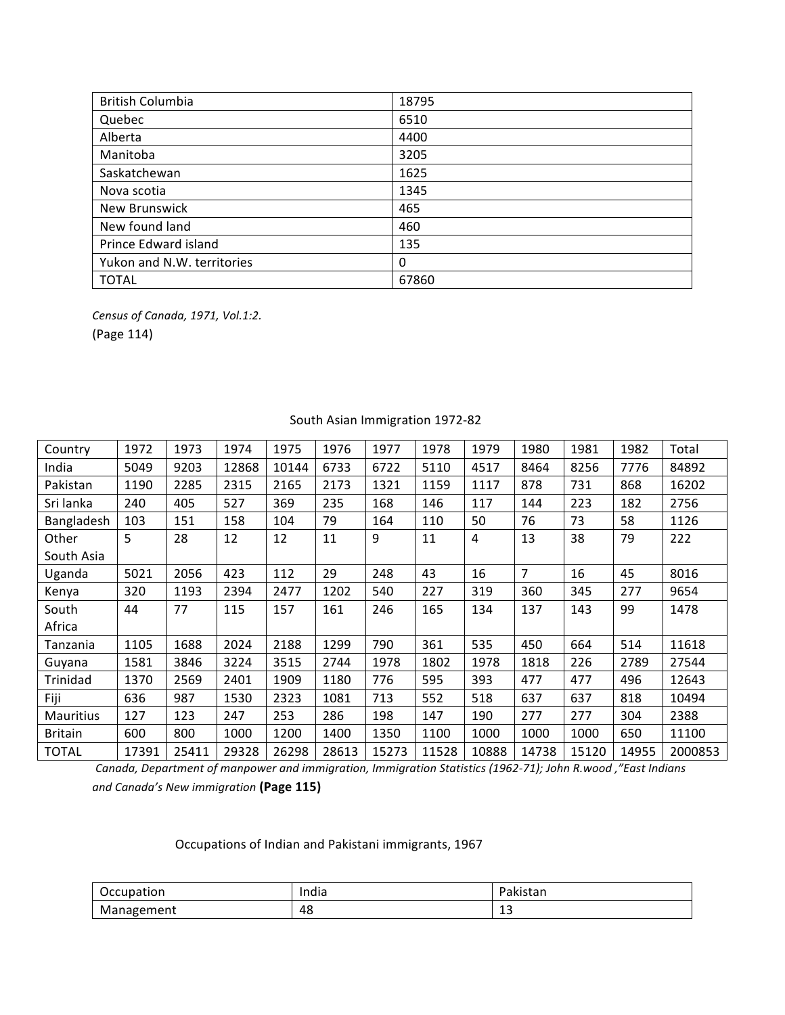| <b>British Columbia</b>    | 18795 |
|----------------------------|-------|
| Quebec                     | 6510  |
| Alberta                    | 4400  |
| Manitoba                   | 3205  |
| Saskatchewan               | 1625  |
| Nova scotia                | 1345  |
| <b>New Brunswick</b>       | 465   |
| New found land             | 460   |
| Prince Edward island       | 135   |
| Yukon and N.W. territories | 0     |
| <b>TOTAL</b>               | 67860 |

*Census of Canada, 1971, Vol.1:2.* (Page 114)

| Country        | 1972  | 1973  | 1974  | 1975  | 1976  | 1977  | 1978  | 1979  | 1980           | 1981  | 1982  | Total   |
|----------------|-------|-------|-------|-------|-------|-------|-------|-------|----------------|-------|-------|---------|
| India          | 5049  | 9203  | 12868 | 10144 | 6733  | 6722  | 5110  | 4517  | 8464           | 8256  | 7776  | 84892   |
| Pakistan       | 1190  | 2285  | 2315  | 2165  | 2173  | 1321  | 1159  | 1117  | 878            | 731   | 868   | 16202   |
| Sri lanka      | 240   | 405   | 527   | 369   | 235   | 168   | 146   | 117   | 144            | 223   | 182   | 2756    |
| Bangladesh     | 103   | 151   | 158   | 104   | 79    | 164   | 110   | 50    | 76             | 73    | 58    | 1126    |
| Other          | 5     | 28    | 12    | 12    | 11    | 9     | 11    | 4     | 13             | 38    | 79    | 222     |
| South Asia     |       |       |       |       |       |       |       |       |                |       |       |         |
| Uganda         | 5021  | 2056  | 423   | 112   | 29    | 248   | 43    | 16    | $\overline{7}$ | 16    | 45    | 8016    |
| Kenya          | 320   | 1193  | 2394  | 2477  | 1202  | 540   | 227   | 319   | 360            | 345   | 277   | 9654    |
| South          | 44    | 77    | 115   | 157   | 161   | 246   | 165   | 134   | 137            | 143   | 99    | 1478    |
| Africa         |       |       |       |       |       |       |       |       |                |       |       |         |
| Tanzania       | 1105  | 1688  | 2024  | 2188  | 1299  | 790   | 361   | 535   | 450            | 664   | 514   | 11618   |
| Guyana         | 1581  | 3846  | 3224  | 3515  | 2744  | 1978  | 1802  | 1978  | 1818           | 226   | 2789  | 27544   |
| Trinidad       | 1370  | 2569  | 2401  | 1909  | 1180  | 776   | 595   | 393   | 477            | 477   | 496   | 12643   |
| Fiji           | 636   | 987   | 1530  | 2323  | 1081  | 713   | 552   | 518   | 637            | 637   | 818   | 10494   |
| Mauritius      | 127   | 123   | 247   | 253   | 286   | 198   | 147   | 190   | 277            | 277   | 304   | 2388    |
| <b>Britain</b> | 600   | 800   | 1000  | 1200  | 1400  | 1350  | 1100  | 1000  | 1000           | 1000  | 650   | 11100   |
| <b>TOTAL</b>   | 17391 | 25411 | 29328 | 26298 | 28613 | 15273 | 11528 | 10888 | 14738          | 15120 | 14955 | 2000853 |

## South Asian Immigration 1972-82

Canada, Department of manpower and immigration, Immigration Statistics (1962-71); John R.wood, "East Indians *and Canada's New immigration* **(Page 115)**

Occupations of Indian and Pakistani immigrants, 1967

| <b>Occupation</b><br>. | India<br>. | -<br>レハーカロ<br>ranistall |
|------------------------|------------|-------------------------|
| Management             | 48         | -<br>ᅩ<br>$\sim$        |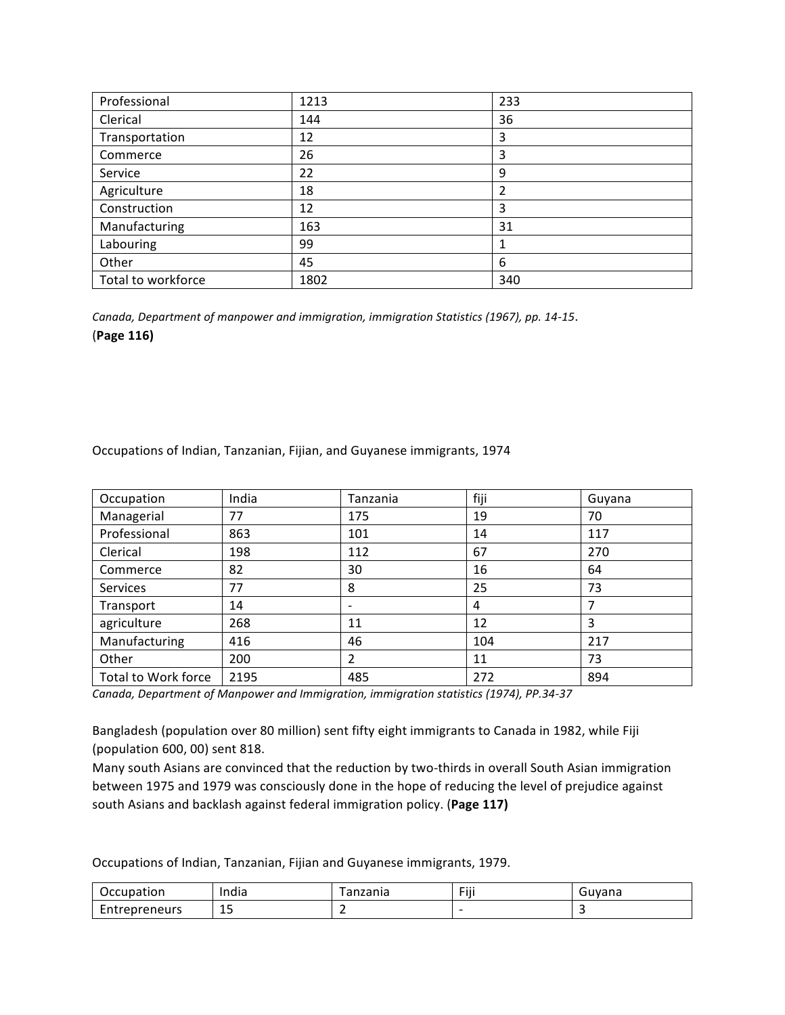| Professional       | 1213 | 233 |
|--------------------|------|-----|
| Clerical           | 144  | 36  |
| Transportation     | 12   | 3   |
| Commerce           | 26   | 3   |
| Service            | 22   | 9   |
| Agriculture        | 18   | 2   |
| Construction       | 12   | 3   |
| Manufacturing      | 163  | 31  |
| Labouring          | 99   |     |
| Other              | 45   | 6   |
| Total to workforce | 1802 | 340 |

Canada, Department of manpower and immigration, immigration Statistics (1967), pp. 14-15. (**Page 116)**

| Occupation          | India | Tanzania                 | fiji | Guyana |
|---------------------|-------|--------------------------|------|--------|
| Managerial          | 77    | 175                      | 19   | 70     |
| Professional        | 863   | 101                      | 14   | 117    |
| Clerical            | 198   | 112                      | 67   | 270    |
| Commerce            | 82    | 30                       | 16   | 64     |
| Services            | 77    | 8                        | 25   | 73     |
| Transport           | 14    | $\overline{\phantom{a}}$ | 4    | 7      |
| agriculture         | 268   | 11                       | 12   | 3      |
| Manufacturing       | 416   | 46                       | 104  | 217    |
| Other               | 200   | 2                        | 11   | 73     |
| Total to Work force | 2195  | 485                      | 272  | 894    |

Occupations of Indian, Tanzanian, Fijian, and Guyanese immigrants, 1974

Canada, Department of Manpower and Immigration, immigration statistics (1974), PP.34-37

Bangladesh (population over 80 million) sent fifty eight immigrants to Canada in 1982, while Fiji (population 600, 00) sent 818.

Many south Asians are convinced that the reduction by two-thirds in overall South Asian immigration between 1975 and 1979 was consciously done in the hope of reducing the level of prejudice against south Asians and backlash against federal immigration policy. (Page 117)

Occupations of Indian, Tanzanian, Fijian and Guyanese immigrants, 1979.

| Occupation            | India            | ,,,,,,,<br>diizdiild | $- \cdots$<br>Fill | Guvana |
|-----------------------|------------------|----------------------|--------------------|--------|
| -<br>repreneurs<br>ᇊᄔ | . .<br>پ⊥<br>$-$ |                      | -                  |        |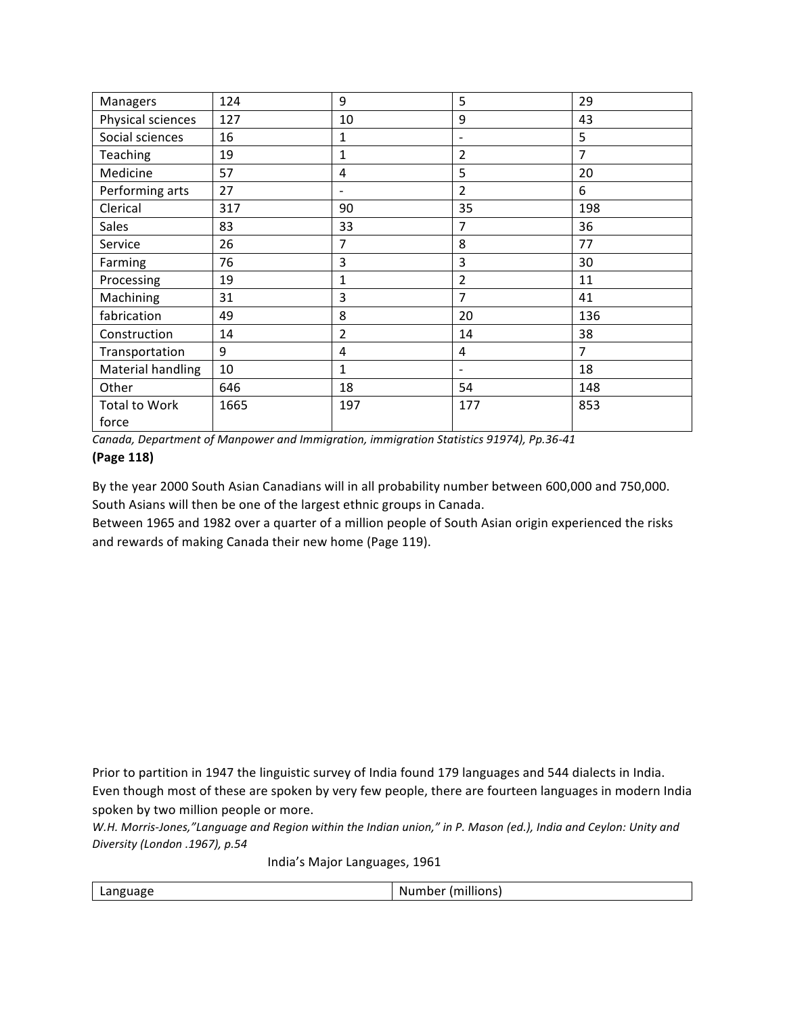| <b>Managers</b>      | 124  | 9                            | 5                        | 29             |
|----------------------|------|------------------------------|--------------------------|----------------|
| Physical sciences    | 127  | 10                           | 9                        | 43             |
| Social sciences      | 16   | 1                            | -                        | 5              |
| Teaching             | 19   | $\mathbf{1}$                 | $\overline{2}$           | $\overline{7}$ |
| Medicine             | 57   | 4                            | 5                        | 20             |
| Performing arts      | 27   | $\qquad \qquad \blacksquare$ | $\overline{2}$           | 6              |
| Clerical             | 317  | 90                           | 35                       | 198            |
| <b>Sales</b>         | 83   | 33                           | 7                        | 36             |
| Service              | 26   | 7                            | 8                        | 77             |
| Farming              | 76   | 3                            | 3                        | 30             |
| Processing           | 19   | 1                            | $\overline{2}$           | 11             |
| Machining            | 31   | 3                            | $\overline{7}$           | 41             |
| fabrication          | 49   | 8                            | 20                       | 136            |
| Construction         | 14   | 2                            | 14                       | 38             |
| Transportation       | 9    | 4                            | 4                        | $\overline{7}$ |
| Material handling    | 10   | 1                            | $\overline{\phantom{a}}$ | 18             |
| Other                | 646  | 18                           | 54                       | 148            |
| <b>Total to Work</b> | 1665 | 197                          | 177                      | 853            |
| force                |      |                              |                          |                |

Canada, Department of Manpower and Immigration, immigration Statistics 91974), Pp.36-41

### **(Page 118)**

By the year 2000 South Asian Canadians will in all probability number between 600,000 and 750,000. South Asians will then be one of the largest ethnic groups in Canada.

Between 1965 and 1982 over a quarter of a million people of South Asian origin experienced the risks and rewards of making Canada their new home (Page 119).

Prior to partition in 1947 the linguistic survey of India found 179 languages and 544 dialects in India. Even though most of these are spoken by very few people, there are fourteen languages in modern India spoken by two million people or more.

*W.H. Morris-Jones,"Language and Region within the Indian union," in P. Mason (ed.), India and Ceylon: Unity and Diversity (London .1967), p.54*

India's Major Languages, 1961

Number (millions)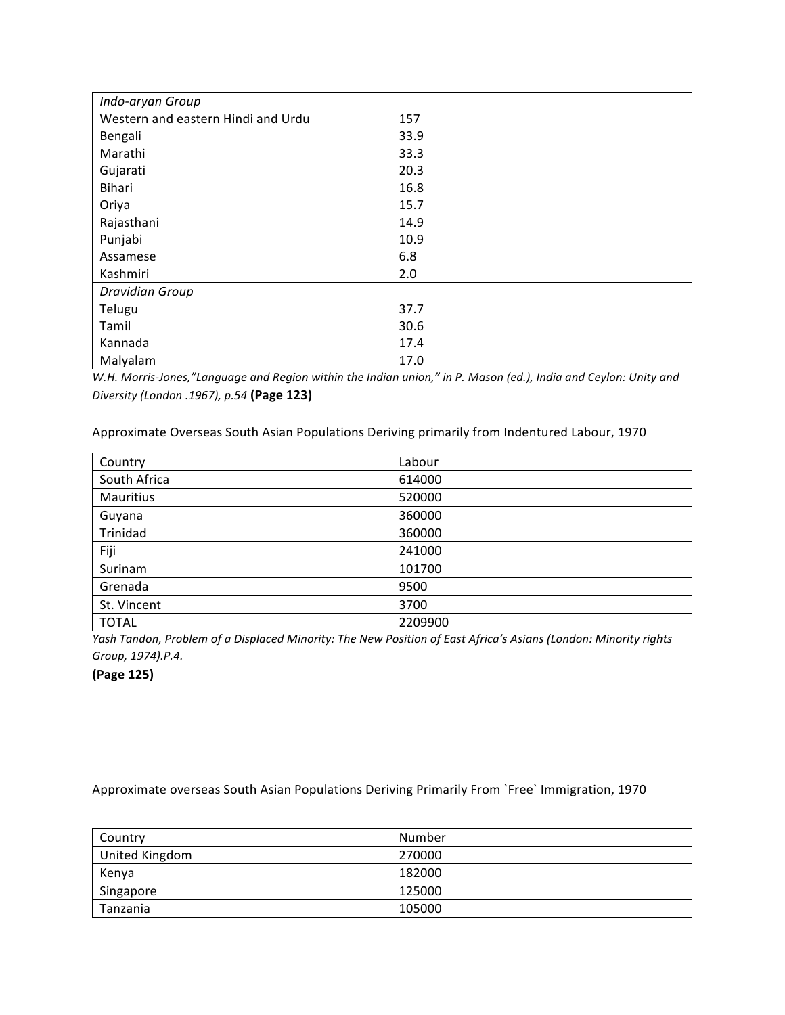| Indo-aryan Group                   |      |
|------------------------------------|------|
| Western and eastern Hindi and Urdu | 157  |
| Bengali                            | 33.9 |
| Marathi                            | 33.3 |
| Gujarati                           | 20.3 |
| Bihari                             | 16.8 |
| Oriya                              | 15.7 |
| Rajasthani                         | 14.9 |
| Punjabi                            | 10.9 |
| Assamese                           | 6.8  |
| Kashmiri                           | 2.0  |
| <b>Dravidian Group</b>             |      |
| Telugu                             | 37.7 |
| Tamil                              | 30.6 |
| Kannada                            | 17.4 |
| Malyalam                           | 17.0 |

*W.H. Morris-Jones,"Language and Region within the Indian union," in P. Mason (ed.), India and Ceylon: Unity and Diversity (London .1967), p.54* **(Page 123)**

Approximate Overseas South Asian Populations Deriving primarily from Indentured Labour, 1970

| Country      | Labour  |
|--------------|---------|
| South Africa | 614000  |
| Mauritius    | 520000  |
| Guyana       | 360000  |
| Trinidad     | 360000  |
| Fiji         | 241000  |
| Surinam      | 101700  |
| Grenada      | 9500    |
| St. Vincent  | 3700    |
| <b>TOTAL</b> | 2209900 |

*Yash Tandon, Problem of a Displaced Minority: The New Position of East Africa's Asians (London: Minority rights Group, 1974).P.4.*

**(Page 125)**

Approximate overseas South Asian Populations Deriving Primarily From `Free` Immigration, 1970

| Country        | Number |
|----------------|--------|
| United Kingdom | 270000 |
| Kenya          | 182000 |
| Singapore      | 125000 |
| Tanzania       | 105000 |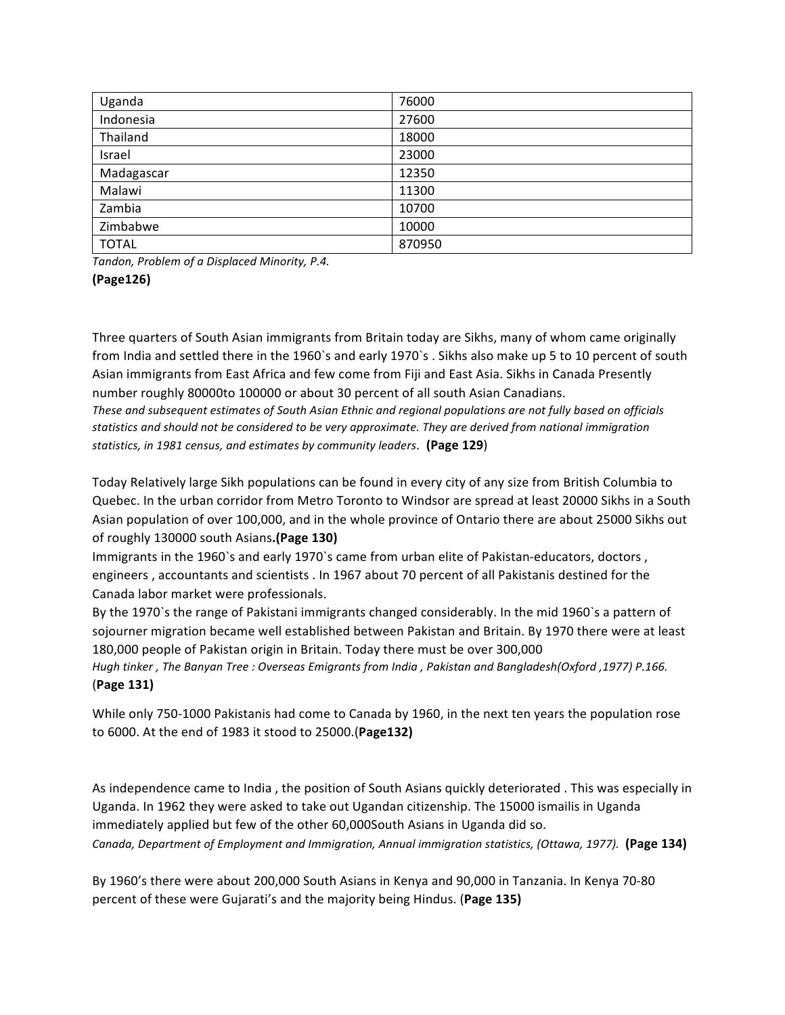| Uganda       | 76000  |
|--------------|--------|
| Indonesia    | 27600  |
| Thailand     | 18000  |
| Israel       | 23000  |
| Madagascar   | 12350  |
| Malawi       | 11300  |
| Zambia       | 10700  |
| Zimbabwe     | 10000  |
| <b>TOTAL</b> | 870950 |

*Tandon, Problem of a Displaced Minority, P.4.*

Three quarters of South Asian immigrants from Britain today are Sikhs, many of whom came originally from India and settled there in the 1960`s and early 1970`s . Sikhs also make up 5 to 10 percent of south Asian immigrants from East Africa and few come from Fiji and East Asia. Sikhs in Canada Presently number roughly 80000to 100000 or about 30 percent of all south Asian Canadians. *These and subsequent estimates of South Asian Ethnic and regional populations are not fully based on officials* statistics and should not be considered to be very approximate. They are derived from national immigration statistics, in 1981 census, and estimates by community leaders. (Page 129)

Today Relatively large Sikh populations can be found in every city of any size from British Columbia to Quebec. In the urban corridor from Metro Toronto to Windsor are spread at least 20000 Sikhs in a South Asian population of over 100,000, and in the whole province of Ontario there are about 25000 Sikhs out of roughly 130000 south Asians.(Page 130)

Immigrants in the 1960`s and early 1970`s came from urban elite of Pakistan-educators, doctors, engineers, accountants and scientists . In 1967 about 70 percent of all Pakistanis destined for the Canada labor market were professionals.

By the 1970`s the range of Pakistani immigrants changed considerably. In the mid 1960`s a pattern of sojourner migration became well established between Pakistan and Britain. By 1970 there were at least 180,000 people of Pakistan origin in Britain. Today there must be over 300,000

*Hugh* tinker, The Banyan Tree : Overseas Emigrants from India, Pakistan and Bangladesh(Oxford, 1977) P.166. (**Page 131)**

While only 750-1000 Pakistanis had come to Canada by 1960, in the next ten years the population rose to 6000. At the end of 1983 it stood to 25000.(**Page132)**

As independence came to India, the position of South Asians quickly deteriorated . This was especially in Uganda. In 1962 they were asked to take out Ugandan citizenship. The 15000 ismailis in Uganda immediately applied but few of the other 60,000South Asians in Uganda did so. *Canada, Department of Employment and Immigration, Annual immigration statistics, (Ottawa, 1977).* **(Page 134)**

By 1960's there were about 200,000 South Asians in Kenya and 90,000 in Tanzania. In Kenya 70-80 percent of these were Gujarati's and the majority being Hindus. (Page 135)

**<sup>(</sup>Page126)**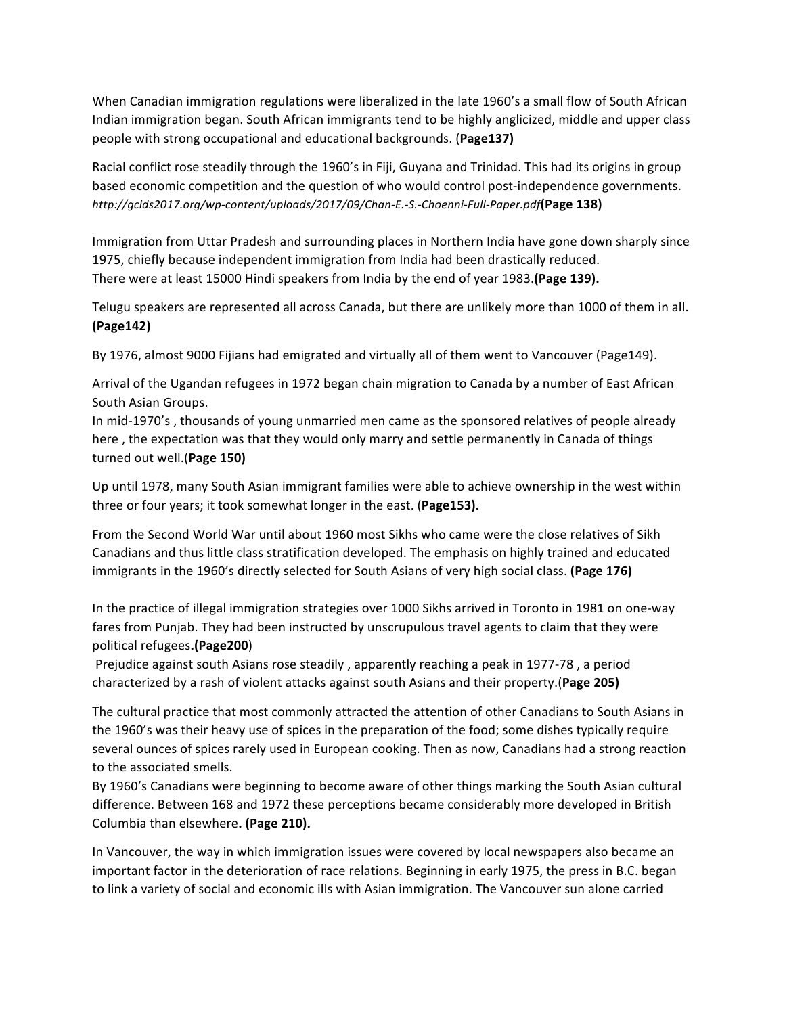When Canadian immigration regulations were liberalized in the late 1960's a small flow of South African Indian immigration began. South African immigrants tend to be highly anglicized, middle and upper class people with strong occupational and educational backgrounds. (**Page137)**

Racial conflict rose steadily through the 1960's in Fiji, Guyana and Trinidad. This had its origins in group based economic competition and the question of who would control post-independence governments. *http://gcids2017.org/wp-content/uploads/2017/09/Chan-E.-S.-Choenni-Full-Paper.pdf***(Page 138)**

Immigration from Uttar Pradesh and surrounding places in Northern India have gone down sharply since 1975, chiefly because independent immigration from India had been drastically reduced. There were at least 15000 Hindi speakers from India by the end of year 1983. (Page 139).

Telugu speakers are represented all across Canada, but there are unlikely more than 1000 of them in all. **(Page142)**

By 1976, almost 9000 Fijians had emigrated and virtually all of them went to Vancouver (Page149).

Arrival of the Ugandan refugees in 1972 began chain migration to Canada by a number of East African South Asian Groups.

In mid-1970's, thousands of young unmarried men came as the sponsored relatives of people already here, the expectation was that they would only marry and settle permanently in Canada of things turned out well.(**Page 150)**

Up until 1978, many South Asian immigrant families were able to achieve ownership in the west within three or four years; it took somewhat longer in the east. (Page153).

From the Second World War until about 1960 most Sikhs who came were the close relatives of Sikh Canadians and thus little class stratification developed. The emphasis on highly trained and educated immigrants in the 1960's directly selected for South Asians of very high social class. (Page 176)

In the practice of illegal immigration strategies over 1000 Sikhs arrived in Toronto in 1981 on one-way fares from Punjab. They had been instructed by unscrupulous travel agents to claim that they were political refugees**.(Page200**)

Prejudice against south Asians rose steadily, apparently reaching a peak in 1977-78, a period characterized by a rash of violent attacks against south Asians and their property. (Page 205)

The cultural practice that most commonly attracted the attention of other Canadians to South Asians in the 1960's was their heavy use of spices in the preparation of the food; some dishes typically require several ounces of spices rarely used in European cooking. Then as now, Canadians had a strong reaction to the associated smells.

By 1960's Canadians were beginning to become aware of other things marking the South Asian cultural difference. Between 168 and 1972 these perceptions became considerably more developed in British Columbia than elsewhere. (Page 210).

In Vancouver, the way in which immigration issues were covered by local newspapers also became an important factor in the deterioration of race relations. Beginning in early 1975, the press in B.C. began to link a variety of social and economic ills with Asian immigration. The Vancouver sun alone carried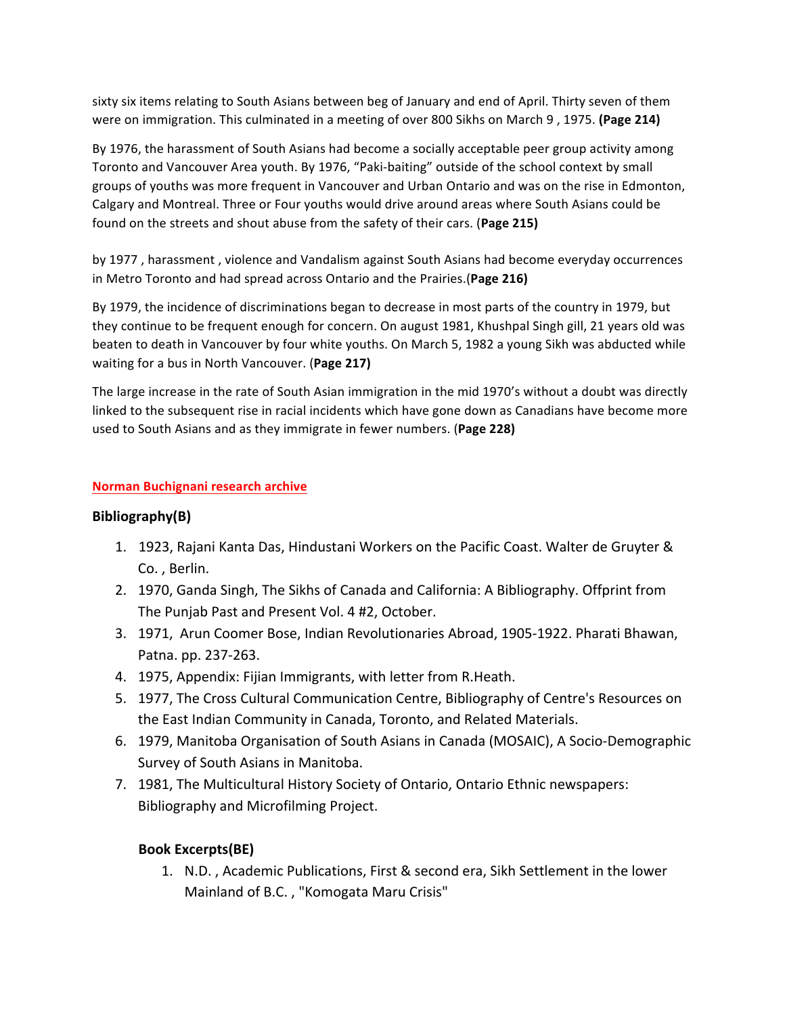sixty six items relating to South Asians between beg of January and end of April. Thirty seven of them were on immigration. This culminated in a meeting of over 800 Sikhs on March 9, 1975. (Page 214)

By 1976, the harassment of South Asians had become a socially acceptable peer group activity among Toronto and Vancouver Area youth. By 1976, "Paki-baiting" outside of the school context by small groups of youths was more frequent in Vancouver and Urban Ontario and was on the rise in Edmonton, Calgary and Montreal. Three or Four youths would drive around areas where South Asians could be found on the streets and shout abuse from the safety of their cars. (Page 215)

by 1977, harassment, violence and Vandalism against South Asians had become everyday occurrences in Metro Toronto and had spread across Ontario and the Prairies.(Page 216)

By 1979, the incidence of discriminations began to decrease in most parts of the country in 1979, but they continue to be frequent enough for concern. On august 1981, Khushpal Singh gill, 21 years old was beaten to death in Vancouver by four white youths. On March 5, 1982 a young Sikh was abducted while waiting for a bus in North Vancouver. (Page 217)

The large increase in the rate of South Asian immigration in the mid 1970's without a doubt was directly linked to the subsequent rise in racial incidents which have gone down as Canadians have become more used to South Asians and as they immigrate in fewer numbers. (Page 228)

## **Norman Buchignani research archive**

## **Bibliography(B)**

- 1. 1923, Rajani Kanta Das, Hindustani Workers on the Pacific Coast. Walter de Gruyter & Co., Berlin.
- 2. 1970, Ganda Singh, The Sikhs of Canada and California: A Bibliography. Offprint from The Punjab Past and Present Vol. 4 #2, October.
- 3. 1971, Arun Coomer Bose, Indian Revolutionaries Abroad, 1905-1922. Pharati Bhawan, Patna. pp. 237-263.
- 4. 1975, Appendix: Fijian Immigrants, with letter from R.Heath.
- 5. 1977, The Cross Cultural Communication Centre, Bibliography of Centre's Resources on the East Indian Community in Canada, Toronto, and Related Materials.
- 6. 1979, Manitoba Organisation of South Asians in Canada (MOSAIC), A Socio-Demographic Survey of South Asians in Manitoba.
- 7. 1981, The Multicultural History Society of Ontario, Ontario Ethnic newspapers: Bibliography and Microfilming Project.

## **Book Excerpts(BE)**

1. N.D., Academic Publications, First & second era, Sikh Settlement in the lower Mainland of B.C., "Komogata Maru Crisis"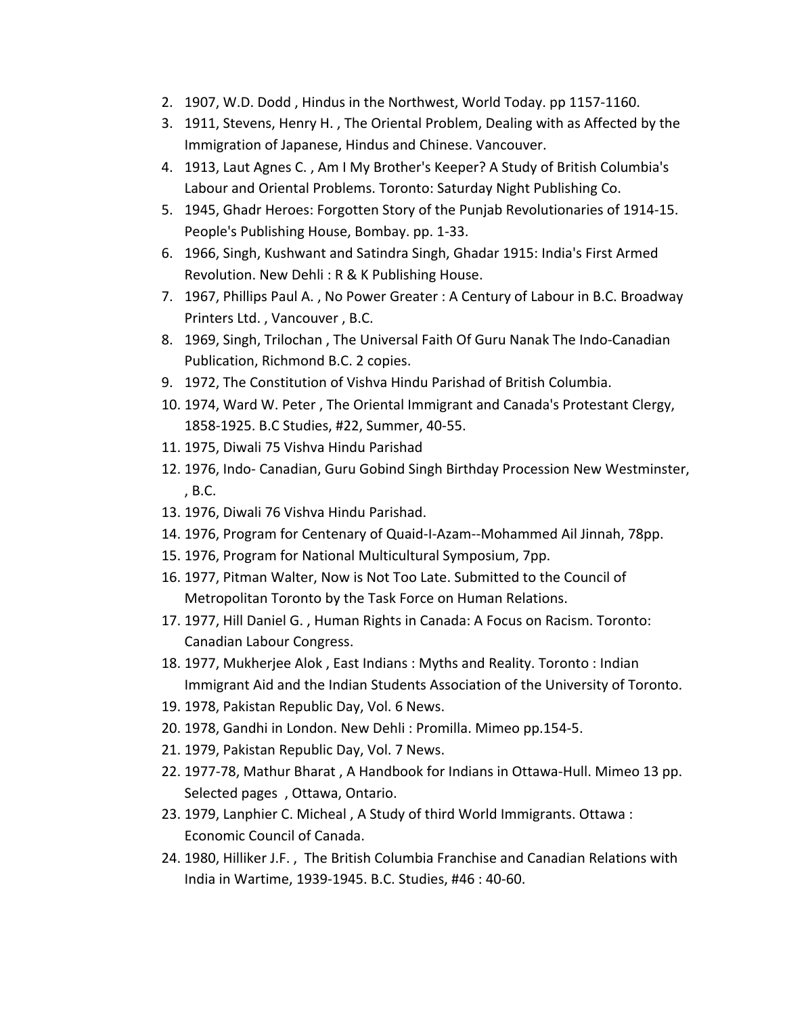- 2. 1907, W.D. Dodd, Hindus in the Northwest, World Today. pp 1157-1160.
- 3. 1911, Stevens, Henry H., The Oriental Problem, Dealing with as Affected by the Immigration of Japanese, Hindus and Chinese. Vancouver.
- 4. 1913, Laut Agnes C., Am I My Brother's Keeper? A Study of British Columbia's Labour and Oriental Problems. Toronto: Saturday Night Publishing Co.
- 5. 1945, Ghadr Heroes: Forgotten Story of the Punjab Revolutionaries of 1914-15. People's Publishing House, Bombay. pp. 1-33.
- 6. 1966, Singh, Kushwant and Satindra Singh, Ghadar 1915: India's First Armed Revolution. New Dehli: R & K Publishing House.
- 7. 1967, Phillips Paul A., No Power Greater : A Century of Labour in B.C. Broadway Printers Ltd., Vancouver, B.C.
- 8. 1969, Singh, Trilochan, The Universal Faith Of Guru Nanak The Indo-Canadian Publication, Richmond B.C. 2 copies.
- 9. 1972, The Constitution of Vishva Hindu Parishad of British Columbia.
- 10. 1974, Ward W. Peter, The Oriental Immigrant and Canada's Protestant Clergy, 1858-1925. B.C Studies, #22, Summer, 40-55.
- 11. 1975, Diwali 75 Vishva Hindu Parishad
- 12. 1976, Indo- Canadian, Guru Gobind Singh Birthday Procession New Westminster, , B.C.
- 13. 1976, Diwali 76 Vishva Hindu Parishad.
- 14. 1976, Program for Centenary of Quaid-I-Azam--Mohammed Ail Jinnah, 78pp.
- 15. 1976, Program for National Multicultural Symposium, 7pp.
- 16. 1977, Pitman Walter, Now is Not Too Late. Submitted to the Council of Metropolitan Toronto by the Task Force on Human Relations.
- 17. 1977, Hill Daniel G., Human Rights in Canada: A Focus on Racism. Toronto: Canadian Labour Congress.
- 18. 1977, Mukherjee Alok, East Indians: Myths and Reality. Toronto: Indian Immigrant Aid and the Indian Students Association of the University of Toronto.
- 19. 1978, Pakistan Republic Day, Vol. 6 News.
- 20. 1978, Gandhi in London. New Dehli : Promilla. Mimeo pp.154-5.
- 21. 1979, Pakistan Republic Day, Vol. 7 News.
- 22. 1977-78, Mathur Bharat, A Handbook for Indians in Ottawa-Hull. Mimeo 13 pp. Selected pages, Ottawa, Ontario.
- 23. 1979, Lanphier C. Micheal, A Study of third World Immigrants. Ottawa : Economic Council of Canada.
- 24. 1980, Hilliker J.F., The British Columbia Franchise and Canadian Relations with India in Wartime, 1939-1945. B.C. Studies, #46 : 40-60.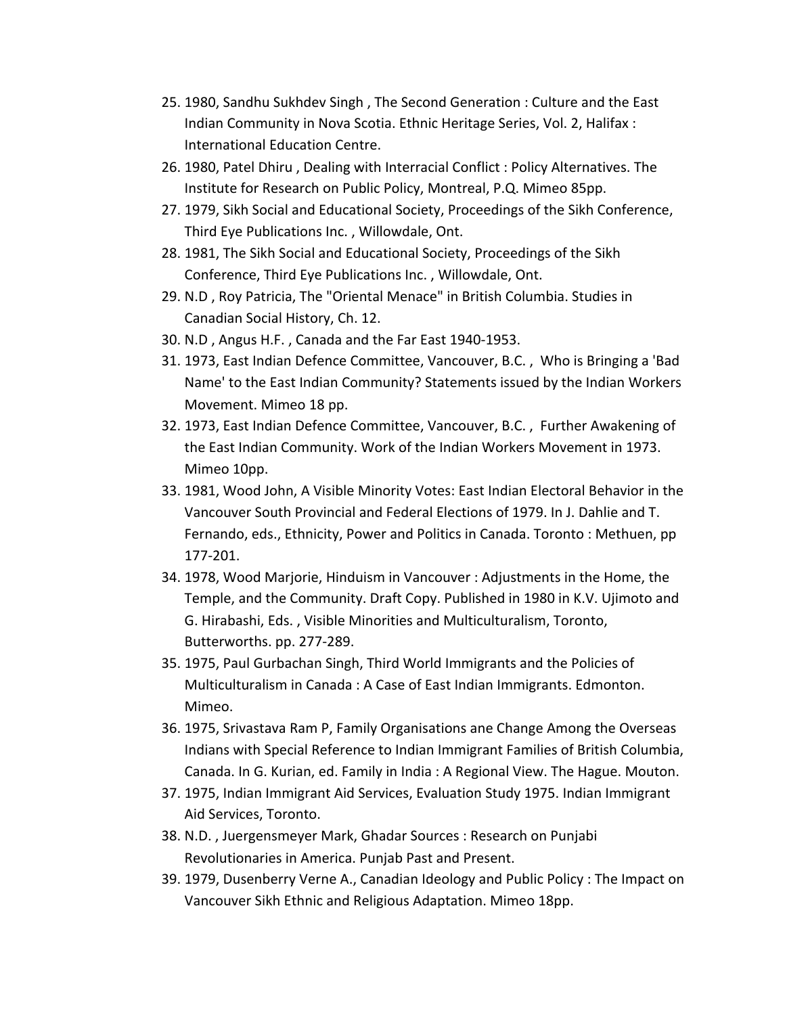- 25. 1980, Sandhu Sukhdev Singh, The Second Generation : Culture and the East Indian Community in Nova Scotia. Ethnic Heritage Series, Vol. 2, Halifax : International Education Centre.
- 26. 1980, Patel Dhiru, Dealing with Interracial Conflict : Policy Alternatives. The Institute for Research on Public Policy, Montreal, P.Q. Mimeo 85pp.
- 27. 1979, Sikh Social and Educational Society, Proceedings of the Sikh Conference, Third Eye Publications Inc., Willowdale, Ont.
- 28. 1981, The Sikh Social and Educational Society, Proceedings of the Sikh Conference, Third Eye Publications Inc., Willowdale, Ont.
- 29. N.D, Roy Patricia, The "Oriental Menace" in British Columbia. Studies in Canadian Social History, Ch. 12.
- 30. N.D, Angus H.F., Canada and the Far East 1940-1953.
- 31. 1973, East Indian Defence Committee, Vancouver, B.C., Who is Bringing a 'Bad Name' to the East Indian Community? Statements issued by the Indian Workers Movement. Mimeo 18 pp.
- 32. 1973, East Indian Defence Committee, Vancouver, B.C., Further Awakening of the East Indian Community. Work of the Indian Workers Movement in 1973. Mimeo 10pp.
- 33. 1981, Wood John, A Visible Minority Votes: East Indian Electoral Behavior in the Vancouver South Provincial and Federal Elections of 1979. In J. Dahlie and T. Fernando, eds., Ethnicity, Power and Politics in Canada. Toronto: Methuen, pp 177-201.
- 34. 1978, Wood Marjorie, Hinduism in Vancouver : Adjustments in the Home, the Temple, and the Community. Draft Copy. Published in 1980 in K.V. Ujimoto and G. Hirabashi, Eds., Visible Minorities and Multiculturalism, Toronto, Butterworths. pp. 277-289.
- 35. 1975, Paul Gurbachan Singh, Third World Immigrants and the Policies of Multiculturalism in Canada : A Case of East Indian Immigrants. Edmonton. Mimeo.
- 36. 1975, Srivastava Ram P, Family Organisations ane Change Among the Overseas Indians with Special Reference to Indian Immigrant Families of British Columbia, Canada. In G. Kurian, ed. Family in India : A Regional View. The Hague. Mouton.
- 37. 1975, Indian Immigrant Aid Services, Evaluation Study 1975. Indian Immigrant Aid Services, Toronto.
- 38. N.D., Juergensmeyer Mark, Ghadar Sources : Research on Punjabi Revolutionaries in America. Punjab Past and Present.
- 39. 1979, Dusenberry Verne A., Canadian Ideology and Public Policy : The Impact on Vancouver Sikh Ethnic and Religious Adaptation. Mimeo 18pp.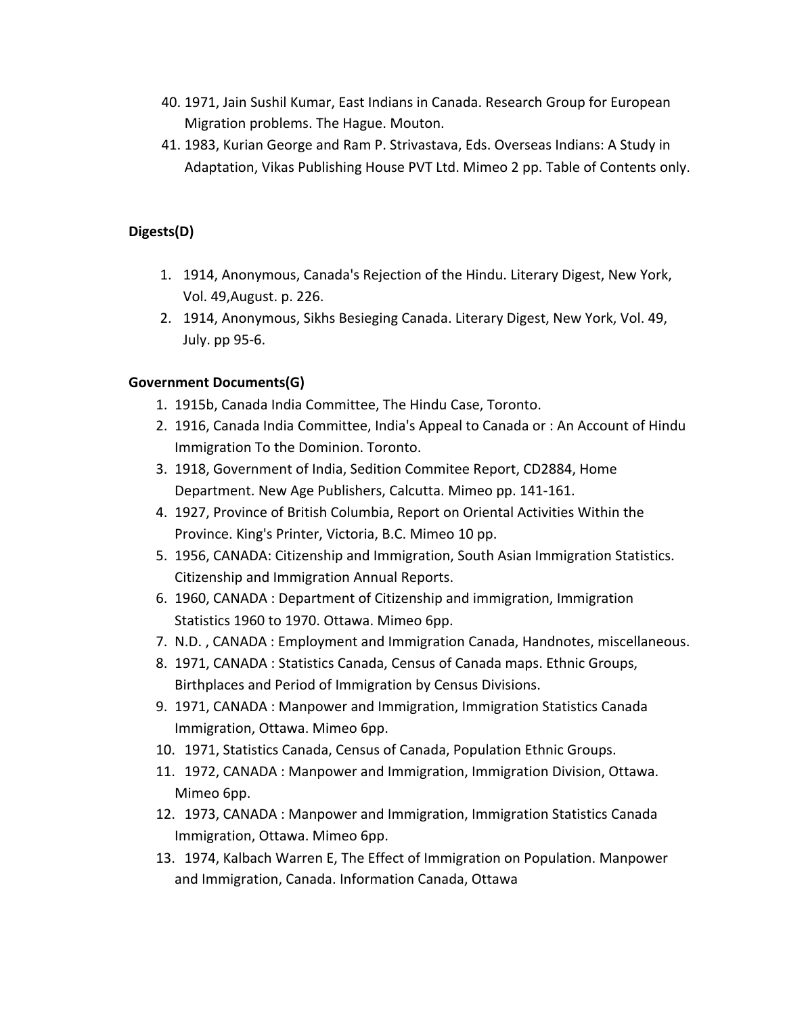- 40. 1971, Jain Sushil Kumar, East Indians in Canada. Research Group for European Migration problems. The Hague. Mouton.
- 41. 1983, Kurian George and Ram P. Strivastava, Eds. Overseas Indians: A Study in Adaptation, Vikas Publishing House PVT Ltd. Mimeo 2 pp. Table of Contents only.

# **Digests(D)**

- 1. 1914, Anonymous, Canada's Rejection of the Hindu. Literary Digest, New York, Vol. 49,August. p. 226.
- 2. 1914, Anonymous, Sikhs Besieging Canada. Literary Digest, New York, Vol. 49, July. pp 95-6.

## **Government Documents(G)**

- 1. 1915b, Canada India Committee, The Hindu Case, Toronto.
- 2. 1916, Canada India Committee, India's Appeal to Canada or : An Account of Hindu Immigration To the Dominion. Toronto.
- 3. 1918, Government of India, Sedition Commitee Report, CD2884, Home Department. New Age Publishers, Calcutta. Mimeo pp. 141-161.
- 4. 1927, Province of British Columbia, Report on Oriental Activities Within the Province. King's Printer, Victoria, B.C. Mimeo 10 pp.
- 5. 1956, CANADA: Citizenship and Immigration, South Asian Immigration Statistics. Citizenship and Immigration Annual Reports.
- 6. 1960, CANADA : Department of Citizenship and immigration, Immigration Statistics 1960 to 1970. Ottawa. Mimeo 6pp.
- 7. N.D., CANADA: Employment and Immigration Canada, Handnotes, miscellaneous.
- 8. 1971, CANADA : Statistics Canada, Census of Canada maps. Ethnic Groups, Birthplaces and Period of Immigration by Census Divisions.
- 9. 1971, CANADA : Manpower and Immigration, Immigration Statistics Canada Immigration, Ottawa. Mimeo 6pp.
- 10. 1971, Statistics Canada, Census of Canada, Population Ethnic Groups.
- 11. 1972, CANADA : Manpower and Immigration, Immigration Division, Ottawa. Mimeo 6pp.
- 12. 1973, CANADA : Manpower and Immigration, Immigration Statistics Canada Immigration, Ottawa. Mimeo 6pp.
- 13. 1974, Kalbach Warren E, The Effect of Immigration on Population. Manpower and Immigration, Canada. Information Canada, Ottawa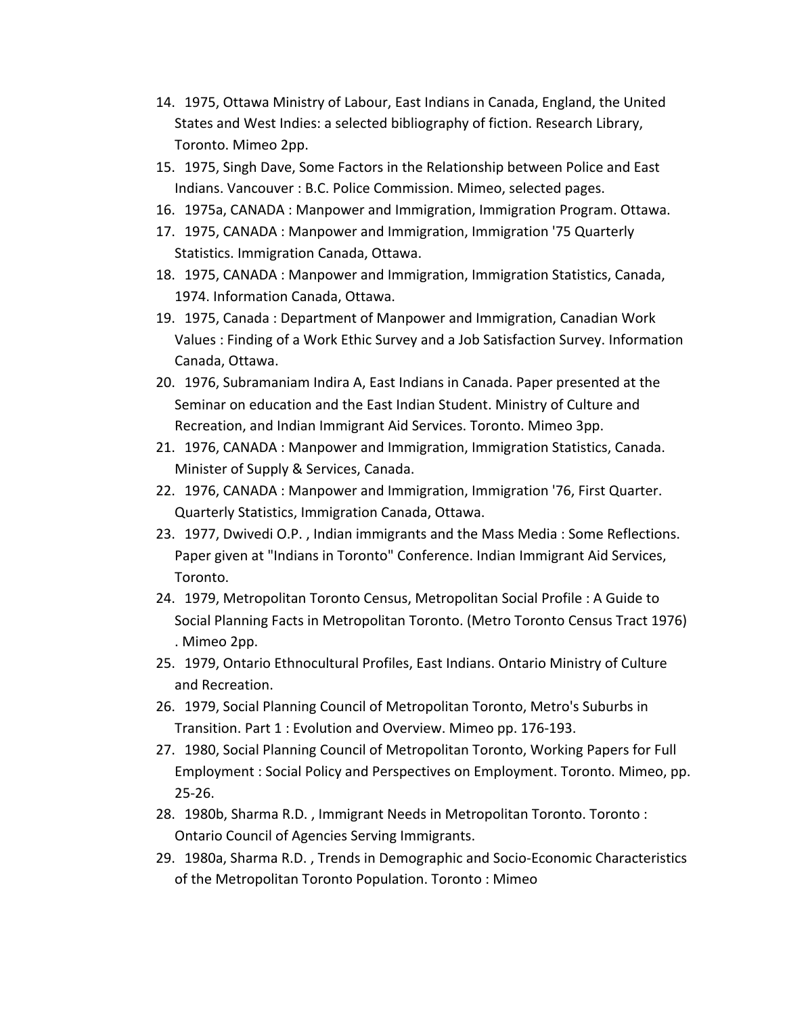- 14. 1975, Ottawa Ministry of Labour, East Indians in Canada, England, the United States and West Indies: a selected bibliography of fiction. Research Library, Toronto. Mimeo 2pp.
- 15. 1975, Singh Dave, Some Factors in the Relationship between Police and East Indians. Vancouver : B.C. Police Commission. Mimeo, selected pages.
- 16. 1975a, CANADA : Manpower and Immigration, Immigration Program. Ottawa.
- 17. 1975, CANADA : Manpower and Immigration, Immigration '75 Quarterly Statistics. Immigration Canada, Ottawa.
- 18. 1975, CANADA : Manpower and Immigration, Immigration Statistics, Canada, 1974. Information Canada, Ottawa.
- 19. 1975, Canada: Department of Manpower and Immigration, Canadian Work Values : Finding of a Work Ethic Survey and a Job Satisfaction Survey. Information Canada, Ottawa.
- 20. 1976, Subramaniam Indira A, East Indians in Canada. Paper presented at the Seminar on education and the East Indian Student. Ministry of Culture and Recreation, and Indian Immigrant Aid Services. Toronto. Mimeo 3pp.
- 21. 1976, CANADA : Manpower and Immigration, Immigration Statistics, Canada. Minister of Supply & Services, Canada.
- 22. 1976, CANADA : Manpower and Immigration, Immigration '76, First Quarter. Quarterly Statistics, Immigration Canada, Ottawa.
- 23. 1977, Dwivedi O.P., Indian immigrants and the Mass Media: Some Reflections. Paper given at "Indians in Toronto" Conference. Indian Immigrant Aid Services, Toronto.
- 24. 1979, Metropolitan Toronto Census, Metropolitan Social Profile : A Guide to Social Planning Facts in Metropolitan Toronto. (Metro Toronto Census Tract 1976) . Mimeo 2pp.
- 25. 1979, Ontario Ethnocultural Profiles, East Indians. Ontario Ministry of Culture and Recreation.
- 26. 1979, Social Planning Council of Metropolitan Toronto, Metro's Suburbs in Transition. Part 1: Evolution and Overview. Mimeo pp. 176-193.
- 27. 1980, Social Planning Council of Metropolitan Toronto, Working Papers for Full Employment : Social Policy and Perspectives on Employment. Toronto. Mimeo, pp. 25-26.
- 28. 1980b, Sharma R.D., Immigrant Needs in Metropolitan Toronto. Toronto: Ontario Council of Agencies Serving Immigrants.
- 29. 1980a, Sharma R.D., Trends in Demographic and Socio-Economic Characteristics of the Metropolitan Toronto Population. Toronto: Mimeo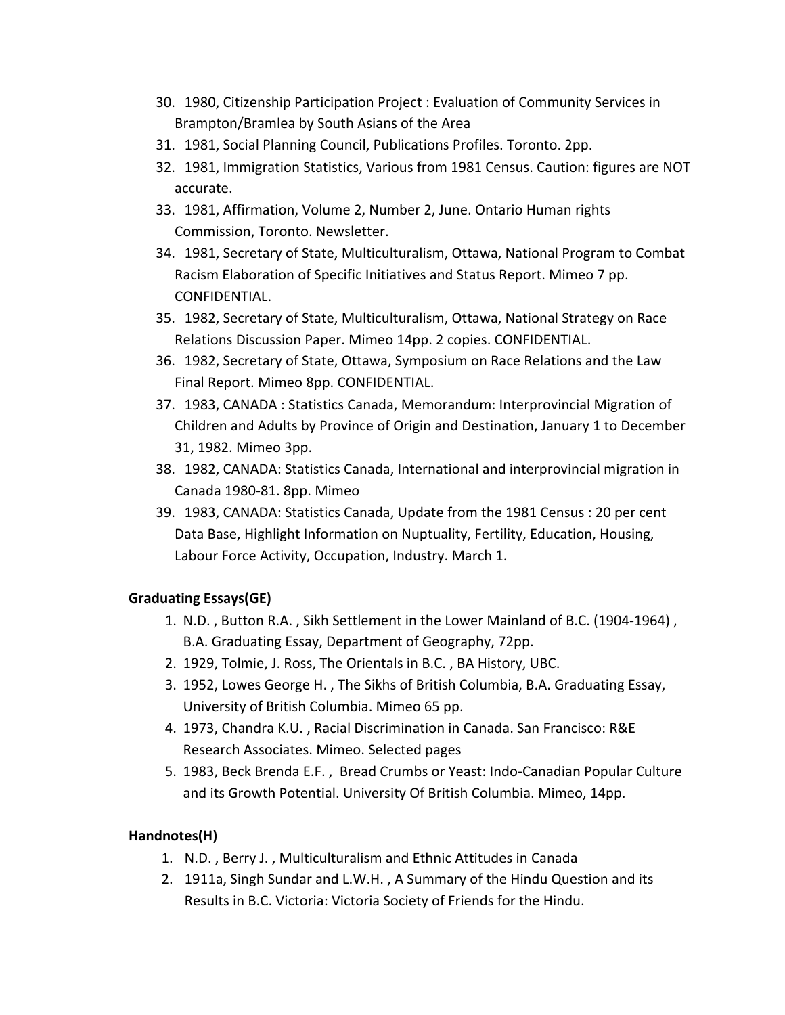- 30. 1980, Citizenship Participation Project : Evaluation of Community Services in Brampton/Bramlea by South Asians of the Area
- 31. 1981, Social Planning Council, Publications Profiles. Toronto. 2pp.
- 32. 1981, Immigration Statistics, Various from 1981 Census. Caution: figures are NOT accurate.
- 33. 1981, Affirmation, Volume 2, Number 2, June. Ontario Human rights Commission, Toronto. Newsletter.
- 34. 1981, Secretary of State, Multiculturalism, Ottawa, National Program to Combat Racism Elaboration of Specific Initiatives and Status Report. Mimeo 7 pp. CONFIDENTIAL.
- 35. 1982, Secretary of State, Multiculturalism, Ottawa, National Strategy on Race Relations Discussion Paper. Mimeo 14pp. 2 copies. CONFIDENTIAL.
- 36. 1982, Secretary of State, Ottawa, Symposium on Race Relations and the Law Final Report. Mimeo 8pp. CONFIDENTIAL.
- 37. 1983, CANADA : Statistics Canada, Memorandum: Interprovincial Migration of Children and Adults by Province of Origin and Destination, January 1 to December 31, 1982. Mimeo 3pp.
- 38. 1982, CANADA: Statistics Canada, International and interprovincial migration in Canada 1980-81. 8pp. Mimeo
- 39. 1983, CANADA: Statistics Canada, Update from the 1981 Census : 20 per cent Data Base, Highlight Information on Nuptuality, Fertility, Education, Housing, Labour Force Activity, Occupation, Industry. March 1.

# **Graduating Essays(GE)**

- 1. N.D., Button R.A., Sikh Settlement in the Lower Mainland of B.C. (1904-1964), B.A. Graduating Essay, Department of Geography, 72pp.
- 2. 1929, Tolmie, J. Ross, The Orientals in B.C., BA History, UBC.
- 3. 1952, Lowes George H., The Sikhs of British Columbia, B.A. Graduating Essay, University of British Columbia. Mimeo 65 pp.
- 4. 1973, Chandra K.U., Racial Discrimination in Canada. San Francisco: R&E Research Associates. Mimeo. Selected pages
- 5. 1983, Beck Brenda E.F., Bread Crumbs or Yeast: Indo-Canadian Popular Culture and its Growth Potential. University Of British Columbia. Mimeo, 14pp.

## **Handnotes(H)**

- 1. N.D., Berry J., Multiculturalism and Ethnic Attitudes in Canada
- 2. 1911a, Singh Sundar and L.W.H., A Summary of the Hindu Question and its Results in B.C. Victoria: Victoria Society of Friends for the Hindu.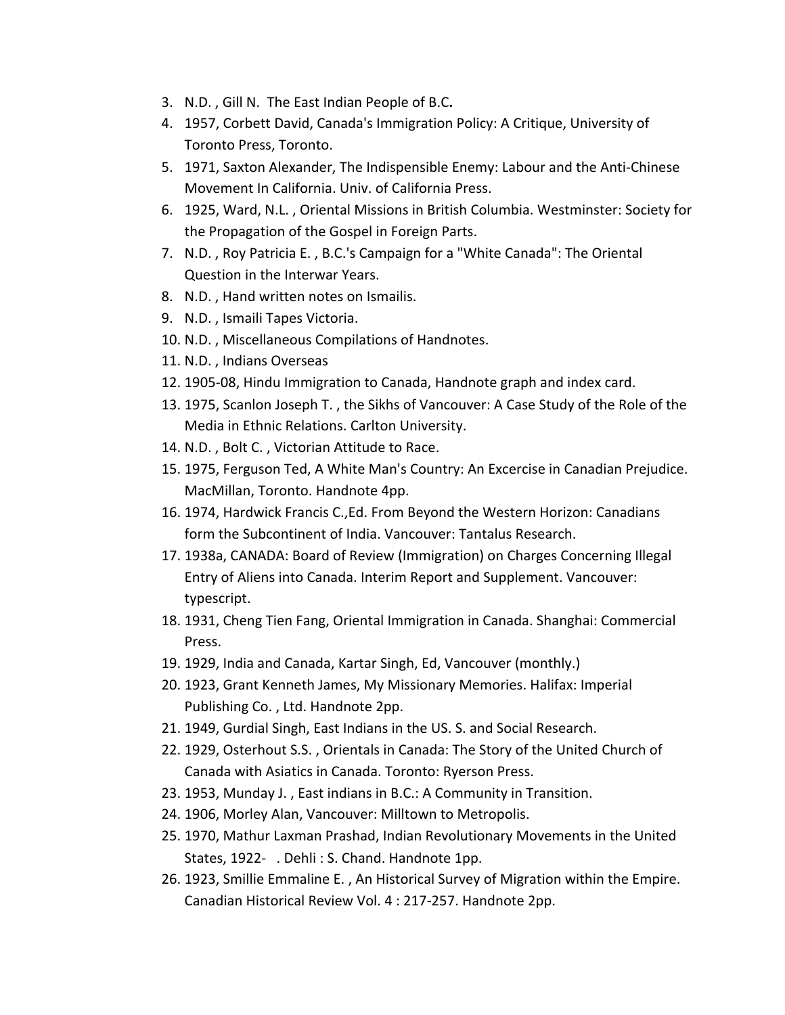- 3. N.D., Gill N. The East Indian People of B.C.
- 4. 1957, Corbett David, Canada's Immigration Policy: A Critique, University of Toronto Press, Toronto.
- 5. 1971, Saxton Alexander, The Indispensible Enemy: Labour and the Anti-Chinese Movement In California. Univ. of California Press.
- 6. 1925, Ward, N.L., Oriental Missions in British Columbia. Westminster: Society for the Propagation of the Gospel in Foreign Parts.
- 7. N.D., Roy Patricia E., B.C.'s Campaign for a "White Canada": The Oriental Question in the Interwar Years.
- 8. N.D., Hand written notes on Ismailis.
- 9. N.D., Ismaili Tapes Victoria.
- 10. N.D., Miscellaneous Compilations of Handnotes.
- 11. N.D., Indians Overseas
- 12. 1905-08, Hindu Immigration to Canada, Handnote graph and index card.
- 13. 1975, Scanlon Joseph T., the Sikhs of Vancouver: A Case Study of the Role of the Media in Ethnic Relations. Carlton University.
- 14. N.D., Bolt C., Victorian Attitude to Race.
- 15. 1975, Ferguson Ted, A White Man's Country: An Excercise in Canadian Prejudice. MacMillan, Toronto. Handnote 4pp.
- 16. 1974, Hardwick Francis C., Ed. From Beyond the Western Horizon: Canadians form the Subcontinent of India. Vancouver: Tantalus Research.
- 17. 1938a, CANADA: Board of Review (Immigration) on Charges Concerning Illegal Entry of Aliens into Canada. Interim Report and Supplement. Vancouver: typescript.
- 18. 1931, Cheng Tien Fang, Oriental Immigration in Canada. Shanghai: Commercial Press.
- 19. 1929, India and Canada, Kartar Singh, Ed, Vancouver (monthly.)
- 20. 1923, Grant Kenneth James, My Missionary Memories. Halifax: Imperial Publishing Co., Ltd. Handnote 2pp.
- 21. 1949, Gurdial Singh, East Indians in the US. S. and Social Research.
- 22. 1929, Osterhout S.S., Orientals in Canada: The Story of the United Church of Canada with Asiatics in Canada. Toronto: Ryerson Press.
- 23. 1953, Munday J., East indians in B.C.: A Community in Transition.
- 24. 1906, Morley Alan, Vancouver: Milltown to Metropolis.
- 25. 1970, Mathur Laxman Prashad, Indian Revolutionary Movements in the United States, 1922- . Dehli : S. Chand. Handnote 1pp.
- 26. 1923, Smillie Emmaline E., An Historical Survey of Migration within the Empire. Canadian Historical Review Vol. 4 : 217-257. Handnote 2pp.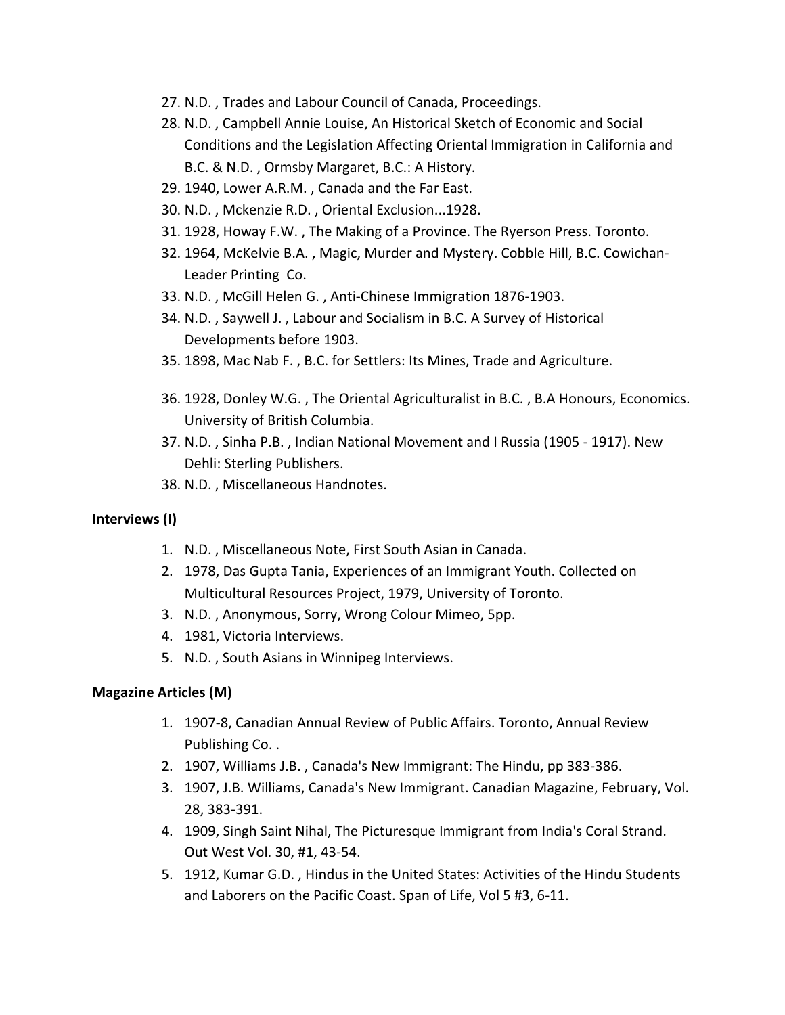- 27. N.D., Trades and Labour Council of Canada, Proceedings.
- 28. N.D., Campbell Annie Louise, An Historical Sketch of Economic and Social Conditions and the Legislation Affecting Oriental Immigration in California and B.C. & N.D., Ormsby Margaret, B.C.: A History.
- 29. 1940, Lower A.R.M., Canada and the Far East.
- 30. N.D., Mckenzie R.D., Oriental Exclusion...1928.
- 31. 1928, Howay F.W., The Making of a Province. The Ryerson Press. Toronto.
- 32. 1964, McKelvie B.A., Magic, Murder and Mystery. Cobble Hill, B.C. Cowichan-Leader Printing Co.
- 33. N.D., McGill Helen G., Anti-Chinese Immigration 1876-1903.
- 34. N.D., Saywell J., Labour and Socialism in B.C. A Survey of Historical Developments before 1903.
- 35. 1898, Mac Nab F., B.C. for Settlers: Its Mines, Trade and Agriculture.
- 36. 1928, Donley W.G., The Oriental Agriculturalist in B.C., B.A Honours, Economics. University of British Columbia.
- 37. N.D., Sinha P.B., Indian National Movement and I Russia (1905 1917). New Dehli: Sterling Publishers.
- 38. N.D., Miscellaneous Handnotes.

### **Interviews (I)**

- 1. N.D., Miscellaneous Note, First South Asian in Canada.
- 2. 1978, Das Gupta Tania, Experiences of an Immigrant Youth. Collected on Multicultural Resources Project, 1979, University of Toronto.
- 3. N.D., Anonymous, Sorry, Wrong Colour Mimeo, 5pp.
- 4. 1981, Victoria Interviews.
- 5. N.D., South Asians in Winnipeg Interviews.

### **Magazine Articles (M)**

- 1. 1907-8, Canadian Annual Review of Public Affairs. Toronto, Annual Review Publishing Co..
- 2. 1907, Williams J.B., Canada's New Immigrant: The Hindu, pp 383-386.
- 3. 1907, J.B. Williams, Canada's New Immigrant. Canadian Magazine, February, Vol. 28, 383-391.
- 4. 1909, Singh Saint Nihal, The Picturesque Immigrant from India's Coral Strand. Out West Vol. 30, #1, 43-54.
- 5. 1912, Kumar G.D., Hindus in the United States: Activities of the Hindu Students and Laborers on the Pacific Coast. Span of Life, Vol 5 #3, 6-11.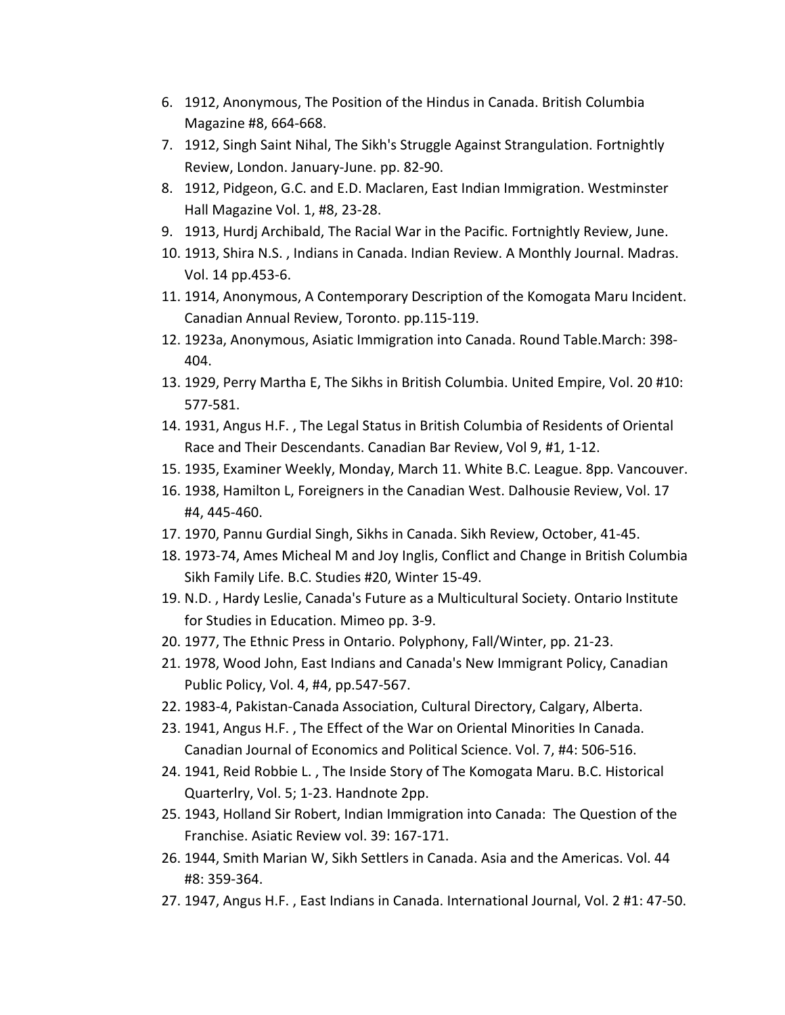- 6. 1912, Anonymous, The Position of the Hindus in Canada. British Columbia Magazine #8, 664-668.
- 7. 1912, Singh Saint Nihal, The Sikh's Struggle Against Strangulation. Fortnightly Review, London. January-June. pp. 82-90.
- 8. 1912, Pidgeon, G.C. and E.D. Maclaren, East Indian Immigration. Westminster Hall Magazine Vol. 1, #8, 23-28.
- 9. 1913, Hurdj Archibald, The Racial War in the Pacific. Fortnightly Review, June.
- 10. 1913, Shira N.S., Indians in Canada. Indian Review. A Monthly Journal. Madras. Vol. 14 pp.453-6.
- 11. 1914, Anonymous, A Contemporary Description of the Komogata Maru Incident. Canadian Annual Review, Toronto. pp.115-119.
- 12. 1923a, Anonymous, Asiatic Immigration into Canada. Round Table.March: 398-404.
- 13. 1929, Perry Martha E, The Sikhs in British Columbia. United Empire, Vol. 20 #10: 577-581.
- 14. 1931, Angus H.F., The Legal Status in British Columbia of Residents of Oriental Race and Their Descendants. Canadian Bar Review, Vol 9, #1, 1-12.
- 15. 1935, Examiner Weekly, Monday, March 11. White B.C. League. 8pp. Vancouver.
- 16. 1938, Hamilton L, Foreigners in the Canadian West. Dalhousie Review, Vol. 17 #4, 445-460.
- 17. 1970, Pannu Gurdial Singh, Sikhs in Canada. Sikh Review, October, 41-45.
- 18. 1973-74, Ames Micheal M and Joy Inglis, Conflict and Change in British Columbia Sikh Family Life. B.C. Studies #20, Winter 15-49.
- 19. N.D., Hardy Leslie, Canada's Future as a Multicultural Society. Ontario Institute for Studies in Education. Mimeo pp. 3-9.
- 20. 1977, The Ethnic Press in Ontario. Polyphony, Fall/Winter, pp. 21-23.
- 21. 1978, Wood John, East Indians and Canada's New Immigrant Policy, Canadian Public Policy, Vol. 4, #4, pp.547-567.
- 22. 1983-4, Pakistan-Canada Association, Cultural Directory, Calgary, Alberta.
- 23. 1941, Angus H.F., The Effect of the War on Oriental Minorities In Canada. Canadian Journal of Economics and Political Science. Vol. 7, #4: 506-516.
- 24. 1941, Reid Robbie L., The Inside Story of The Komogata Maru. B.C. Historical Quarterlry, Vol. 5; 1-23. Handnote 2pp.
- 25. 1943, Holland Sir Robert, Indian Immigration into Canada: The Question of the Franchise. Asiatic Review vol. 39: 167-171.
- 26. 1944, Smith Marian W, Sikh Settlers in Canada. Asia and the Americas. Vol. 44 #8: 359-364.
- 27. 1947, Angus H.F., East Indians in Canada. International Journal, Vol. 2 #1: 47-50.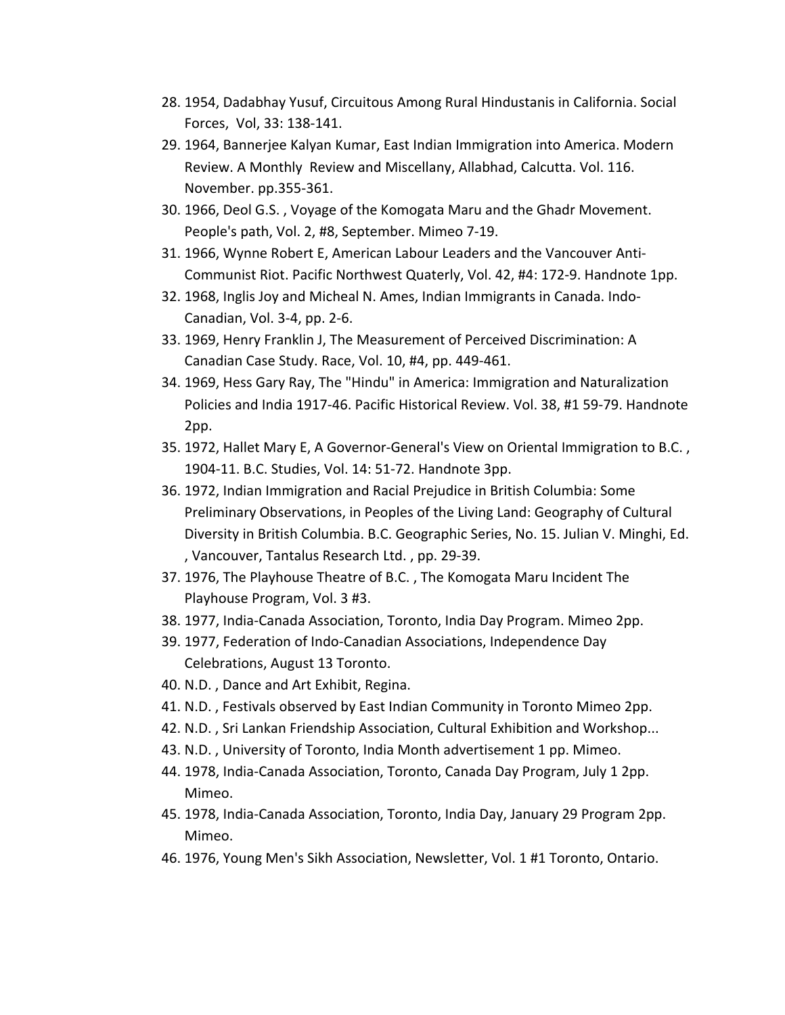- 28. 1954, Dadabhay Yusuf, Circuitous Among Rural Hindustanis in California. Social Forces, Vol, 33: 138-141.
- 29. 1964, Bannerjee Kalyan Kumar, East Indian Immigration into America. Modern Review. A Monthly Review and Miscellany, Allabhad, Calcutta. Vol. 116. November. pp.355-361.
- 30. 1966, Deol G.S., Voyage of the Komogata Maru and the Ghadr Movement. People's path, Vol. 2, #8, September. Mimeo 7-19.
- 31. 1966, Wynne Robert E, American Labour Leaders and the Vancouver Anti-Communist Riot. Pacific Northwest Quaterly, Vol. 42, #4: 172-9. Handnote 1pp.
- 32. 1968, Inglis Joy and Micheal N. Ames, Indian Immigrants in Canada. Indo-Canadian, Vol. 3-4, pp. 2-6.
- 33. 1969, Henry Franklin J, The Measurement of Perceived Discrimination: A Canadian Case Study. Race, Vol. 10, #4, pp. 449-461.
- 34. 1969, Hess Gary Ray, The "Hindu" in America: Immigration and Naturalization Policies and India 1917-46. Pacific Historical Review. Vol. 38, #1 59-79. Handnote 2pp.
- 35. 1972, Hallet Mary E, A Governor-General's View on Oriental Immigration to B.C., 1904-11. B.C. Studies, Vol. 14: 51-72. Handnote 3pp.
- 36. 1972, Indian Immigration and Racial Prejudice in British Columbia: Some Preliminary Observations, in Peoples of the Living Land: Geography of Cultural Diversity in British Columbia. B.C. Geographic Series, No. 15. Julian V. Minghi, Ed. , Vancouver, Tantalus Research Ltd., pp. 29-39.
- 37. 1976, The Playhouse Theatre of B.C., The Komogata Maru Incident The Playhouse Program, Vol. 3 #3.
- 38. 1977, India-Canada Association, Toronto, India Day Program. Mimeo 2pp.
- 39. 1977, Federation of Indo-Canadian Associations, Independence Day Celebrations, August 13 Toronto.
- 40. N.D., Dance and Art Exhibit, Regina.
- 41. N.D., Festivals observed by East Indian Community in Toronto Mimeo 2pp.
- 42. N.D., Sri Lankan Friendship Association, Cultural Exhibition and Workshop...
- 43. N.D., University of Toronto, India Month advertisement 1 pp. Mimeo.
- 44. 1978, India-Canada Association, Toronto, Canada Day Program, July 1 2pp. Mimeo.
- 45. 1978, India-Canada Association, Toronto, India Day, January 29 Program 2pp. Mimeo.
- 46. 1976, Young Men's Sikh Association, Newsletter, Vol. 1 #1 Toronto, Ontario.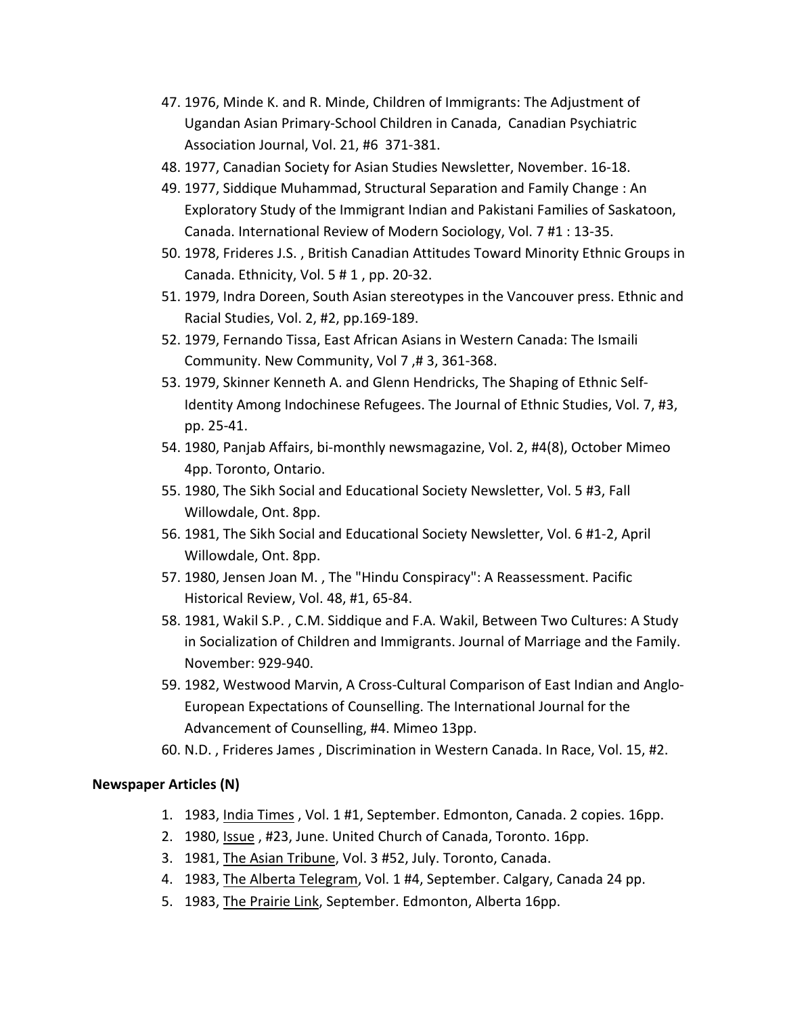- 47. 1976, Minde K. and R. Minde, Children of Immigrants: The Adjustment of Ugandan Asian Primary-School Children in Canada, Canadian Psychiatric Association Journal, Vol. 21, #6 371-381.
- 48. 1977, Canadian Society for Asian Studies Newsletter, November. 16-18.
- 49. 1977, Siddique Muhammad, Structural Separation and Family Change : An Exploratory Study of the Immigrant Indian and Pakistani Families of Saskatoon, Canada. International Review of Modern Sociology, Vol. 7 #1 : 13-35.
- 50. 1978, Frideres J.S., British Canadian Attitudes Toward Minority Ethnic Groups in Canada. Ethnicity, Vol.  $5 \# 1$ , pp. 20-32.
- 51. 1979, Indra Doreen, South Asian stereotypes in the Vancouver press. Ethnic and Racial Studies, Vol. 2, #2, pp.169-189.
- 52. 1979, Fernando Tissa, East African Asians in Western Canada: The Ismaili Community. New Community, Vol 7,# 3, 361-368.
- 53. 1979, Skinner Kenneth A. and Glenn Hendricks, The Shaping of Ethnic Self-Identity Among Indochinese Refugees. The Journal of Ethnic Studies, Vol. 7, #3, pp. 25-41.
- 54. 1980, Panjab Affairs, bi-monthly newsmagazine, Vol. 2, #4(8), October Mimeo 4pp. Toronto, Ontario.
- 55. 1980, The Sikh Social and Educational Society Newsletter, Vol. 5 #3, Fall Willowdale, Ont. 8pp.
- 56. 1981, The Sikh Social and Educational Society Newsletter, Vol. 6 #1-2, April Willowdale, Ont. 8pp.
- 57. 1980, Jensen Joan M., The "Hindu Conspiracy": A Reassessment. Pacific Historical Review, Vol. 48, #1, 65-84.
- 58. 1981, Wakil S.P., C.M. Siddique and F.A. Wakil, Between Two Cultures: A Study in Socialization of Children and Immigrants. Journal of Marriage and the Family. November: 929-940.
- 59. 1982, Westwood Marvin, A Cross-Cultural Comparison of East Indian and Anglo-European Expectations of Counselling. The International Journal for the Advancement of Counselling, #4. Mimeo 13pp.
- 60. N.D., Frideres James, Discrimination in Western Canada. In Race, Vol. 15, #2.

## **Newspaper Articles (N)**

- 1. 1983, India Times, Vol. 1 #1, September. Edmonton, Canada. 2 copies. 16pp.
- 2. 1980, Issue, #23, June. United Church of Canada, Toronto. 16pp.
- 3. 1981, The Asian Tribune, Vol. 3 #52, July. Toronto, Canada.
- 4. 1983, The Alberta Telegram, Vol. 1 #4, September. Calgary, Canada 24 pp.
- 5. 1983, The Prairie Link, September. Edmonton, Alberta 16pp.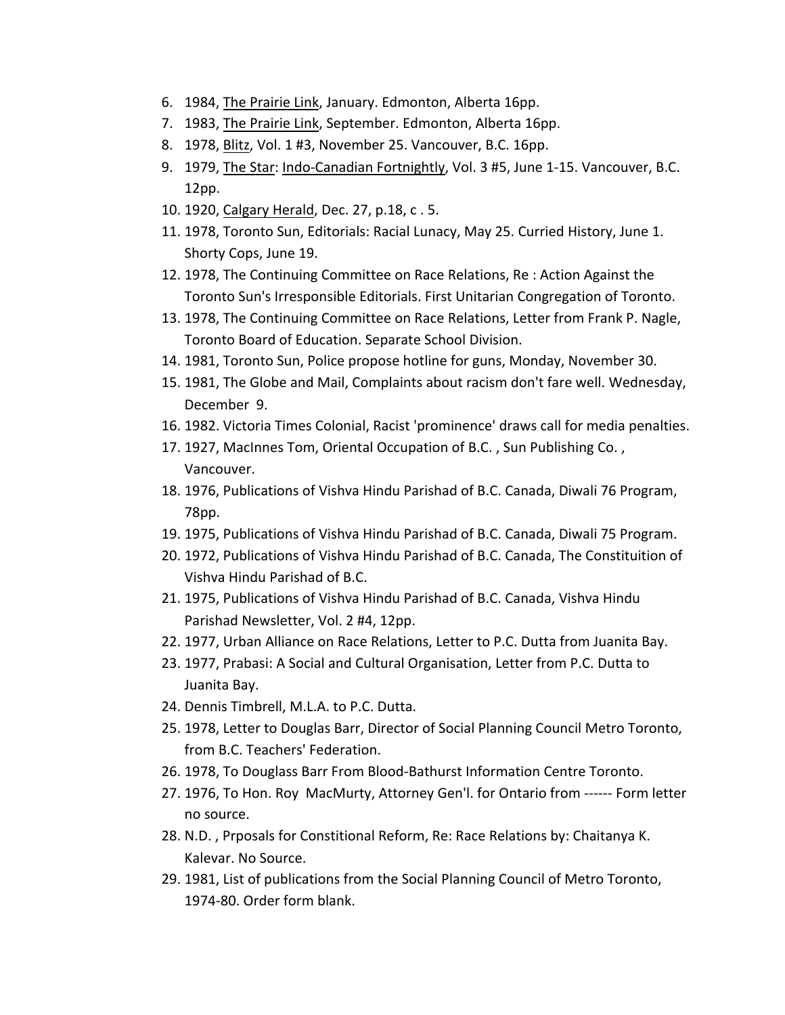- 6. 1984, The Prairie Link, January. Edmonton, Alberta 16pp.
- 7. 1983, The Prairie Link, September. Edmonton, Alberta 16pp.
- 8. 1978, Blitz, Vol. 1 #3, November 25. Vancouver, B.C. 16pp.
- 9. 1979, The Star: Indo-Canadian Fortnightly, Vol. 3 #5, June 1-15. Vancouver, B.C. 12pp.
- 10. 1920, Calgary Herald, Dec. 27, p.18, c . 5.
- 11. 1978, Toronto Sun, Editorials: Racial Lunacy, May 25. Curried History, June 1. Shorty Cops, June 19.
- 12. 1978, The Continuing Committee on Race Relations, Re: Action Against the Toronto Sun's Irresponsible Editorials. First Unitarian Congregation of Toronto.
- 13. 1978, The Continuing Committee on Race Relations, Letter from Frank P. Nagle, Toronto Board of Education. Separate School Division.
- 14. 1981, Toronto Sun, Police propose hotline for guns, Monday, November 30.
- 15. 1981, The Globe and Mail, Complaints about racism don't fare well. Wednesday, December 9.
- 16. 1982. Victoria Times Colonial, Racist 'prominence' draws call for media penalties.
- 17. 1927, MacInnes Tom, Oriental Occupation of B.C., Sun Publishing Co., Vancouver.
- 18. 1976, Publications of Vishva Hindu Parishad of B.C. Canada, Diwali 76 Program, 78pp.
- 19. 1975, Publications of Vishva Hindu Parishad of B.C. Canada, Diwali 75 Program.
- 20. 1972, Publications of Vishva Hindu Parishad of B.C. Canada, The Constituition of Vishva Hindu Parishad of B.C.
- 21. 1975, Publications of Vishva Hindu Parishad of B.C. Canada, Vishva Hindu Parishad Newsletter, Vol. 2 #4, 12pp.
- 22. 1977, Urban Alliance on Race Relations, Letter to P.C. Dutta from Juanita Bay.
- 23. 1977, Prabasi: A Social and Cultural Organisation, Letter from P.C. Dutta to Juanita Bay.
- 24. Dennis Timbrell, M.L.A. to P.C. Dutta.
- 25. 1978, Letter to Douglas Barr, Director of Social Planning Council Metro Toronto, from B.C. Teachers' Federation.
- 26. 1978, To Douglass Barr From Blood-Bathurst Information Centre Toronto.
- 27. 1976, To Hon. Roy MacMurty, Attorney Gen'l. for Ontario from ------ Form letter no source.
- 28. N.D., Prposals for Constitional Reform, Re: Race Relations by: Chaitanya K. Kalevar. No Source.
- 29. 1981, List of publications from the Social Planning Council of Metro Toronto, 1974-80. Order form blank.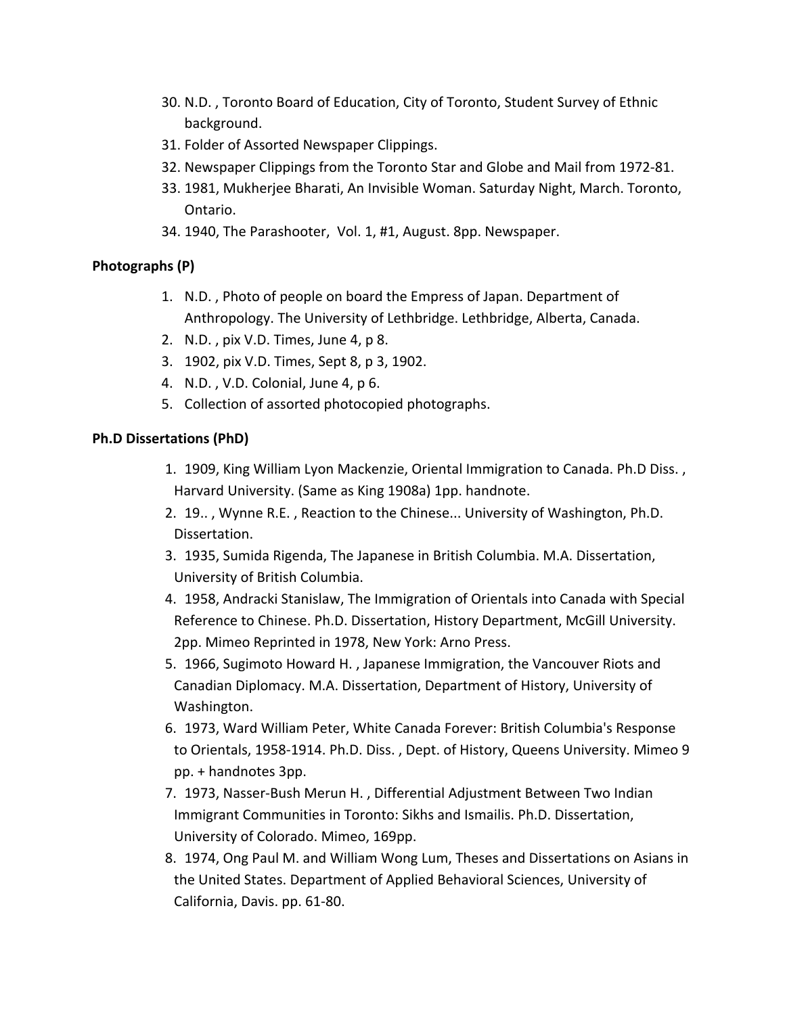- 30. N.D., Toronto Board of Education, City of Toronto, Student Survey of Ethnic background.
- 31. Folder of Assorted Newspaper Clippings.
- 32. Newspaper Clippings from the Toronto Star and Globe and Mail from 1972-81.
- 33. 1981, Mukherjee Bharati, An Invisible Woman. Saturday Night, March. Toronto, Ontario.
- 34. 1940, The Parashooter, Vol. 1, #1, August. 8pp. Newspaper.

## **Photographs (P)**

- 1. N.D., Photo of people on board the Empress of Japan. Department of Anthropology. The University of Lethbridge. Lethbridge, Alberta, Canada.
- 2. N.D., pix V.D. Times, June 4, p 8.
- 3. 1902, pix V.D. Times, Sept 8, p 3, 1902.
- 4. N.D., V.D. Colonial, June 4, p 6.
- 5. Collection of assorted photocopied photographs.

## **Ph.D Dissertations (PhD)**

- 1. 1909, King William Lyon Mackenzie, Oriental Immigration to Canada. Ph.D Diss., Harvard University. (Same as King 1908a) 1pp. handnote.
- 2. 19.., Wynne R.E., Reaction to the Chinese... University of Washington, Ph.D. Dissertation.
- 3. 1935, Sumida Rigenda, The Japanese in British Columbia. M.A. Dissertation, University of British Columbia.
- 4. 1958, Andracki Stanislaw, The Immigration of Orientals into Canada with Special Reference to Chinese. Ph.D. Dissertation, History Department, McGill University. 2pp. Mimeo Reprinted in 1978, New York: Arno Press.
- 5. 1966, Sugimoto Howard H., Japanese Immigration, the Vancouver Riots and Canadian Diplomacy. M.A. Dissertation, Department of History, University of Washington.
- 6. 1973, Ward William Peter, White Canada Forever: British Columbia's Response to Orientals, 1958-1914. Ph.D. Diss., Dept. of History, Queens University. Mimeo 9 pp. + handnotes 3pp.
- 7. 1973, Nasser-Bush Merun H., Differential Adjustment Between Two Indian Immigrant Communities in Toronto: Sikhs and Ismailis. Ph.D. Dissertation, University of Colorado. Mimeo, 169pp.
- 8. 1974, Ong Paul M. and William Wong Lum, Theses and Dissertations on Asians in the United States. Department of Applied Behavioral Sciences, University of California, Davis. pp. 61-80.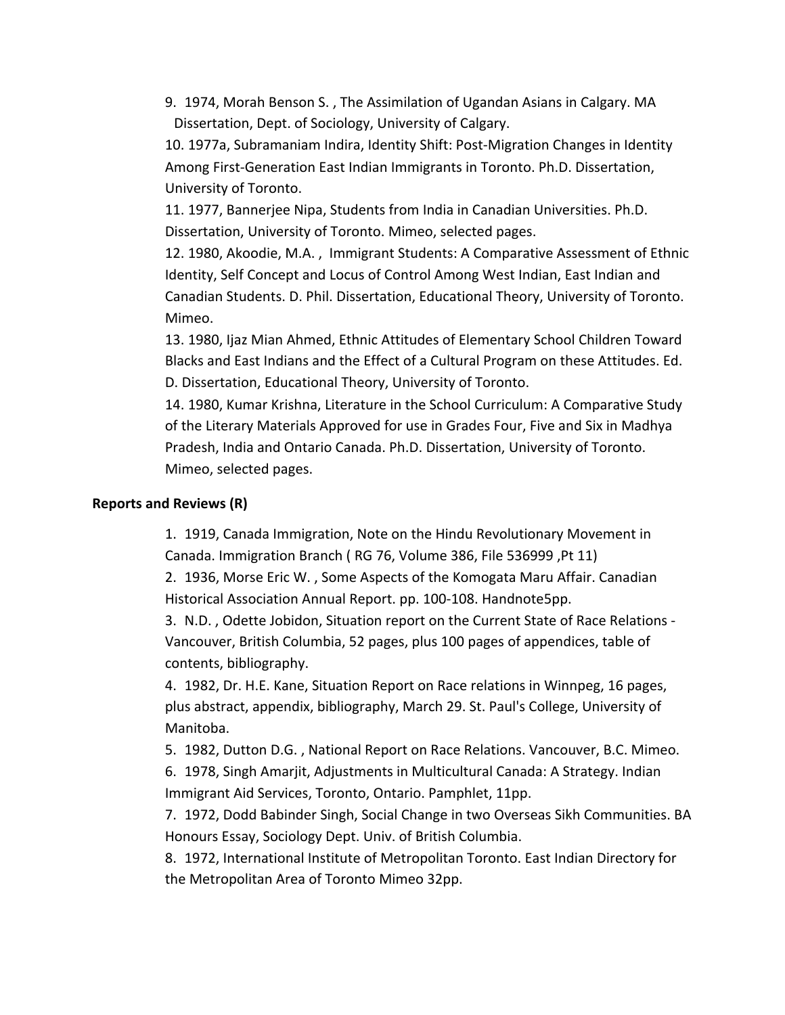9. 1974, Morah Benson S., The Assimilation of Ugandan Asians in Calgary. MA Dissertation, Dept. of Sociology, University of Calgary.

10. 1977a, Subramaniam Indira, Identity Shift: Post-Migration Changes in Identity Among First-Generation East Indian Immigrants in Toronto. Ph.D. Dissertation, University of Toronto.

11. 1977, Bannerjee Nipa, Students from India in Canadian Universities. Ph.D. Dissertation, University of Toronto. Mimeo, selected pages.

12. 1980, Akoodie, M.A., Immigrant Students: A Comparative Assessment of Ethnic Identity, Self Concept and Locus of Control Among West Indian, East Indian and Canadian Students. D. Phil. Dissertation, Educational Theory, University of Toronto. Mimeo.

13. 1980, Ijaz Mian Ahmed, Ethnic Attitudes of Elementary School Children Toward Blacks and East Indians and the Effect of a Cultural Program on these Attitudes. Ed. D. Dissertation, Educational Theory, University of Toronto.

14. 1980, Kumar Krishna, Literature in the School Curriculum: A Comparative Study of the Literary Materials Approved for use in Grades Four, Five and Six in Madhya Pradesh, India and Ontario Canada. Ph.D. Dissertation, University of Toronto. Mimeo, selected pages.

## **Reports and Reviews (R)**

1. 1919, Canada Immigration, Note on the Hindu Revolutionary Movement in Canada. Immigration Branch (RG 76, Volume 386, File 536999, Pt 11)

2. 1936, Morse Eric W., Some Aspects of the Komogata Maru Affair. Canadian Historical Association Annual Report. pp. 100-108. Handnote5pp.

3. N.D., Odette Jobidon, Situation report on the Current State of Race Relations -Vancouver, British Columbia, 52 pages, plus 100 pages of appendices, table of contents, bibliography.

4. 1982, Dr. H.E. Kane, Situation Report on Race relations in Winnpeg, 16 pages, plus abstract, appendix, bibliography, March 29. St. Paul's College, University of Manitoba.

5. 1982, Dutton D.G., National Report on Race Relations. Vancouver, B.C. Mimeo.

6. 1978, Singh Amarjit, Adjustments in Multicultural Canada: A Strategy. Indian Immigrant Aid Services, Toronto, Ontario. Pamphlet, 11pp.

7. 1972, Dodd Babinder Singh, Social Change in two Overseas Sikh Communities. BA Honours Essay, Sociology Dept. Univ. of British Columbia.

8. 1972, International Institute of Metropolitan Toronto. East Indian Directory for the Metropolitan Area of Toronto Mimeo 32pp.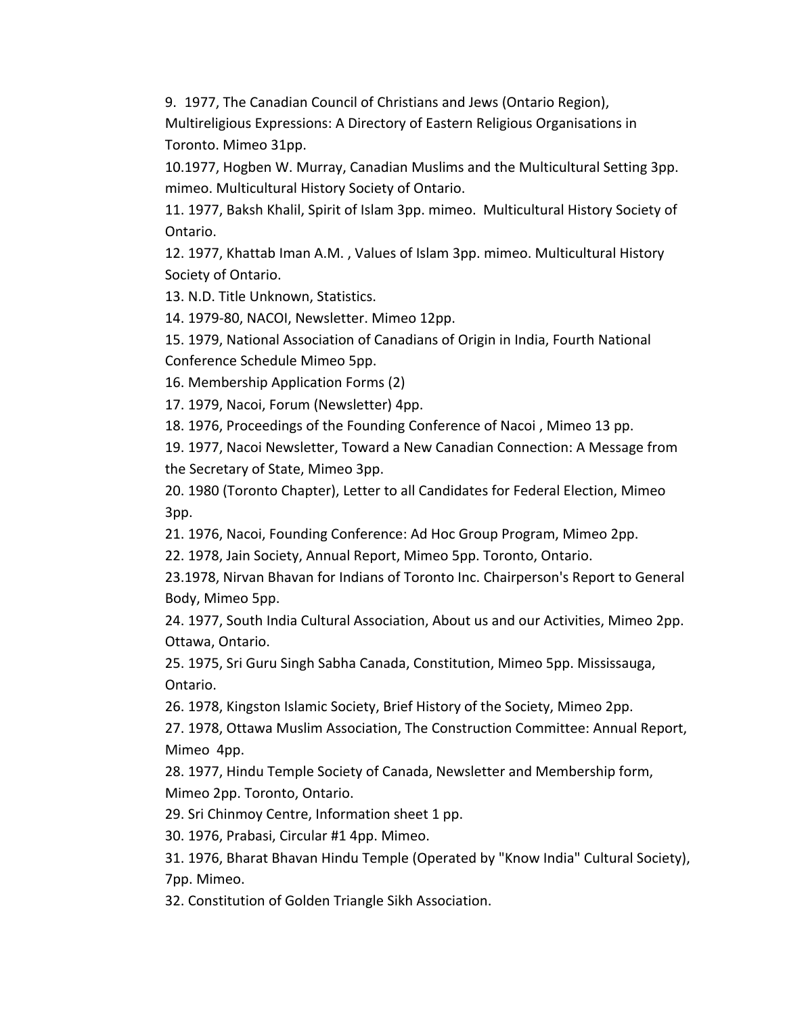9. 1977, The Canadian Council of Christians and Jews (Ontario Region),

Multireligious Expressions: A Directory of Eastern Religious Organisations in Toronto. Mimeo 31pp.

10.1977, Hogben W. Murray, Canadian Muslims and the Multicultural Setting 3pp. mimeo. Multicultural History Society of Ontario.

11. 1977, Baksh Khalil, Spirit of Islam 3pp. mimeo. Multicultural History Society of Ontario. 

12. 1977, Khattab Iman A.M., Values of Islam 3pp. mimeo. Multicultural History Society of Ontario.

13. N.D. Title Unknown, Statistics.

14. 1979-80, NACOI, Newsletter. Mimeo 12pp.

15. 1979, National Association of Canadians of Origin in India, Fourth National Conference Schedule Mimeo 5pp.

16. Membership Application Forms (2)

17. 1979, Nacoi, Forum (Newsletter) 4pp.

18. 1976, Proceedings of the Founding Conference of Nacoi, Mimeo 13 pp.

19. 1977, Nacoi Newsletter, Toward a New Canadian Connection: A Message from the Secretary of State, Mimeo 3pp.

20. 1980 (Toronto Chapter), Letter to all Candidates for Federal Election, Mimeo 3pp.

21. 1976, Nacoi, Founding Conference: Ad Hoc Group Program, Mimeo 2pp.

22. 1978, Jain Society, Annual Report, Mimeo 5pp. Toronto, Ontario.

23.1978, Nirvan Bhavan for Indians of Toronto Inc. Chairperson's Report to General Body, Mimeo 5pp.

24. 1977, South India Cultural Association, About us and our Activities, Mimeo 2pp. Ottawa, Ontario.

25. 1975, Sri Guru Singh Sabha Canada, Constitution, Mimeo 5pp. Mississauga, Ontario.

26. 1978, Kingston Islamic Society, Brief History of the Society, Mimeo 2pp.

27. 1978, Ottawa Muslim Association, The Construction Committee: Annual Report, Mimeo 4pp.

28. 1977, Hindu Temple Society of Canada, Newsletter and Membership form, Mimeo 2pp. Toronto, Ontario.

29. Sri Chinmoy Centre, Information sheet 1 pp.

30. 1976, Prabasi, Circular #1 4pp. Mimeo.

31. 1976, Bharat Bhavan Hindu Temple (Operated by "Know India" Cultural Society), 7pp. Mimeo.

32. Constitution of Golden Triangle Sikh Association.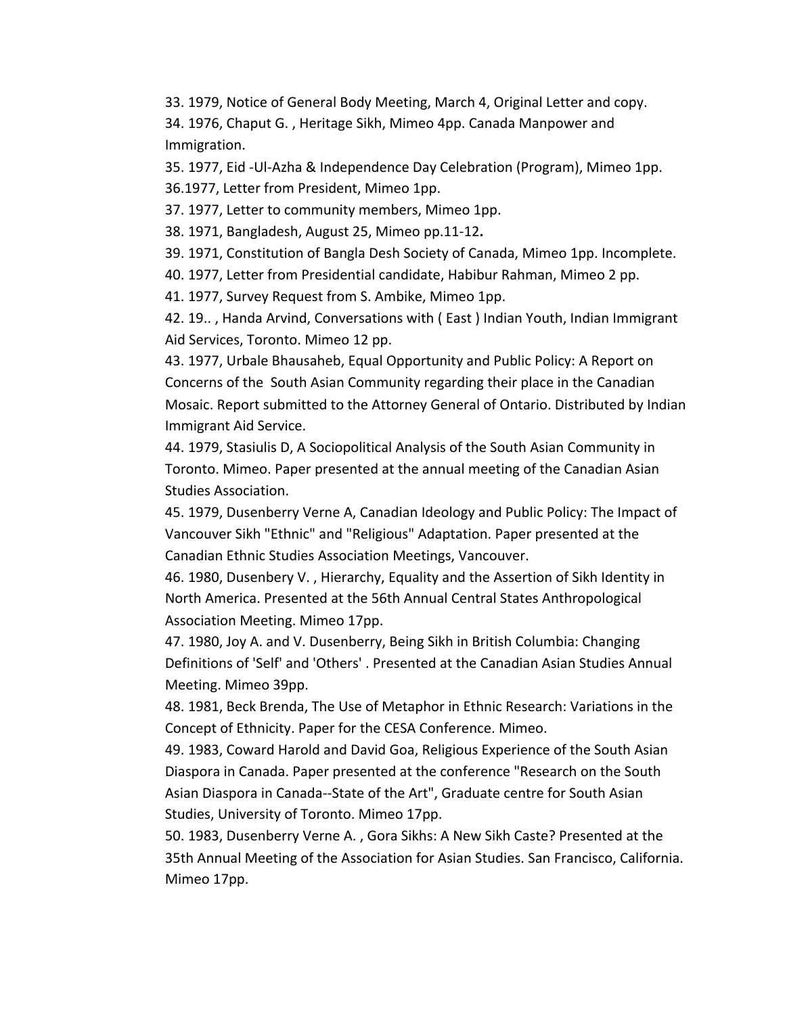33. 1979, Notice of General Body Meeting, March 4, Original Letter and copy. 34. 1976, Chaput G., Heritage Sikh, Mimeo 4pp. Canada Manpower and Immigration.

35. 1977, Eid -Ul-Azha & Independence Day Celebration (Program), Mimeo 1pp. 36.1977, Letter from President, Mimeo 1pp.

37. 1977, Letter to community members, Mimeo 1pp.

38. 1971, Bangladesh, August 25, Mimeo pp.11-12**.**

39. 1971, Constitution of Bangla Desh Society of Canada, Mimeo 1pp. Incomplete.

40. 1977, Letter from Presidential candidate, Habibur Rahman, Mimeo 2 pp.

41. 1977, Survey Request from S. Ambike, Mimeo 1pp.

42. 19.., Handa Arvind, Conversations with (East) Indian Youth, Indian Immigrant Aid Services, Toronto. Mimeo 12 pp.

43. 1977, Urbale Bhausaheb, Equal Opportunity and Public Policy: A Report on Concerns of the South Asian Community regarding their place in the Canadian Mosaic. Report submitted to the Attorney General of Ontario. Distributed by Indian Immigrant Aid Service.

44. 1979, Stasiulis D, A Sociopolitical Analysis of the South Asian Community in Toronto. Mimeo. Paper presented at the annual meeting of the Canadian Asian Studies Association.

45. 1979, Dusenberry Verne A, Canadian Ideology and Public Policy: The Impact of Vancouver Sikh "Ethnic" and "Religious" Adaptation. Paper presented at the Canadian Ethnic Studies Association Meetings, Vancouver.

46. 1980, Dusenbery V., Hierarchy, Equality and the Assertion of Sikh Identity in North America. Presented at the 56th Annual Central States Anthropological Association Meeting. Mimeo 17pp.

47. 1980, Joy A. and V. Dusenberry, Being Sikh in British Columbia: Changing Definitions of 'Self' and 'Others' . Presented at the Canadian Asian Studies Annual Meeting. Mimeo 39pp.

48. 1981, Beck Brenda, The Use of Metaphor in Ethnic Research: Variations in the Concept of Ethnicity. Paper for the CESA Conference. Mimeo.

49. 1983, Coward Harold and David Goa, Religious Experience of the South Asian Diaspora in Canada. Paper presented at the conference "Research on the South Asian Diaspora in Canada--State of the Art", Graduate centre for South Asian Studies, University of Toronto. Mimeo 17pp.

50. 1983, Dusenberry Verne A., Gora Sikhs: A New Sikh Caste? Presented at the 35th Annual Meeting of the Association for Asian Studies. San Francisco, California. Mimeo 17pp.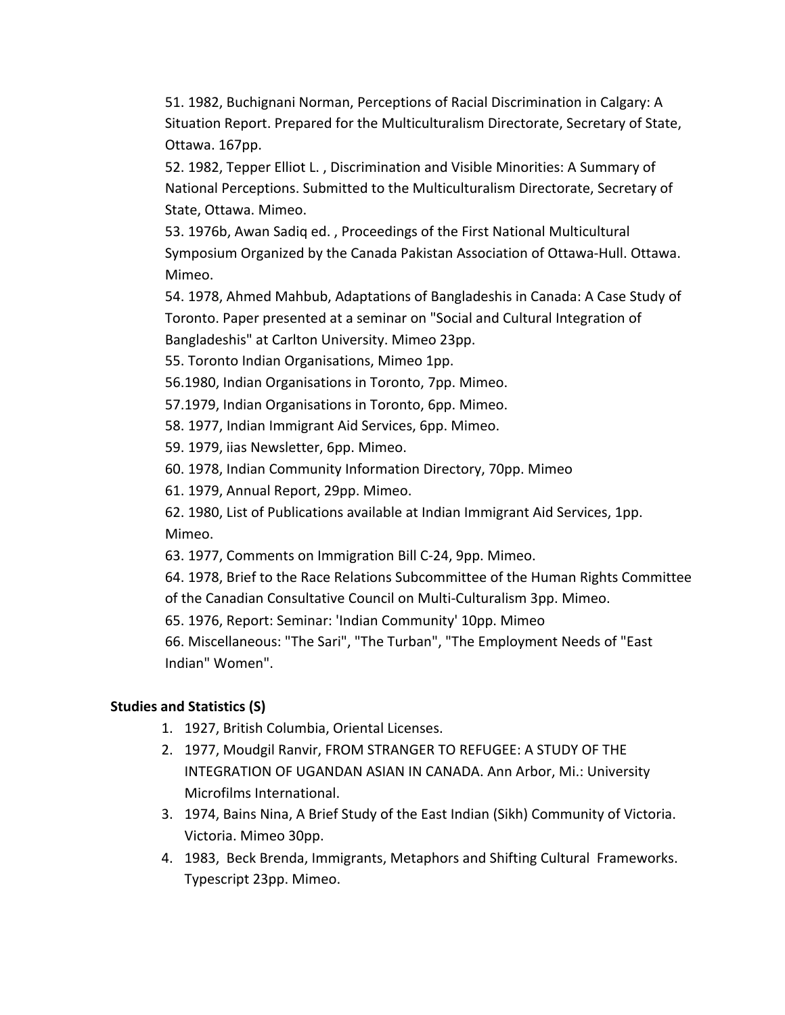51. 1982, Buchignani Norman, Perceptions of Racial Discrimination in Calgary: A Situation Report. Prepared for the Multiculturalism Directorate, Secretary of State, Ottawa. 167pp.

52. 1982, Tepper Elliot L., Discrimination and Visible Minorities: A Summary of National Perceptions. Submitted to the Multiculturalism Directorate, Secretary of State, Ottawa. Mimeo.

53. 1976b, Awan Sadiq ed., Proceedings of the First National Multicultural Symposium Organized by the Canada Pakistan Association of Ottawa-Hull. Ottawa. Mimeo.

54. 1978, Ahmed Mahbub, Adaptations of Bangladeshis in Canada: A Case Study of Toronto. Paper presented at a seminar on "Social and Cultural Integration of Bangladeshis" at Carlton University. Mimeo 23pp.

55. Toronto Indian Organisations, Mimeo 1pp.

56.1980, Indian Organisations in Toronto, 7pp. Mimeo.

57.1979, Indian Organisations in Toronto, 6pp. Mimeo.

58. 1977, Indian Immigrant Aid Services, 6pp. Mimeo.

59. 1979, iias Newsletter, 6pp. Mimeo.

60. 1978, Indian Community Information Directory, 70pp. Mimeo

61. 1979, Annual Report, 29pp. Mimeo.

62. 1980, List of Publications available at Indian Immigrant Aid Services, 1pp. Mimeo.

63. 1977, Comments on Immigration Bill C-24, 9pp. Mimeo.

64. 1978, Brief to the Race Relations Subcommittee of the Human Rights Committee of the Canadian Consultative Council on Multi-Culturalism 3pp. Mimeo.

65. 1976, Report: Seminar: 'Indian Community' 10pp. Mimeo

66. Miscellaneous: "The Sari", "The Turban", "The Employment Needs of "East Indian" Women".

# **Studies and Statistics (S)**

- 1. 1927, British Columbia, Oriental Licenses.
- 2. 1977, Moudgil Ranvir, FROM STRANGER TO REFUGEE: A STUDY OF THE **INTEGRATION OF UGANDAN ASIAN IN CANADA. Ann Arbor, Mi.: University** Microfilms International.
- 3. 1974, Bains Nina, A Brief Study of the East Indian (Sikh) Community of Victoria. Victoria. Mimeo 30pp.
- 4. 1983, Beck Brenda, Immigrants, Metaphors and Shifting Cultural Frameworks. Typescript 23pp. Mimeo.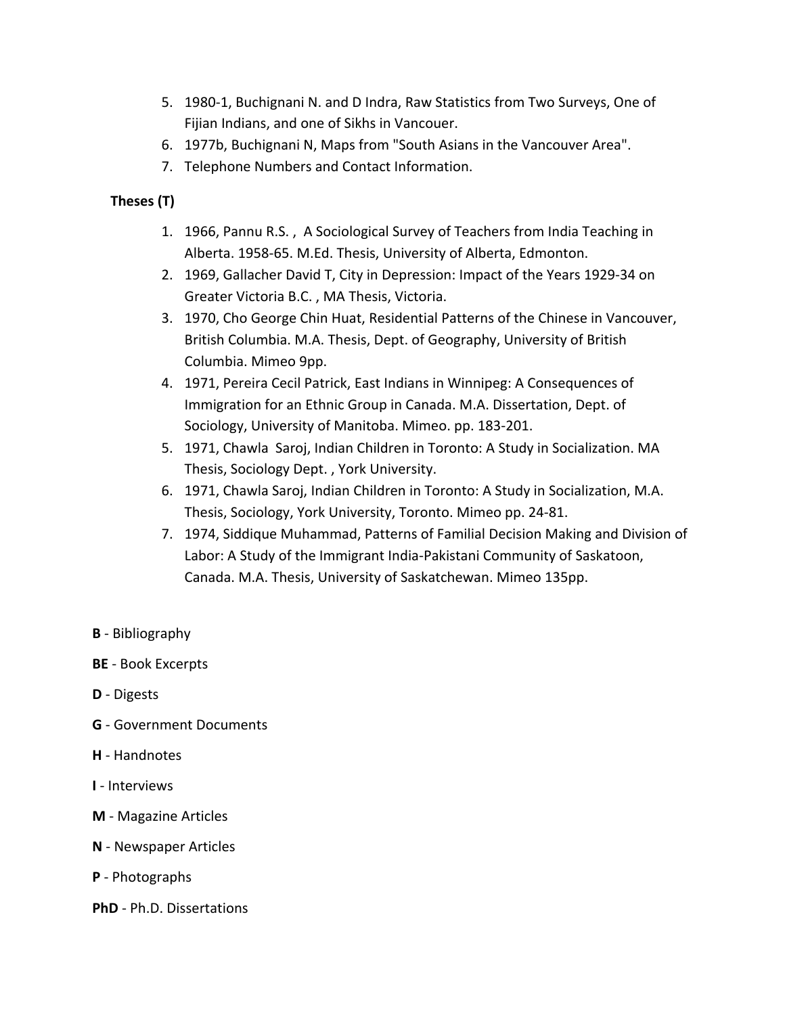- 5. 1980-1, Buchignani N. and D Indra, Raw Statistics from Two Surveys, One of Fijian Indians, and one of Sikhs in Vancouer.
- 6. 1977b, Buchignani N, Maps from "South Asians in the Vancouver Area".
- 7. Telephone Numbers and Contact Information.

# **Theses (T)**

- 1. 1966, Pannu R.S., A Sociological Survey of Teachers from India Teaching in Alberta. 1958-65. M.Ed. Thesis, University of Alberta, Edmonton.
- 2. 1969, Gallacher David T, City in Depression: Impact of the Years 1929-34 on Greater Victoria B.C., MA Thesis, Victoria.
- 3. 1970, Cho George Chin Huat, Residential Patterns of the Chinese in Vancouver, British Columbia. M.A. Thesis, Dept. of Geography, University of British Columbia. Mimeo 9pp.
- 4. 1971, Pereira Cecil Patrick, East Indians in Winnipeg: A Consequences of Immigration for an Ethnic Group in Canada. M.A. Dissertation, Dept. of Sociology, University of Manitoba. Mimeo. pp. 183-201.
- 5. 1971, Chawla Saroj, Indian Children in Toronto: A Study in Socialization. MA Thesis, Sociology Dept., York University.
- 6. 1971, Chawla Saroj, Indian Children in Toronto: A Study in Socialization, M.A. Thesis, Sociology, York University, Toronto. Mimeo pp. 24-81.
- 7. 1974, Siddique Muhammad, Patterns of Familial Decision Making and Division of Labor: A Study of the Immigrant India-Pakistani Community of Saskatoon, Canada. M.A. Thesis, University of Saskatchewan. Mimeo 135pp.
- **B** Bibliography
- **BE** Book Excerpts
- **D** Digests
- **G** Government Documents
- **H** Handnotes
- **I** Interviews
- **M** Magazine Articles
- **N** Newspaper Articles
- **P** Photographs
- **PhD** Ph.D. Dissertations